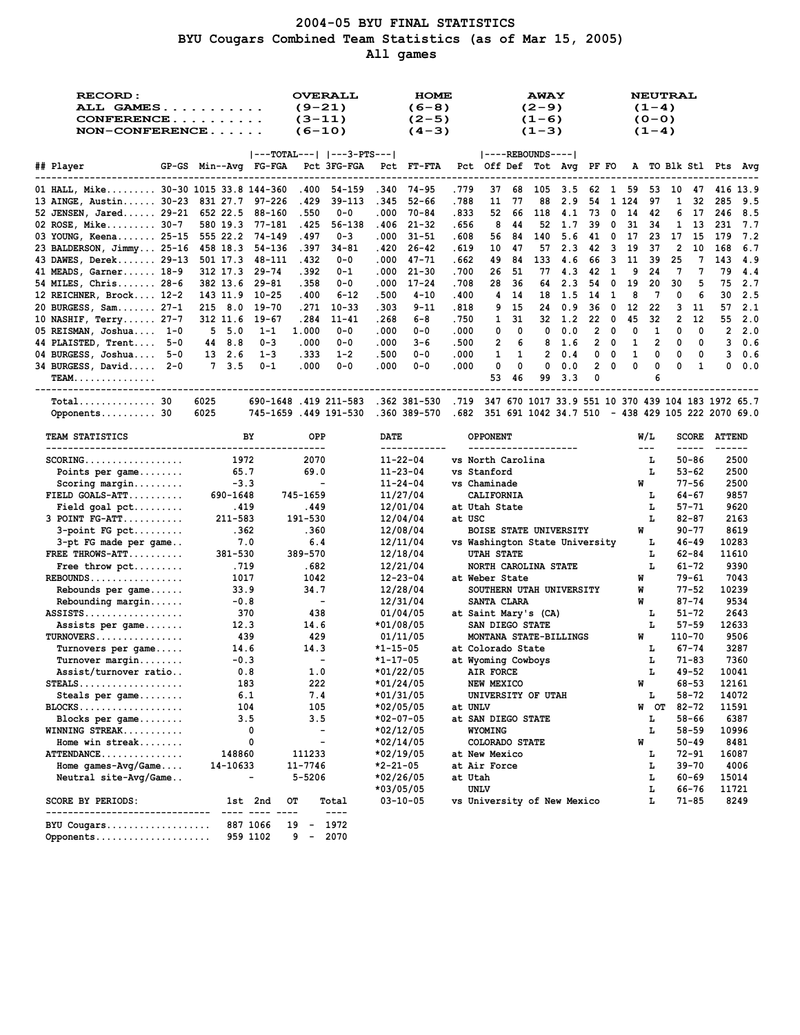## **2004-05 BYU FINAL STATISTICS BYU Cougars Combined Team Statistics (as of Mar 15, 2005) All games**

| <b>RECORD:</b><br>ALL GAMES<br>$CONFERENCE$<br>$NON-CONFERENCE$ |                      | <b>OVERALL</b><br>$(9-21)$<br>$(3-11)$<br>$(6-10)$                                           | <b>HOME</b><br>$(6-8)$<br>$(2-5)$<br>$(4-3)$ |              | <b>AWAY</b><br>$(2-9)$<br>$(1-6)$<br>$(1-3)$   |        |     |                          |                  | $(1-4)$<br>$(0 - 0)$<br>$(1-4)$                                                                                                                                                                                                                                                                                                                                                                    | <b>NEUTRAL</b> |                    |                                   |        |
|-----------------------------------------------------------------|----------------------|----------------------------------------------------------------------------------------------|----------------------------------------------|--------------|------------------------------------------------|--------|-----|--------------------------|------------------|----------------------------------------------------------------------------------------------------------------------------------------------------------------------------------------------------------------------------------------------------------------------------------------------------------------------------------------------------------------------------------------------------|----------------|--------------------|-----------------------------------|--------|
|                                                                 |                      | $ ---TOTAL--- $ $ ---3-PTS--- $                                                              |                                              |              | $ ----REBOUNDS--- $                            |        |     |                          |                  |                                                                                                                                                                                                                                                                                                                                                                                                    |                |                    |                                   |        |
| ## Player                                                       |                      | GP-GS Min--Avg FG-FGA Pct 3FG-FGA Pct FT-FTA                                                 |                                              |              | Pct Off Def Tot Avg PF FO A TO Blk Stl Pts Avg |        |     |                          |                  |                                                                                                                                                                                                                                                                                                                                                                                                    |                |                    |                                   |        |
| 01 HALL, Mike 30-30 1015 33.8 144-360                           |                      | .400 54-159 .340 74-95                                                                       |                                              | .779         | 37 68 105 3.5 62 1 59 53 10 47 416 13.9        |        |     |                          |                  |                                                                                                                                                                                                                                                                                                                                                                                                    |                |                    |                                   |        |
| 13 AINGE, Austin 30-23 831 27.7 97-226                          |                      | .429 39-113                                                                                  | $52 - 66$<br>.345                            | .788         | 11<br>-77<br>88                                | 2.9    | 54  |                          | 1 1 2 4          | - 97                                                                                                                                                                                                                                                                                                                                                                                               | $\mathbf{1}$   | 32                 | 285                               | 9.5    |
| 52 JENSEN, Jared 29-21 652 22.5 88-160                          |                      | .550<br>0-0                                                                                  | .000<br>70-84                                | .833         | 52 66 118 4.1 73 0 14 42                       |        |     |                          |                  |                                                                                                                                                                                                                                                                                                                                                                                                    |                | 6 17               | 246                               | 8.5    |
| 02 ROSE, Mike 30-7                                              | 580 19.3 77-181      | .425 56-138                                                                                  | .406<br>$21 - 32$                            | .656         | 8<br>-44<br>52                                 | 1.7    | 39  | $\overline{\mathbf{0}}$  | 31 34            |                                                                                                                                                                                                                                                                                                                                                                                                    |                | 1 13               | 231                               | 7.7    |
| 03 YOUNG, Keena 25-15 555 22.2 74-149                           |                      | .497<br>0-3                                                                                  | .000<br>$31 - 51$                            | .608         | 56<br>84 140                                   | 5.6    |     |                          | 41 0 17 23 17 15 |                                                                                                                                                                                                                                                                                                                                                                                                    |                |                    | - 179                             | 7.2    |
| 23 BALDERSON, Jimmy 25-16 458 18.3                              | 54-136               | .397<br>34-81                                                                                | .420<br>$26 - 42$                            | . 619        | 10<br>-47<br>57                                | 2.3    | 42  | $\overline{\mathbf{3}}$  | 19               | - 37                                                                                                                                                                                                                                                                                                                                                                                               | $\overline{2}$ | 10                 | 168                               | 6.7    |
| 43 DAWES, Derek 29-13 501 17.3 48-111                           |                      | .432<br>$0 - 0$                                                                              | .000<br>47-71                                | . 662        | 49<br>- 84<br>133                              | -4.6   | 66  |                          | 3 11 39          |                                                                                                                                                                                                                                                                                                                                                                                                    | 25             |                    | 7 143                             | - 4.9  |
| 41 MEADS, Garner 18-9                                           | 312 17.3 29-74       | .392<br>0-1                                                                                  | .000<br>$21 - 30$                            | .700         | 26<br>-51<br>77                                | 4.3    | 42  | - 1                      | 9                | 24                                                                                                                                                                                                                                                                                                                                                                                                 | 7              | 7                  | 79                                | 4.4    |
| 54 MILES, Chris 28-6                                            | 382 13.6 29-81       | .358<br>0-0                                                                                  | .000<br>$17 - 24$                            | .708         | 28<br>-36                                      | 64 2.3 | 54  | $\overline{\phantom{0}}$ | 19               | 20                                                                                                                                                                                                                                                                                                                                                                                                 | 30             | 5                  | 75                                | 2.7    |
| 12 REICHNER, Brock 12-2                                         | 10-25<br>143 11.9    | .400<br>$6 - 12$                                                                             | .500<br>$4 - 10$                             | .400         | 4<br>-14                                       | 18 1.5 | 14  | $\mathbf{1}$             | 8                | 7                                                                                                                                                                                                                                                                                                                                                                                                  | 0              | 6                  | 30                                | 2.5    |
| 20 BURGESS, Sam 27-1                                            | 215 8.0 19-70        | $.271$ 10-33                                                                                 | .303<br>$9 - 11$                             | .818         | 9<br>-15<br>24                                 | 0.9    | 36  | $\mathbf{0}$             | 12               | 22                                                                                                                                                                                                                                                                                                                                                                                                 | 3              | -11                | 57                                | 2.1    |
| 10 NASHIF, Terry 27-7                                           | 312 11.6 19-67       | .284<br>11-41                                                                                | .268<br>6-8                                  | .750         | $\mathbf{1}$<br>31                             | 32 1.2 | 220 |                          | 45               | 32                                                                                                                                                                                                                                                                                                                                                                                                 | $\overline{2}$ | 12                 | 55                                | 2.0    |
| 05 REISMAN, Joshua 1-0                                          | 5, 5.0<br>$1 - 1$    | 1.000<br>$0 - 0$                                                                             | .000<br>$0 - 0$                              | .000         | $\mathbf 0$<br>0<br>0                          | 0.0    |     | $2 \quad 0$              | 0                | 1                                                                                                                                                                                                                                                                                                                                                                                                  | 0              | 0                  |                                   | 2, 2.0 |
| 44 PLAISTED, Trent 5-0                                          | 44 8.8<br>$0 - 3$    | .000<br>$0 - 0$                                                                              | .000<br>$3 - 6$                              | .500         | 2<br>8<br>6                                    | 1.6    |     | $2 \quad 0$              | 1                | $\overline{2}$                                                                                                                                                                                                                                                                                                                                                                                     | 0              | 0                  |                                   | 30.6   |
| 04 BURGESS, Joshua 5-0                                          | 13 2.6<br>$1 - 3$    | . 333<br>$1 - 2$                                                                             | .500<br>$0 - 0$                              | .000         | $\overline{2}$<br>1<br>1                       | 0.4    |     | $0\quad 0$               | 1                | 0                                                                                                                                                                                                                                                                                                                                                                                                  | 0              | 0                  |                                   | 30.6   |
| 34 BURGESS, David 2-0                                           | 7 3.5<br>$0 - 1$     | .000<br>$0 - 0$                                                                              | .000<br>$0 - 0$                              | .000         | 0<br>0<br>0                                    | 0.0    |     | $2 \quad 0$              | 0                | 0                                                                                                                                                                                                                                                                                                                                                                                                  | 0              | 1                  | 0                                 | 0.0    |
| <b>TEAM.</b>                                                    |                      |                                                                                              |                                              |              | 53<br>- 46                                     | 99 3.3 | 0   |                          |                  | 6                                                                                                                                                                                                                                                                                                                                                                                                  |                |                    | --------------------------------- |        |
| $Total$ 30                                                      | 6025                 | 6.71 10 370 439 104 183 419 417 670 1719 1847 670 1017 1719 551 10 370 439 104 183 1972 65.7 |                                              |              |                                                |        |     |                          |                  |                                                                                                                                                                                                                                                                                                                                                                                                    |                |                    |                                   |        |
| Opponents 30                                                    | 6025                 | 745-1659 .449 191-530 .360 389-570 .682 351 691 1042 34.7 510 - 438 429 105 222 2070 69.0    |                                              |              |                                                |        |     |                          |                  |                                                                                                                                                                                                                                                                                                                                                                                                    |                |                    |                                   |        |
| <b>TEAM STATISTICS</b>                                          | BY                   | OPP.                                                                                         | <b>DATE</b><br>-------------                 |              | <b>OPPONENT</b>                                |        |     |                          |                  | W/L                                                                                                                                                                                                                                                                                                                                                                                                |                |                    | <b>SCORE ATTEND</b>               |        |
| $SCORING$                                                       | 1972                 | 2070                                                                                         | $11 - 22 - 04$                               |              | --------------------<br>vs North Carolina      |        |     |                          |                  | $\frac{1}{2} \frac{1}{2} \frac{1}{2} \frac{1}{2} \frac{1}{2} \frac{1}{2} \frac{1}{2} \frac{1}{2} \frac{1}{2} \frac{1}{2} \frac{1}{2} \frac{1}{2} \frac{1}{2} \frac{1}{2} \frac{1}{2} \frac{1}{2} \frac{1}{2} \frac{1}{2} \frac{1}{2} \frac{1}{2} \frac{1}{2} \frac{1}{2} \frac{1}{2} \frac{1}{2} \frac{1}{2} \frac{1}{2} \frac{1}{2} \frac{1}{2} \frac{1}{2} \frac{1}{2} \frac{1}{2} \frac{$<br>л, |                | 50-86              | ----- ------                      | 2500   |
| Points per game                                                 | 65.7                 | 69.0                                                                                         | $11 - 23 - 04$                               | vs Stanford  |                                                |        |     |                          |                  | L.                                                                                                                                                                                                                                                                                                                                                                                                 |                | $53 - 62$          |                                   | 2500   |
| Scoring margin                                                  | $-3.3$               | $\overline{\phantom{a}}$                                                                     | $11 - 24 - 04$                               | vs Chaminade |                                                |        |     |                          | W                |                                                                                                                                                                                                                                                                                                                                                                                                    |                | $77 - 56$          |                                   | 2500   |
| $FIELD GOALS-ATT$                                               | 690-1648             | 745-1659                                                                                     | 11/27/04                                     |              | <b>CALIFORNIA</b>                              |        |     |                          |                  | т.                                                                                                                                                                                                                                                                                                                                                                                                 |                | 64-67              |                                   | 9857   |
| Field goal $pet$                                                | .419                 | .449                                                                                         | 12/01/04                                     |              | at Utah State                                  |        |     |                          |                  | г                                                                                                                                                                                                                                                                                                                                                                                                  |                | $57 - 71$          |                                   | 9620   |
| $3$ POINT $FG-ATT$                                              | 211-583              | 191-530                                                                                      | 12/04/04                                     | at USC       |                                                |        |     |                          |                  | г                                                                                                                                                                                                                                                                                                                                                                                                  |                | $82 - 87$          |                                   | 2163   |
| $3$ -point FG pct                                               | .362                 | .360                                                                                         | 12/08/04                                     |              | <b>BOISE STATE UNIVERSITY</b>                  |        |     |                          | W                |                                                                                                                                                                                                                                                                                                                                                                                                    |                | $90 - 77$          |                                   | 8619   |
| 3-pt FG made per game                                           | 7.0                  | 6.4                                                                                          | 12/11/04                                     |              | vs Washington State University                 |        |     |                          |                  | L                                                                                                                                                                                                                                                                                                                                                                                                  |                | $46 - 49$          | 10283                             |        |
| FREE THROWS-ATT                                                 | 381-530              | 389-570                                                                                      | 12/18/04                                     |              | <b>UTAH STATE</b>                              |        |     |                          |                  | L                                                                                                                                                                                                                                                                                                                                                                                                  |                | 62-84              | 11610                             |        |
| Free throw $\not\vdots$                                         | .719                 | .682                                                                                         | 12/21/04                                     |              | NORTH CAROLINA STATE                           |        |     |                          |                  | L                                                                                                                                                                                                                                                                                                                                                                                                  |                | $61 - 72$          |                                   | 9390   |
| $REBOUNDS$                                                      | 1017                 | 1042                                                                                         | $12 - 23 - 04$                               |              | at Weber State                                 |        |     |                          | W                |                                                                                                                                                                                                                                                                                                                                                                                                    |                | 79-61              |                                   | 7043   |
| Rebounds per game                                               | 33.9                 | 34.7                                                                                         | 12/28/04                                     |              | SOUTHERN UTAH UNIVERSITY                       |        |     |                          | W                |                                                                                                                                                                                                                                                                                                                                                                                                    |                | $77 - 52$          | 10239                             |        |
| $Rebounding margin$                                             | $-0.8$               | $\sim$                                                                                       | 12/31/04                                     |              | SANTA CLARA                                    |        |     |                          | W                |                                                                                                                                                                                                                                                                                                                                                                                                    |                | $87 - 74$          |                                   | 9534   |
| $ASSISTS \ldots \ldots \ldots \ldots$                           | 370                  | 438                                                                                          | 01/04/05                                     |              | at Saint Mary's (CA)                           |        |     |                          |                  | L.                                                                                                                                                                                                                                                                                                                                                                                                 |                | $51 - 72$          |                                   | 2643   |
| Assists per game                                                | 12.3                 | 14.6                                                                                         | *01/08/05                                    |              | SAN DIEGO STATE                                |        |     |                          |                  | г                                                                                                                                                                                                                                                                                                                                                                                                  |                | $57 - 59$          | 12633                             |        |
| $TURNOVERS$                                                     | - 439                | 429                                                                                          | 01/11/05                                     |              | MONTANA STATE-BILLINGS                         |        |     |                          | W                |                                                                                                                                                                                                                                                                                                                                                                                                    | 110-70         |                    |                                   | 9506   |
| Turnovers per game                                              | 14.6                 | 14.3                                                                                         | $*1 - 15 - 05$                               |              | at Colorado State                              |        |     |                          |                  | ъ.                                                                                                                                                                                                                                                                                                                                                                                                 |                | 67-74              |                                   | 3287   |
| Turnover margin                                                 | $-0.3$               | $\overline{\phantom{a}}$                                                                     | *1-17-05                                     |              | at Wyoming Cowboys                             |        |     |                          |                  | L                                                                                                                                                                                                                                                                                                                                                                                                  |                | $71 - 83$          |                                   | 7360   |
| Assist/turnover ratio                                           | 0.8                  | 1.0                                                                                          | *01/22/05                                    |              | <b>AIR FORCE</b>                               |        |     |                          |                  | $\mathbf{L}$                                                                                                                                                                                                                                                                                                                                                                                       |                | $49 - 52$          | 10041                             |        |
| $STEALS$                                                        | 183                  | 222                                                                                          | *01/24/05                                    |              | NEW MEXICO                                     |        |     |                          | W                |                                                                                                                                                                                                                                                                                                                                                                                                    |                | 68-53              | 12161                             |        |
| Steals per game                                                 | 6.1                  | 7.4                                                                                          | *01/31/05                                    |              | UNIVERSITY OF UTAH                             |        |     |                          |                  | L                                                                                                                                                                                                                                                                                                                                                                                                  |                | 58-72              | 14072                             |        |
| $BLOCKS$                                                        | 104                  | 105                                                                                          | *02/05/05                                    | at UNLV      |                                                |        |     |                          |                  | W OT                                                                                                                                                                                                                                                                                                                                                                                               |                | $82 - 72$          | 11591                             |        |
| Blocks per game                                                 | 3.5                  | 3.5                                                                                          | *02-07-05                                    |              | at SAN DIEGO STATE                             |        |     |                          |                  | r                                                                                                                                                                                                                                                                                                                                                                                                  |                | $58 - 66$          |                                   | 6387   |
| WINNING STREAK                                                  | 0<br>0               | $\overline{\phantom{0}}$<br>$\overline{\phantom{a}}$                                         | *02/12/05                                    |              | <b>WYOMING</b>                                 |        |     |                          | W                | L                                                                                                                                                                                                                                                                                                                                                                                                  |                | 58-59<br>$50 - 49$ | 10996                             | 8481   |
| Home win streak<br>ATTENDANCE                                   | 148860               | 111233                                                                                       | *02/14/05<br>*02/19/05                       |              | COLORADO STATE<br>at New Mexico                |        |     |                          |                  | L                                                                                                                                                                                                                                                                                                                                                                                                  |                | 72-91              | 16087                             |        |
| Home games- $Avg/Game$ .                                        | 14-10633             | 11-7746                                                                                      | *2-21-05                                     | at Air Force |                                                |        |     |                          |                  | г                                                                                                                                                                                                                                                                                                                                                                                                  |                | 39-70              |                                   | 4006   |
| Neutral site-Avg/Game                                           | -                    | 5-5206                                                                                       | *02/26/05                                    | at Utah      |                                                |        |     |                          |                  | г                                                                                                                                                                                                                                                                                                                                                                                                  |                | 60-69              | 15014                             |        |
|                                                                 |                      |                                                                                              | *03/05/05                                    | <b>UNLV</b>  |                                                |        |     |                          |                  | Ŀ                                                                                                                                                                                                                                                                                                                                                                                                  |                | 66-76              | 11721                             |        |
| <b>SCORE BY PERIODS:</b>                                        | 1st 2nd              | OТ<br>Total                                                                                  | $03 - 10 - 05$                               |              | vs University of New Mexico                    |        |     |                          |                  | L                                                                                                                                                                                                                                                                                                                                                                                                  |                | 71-85              |                                   | 8249   |
| ----------------------------<br>BYU Cougars<br>Opponents        | 887 1066<br>959 1102 | ----<br>1972<br>19<br>$\sim$ $ \sim$<br>$9 -$<br>2070                                        |                                              |              |                                                |        |     |                          |                  |                                                                                                                                                                                                                                                                                                                                                                                                    |                |                    |                                   |        |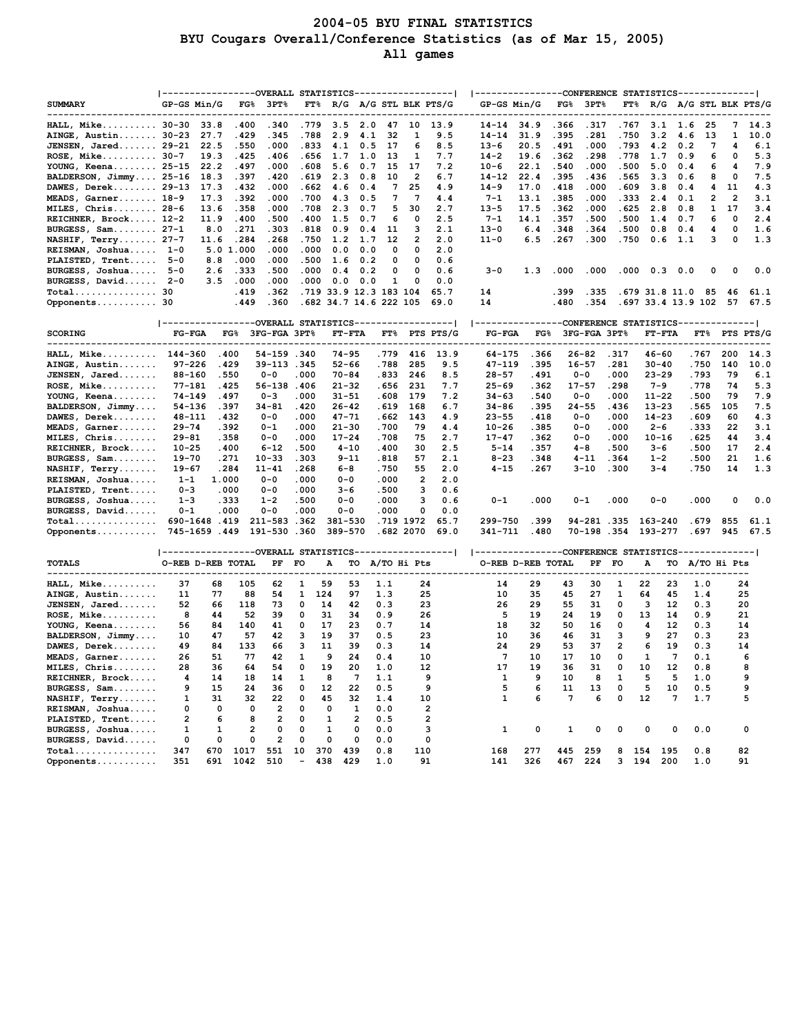# **2004-05 BYU FINAL STATISTICS BYU Cougars Overall/Conference Statistics (as of Mar 15, 2005) All games**

|                                         |                     |              |               | ----------------OVERALL STATISTICS-----------------  |                 |                          |             |              |                |                         |                                                                                                       | ---------------CONFERENCE STATISTICS-------------- |              |                    |              |                    |                |              |          |                       |
|-----------------------------------------|---------------------|--------------|---------------|------------------------------------------------------|-----------------|--------------------------|-------------|--------------|----------------|-------------------------|-------------------------------------------------------------------------------------------------------|----------------------------------------------------|--------------|--------------------|--------------|--------------------|----------------|--------------|----------|-----------------------|
| <b>SUMMARY</b>                          | GP-GS Min/G         |              | $_{\rm FG\%}$ | 3PT                                                  | $\mathbf{FT\%}$ |                          |             |              |                | R/G A/G STL BLK PTS/G   |                                                                                                       | GP-GS Min/G                                        | $_{\rm FG8}$ | 3PT                | FT%          |                    |                |              |          | R/G A/G STL BLK PTS/G |
| HALL, Mike 30-30                        |                     | 33.8         | .400          | .340                                                 | .779            | 3.5                      | 2.0         | 47           | 10             | 13.9                    |                                                                                                       | $14 - 14$ 34.9                                     | .366         | .317               | .767         | 3.1                | 1.6            | 25           | 7        | 14.3                  |
| AINGE, Austin 30-23                     |                     | 27.7         | .429          | .345                                                 | .788            | 2.9                      | 4.1         | 32           | 1              | 9.5                     | $14 - 14$                                                                                             | 31.9                                               | .395         | .281               | .750         | 3.2                | 4.6            | 13           | 1        | 10.0                  |
| JENSEN, Jared 29-21                     |                     | 22.5         | .550          | .000                                                 | .833            | 4.1                      | 0.5         | 17           | 6              | 8.5                     | $13 - 6$                                                                                              | 20.5                                               | . 491        | .000               | . 793        | 4.2                | 0.2            | 7            | 4        | 6.1                   |
| ROSE, Mike 30-7                         |                     | 19.3         | .425          | .406                                                 | . 656           | 1.7                      | 1.0         | 13           | 1              | 7.7                     | $14 - 2$                                                                                              | 19.6                                               | .362         | .298               | .778         | 1.7                | 0.9            | 6            | 0        | 5.3                   |
| YOUNG, Keena 25-15                      |                     | 22.2         | .497          | .000                                                 | .608            | 5.6                      | 0.7         | 15           | 17             | 7.2                     | $10 - 6$                                                                                              | 22.1                                               | .540         | .000               | .500         | 5.0                | 0.4            | 6            | 4        | 7.9                   |
| BALDERSON, Jimmy 25-16                  |                     | 18.3         | .397          | .420                                                 | .619            | 2.3                      | 0.8         | 10           | $\overline{2}$ | 6.7                     | 14-12                                                                                                 | 22.4                                               | . 395        | .436               | .565         | 3.3                | 0.6            | 8            | 0        | 7.5                   |
| DAWES, Derek 29-13                      |                     | 17.3         | .432          | .000                                                 | . 662           | 4.6                      | 0.4         | 7            | 25             | 4.9                     | $14 - 9$                                                                                              | 17.0                                               | .418         | .000               | . 609        | 3.8                | 0.4            | 4            | 11       | 4.3                   |
| MEADS, Garner 18-9                      |                     | 17.3         | .392          | .000                                                 | .700            | 4.3                      | 0.5         | 7            | 7              | 4.4                     | 7-1                                                                                                   | 13.1                                               | .385         | .000               | . 333        | 2.4                | 0.1            | 2            | 2        | 3.1                   |
| MILES, Chris 28-6                       |                     | 13.6         | .358          | .000                                                 | .708            | 2.3                      | 0.7         | 5            | 30             | 2.7                     | $13 - 5$                                                                                              | 17.5                                               | . 362        | .000               | . 625        | 2.8                | 0.8            | 1            | 17       | 3.4                   |
| REICHNER, Brock 12-2                    |                     | 11.9         | .400          | .500                                                 | .400            | 1.5                      | 0.7         | 6            | 0              | 2.5                     | 7-1                                                                                                   | 14.1                                               | .357         | .500               | .500         | 1.4                | 0.7            | 6            | 0        | 2.4                   |
| BURGESS, Sam 27-1<br>NASHIF, Terry 27-7 |                     | 8.0          | .271<br>.284  | .303<br>.268                                         | .818<br>.750    | 0.9<br>1.2               | 0.4<br>1.7  | 11<br>12     | з<br>2         | 2.1<br>2.0              | $13 - 0$<br>11-0                                                                                      | 6.4<br>6.5                                         | .348<br>.267 | .364<br>.300       | .500<br>.750 | 0.8<br>0.6         | 0.4<br>1.1     | 4<br>з       | 0<br>0   | 1.6<br>1.3            |
| REISMAN, Joshua 1-0                     |                     | 11.6         | 5.0 1.000     | .000                                                 | .000            | 0.0                      | 0.0         | 0            | 0              | 2.0                     |                                                                                                       |                                                    |              |                    |              |                    |                |              |          |                       |
| PLAISTED, Trent                         | $5 - 0$             | 8.8          | .000          | .000                                                 | .500            | 1.6                      | 0.2         | 0            | 0              | 0.6                     |                                                                                                       |                                                    |              |                    |              |                    |                |              |          |                       |
| BURGESS, Joshua                         | $5 - 0$             | 2.6          | . 333         | .500                                                 | .000            | 0.4                      | 0.2         | 0            | 0              | 0.6                     | $3 - 0$                                                                                               | 1.3                                                | .000         | .000               | .000         | 0.3                | 0.0            | 0            | 0        | 0.0                   |
| BURGESS, David 2-0                      |                     | 3.5          | .000          | .000                                                 | .000            | 0.0                      | 0.0         | 1            | 0              | 0.0                     |                                                                                                       |                                                    |              |                    |              |                    |                |              |          |                       |
| Total 30                                |                     |              | .419          | .362                                                 |                 | .719 33.9 12.3 183 104   |             |              |                | 65.7                    | 14                                                                                                    |                                                    | . 399        | .335               |              | .679 31.8 11.0     |                | 85           | 46       | 61.1                  |
| Opponents 30                            |                     |              | .449          | .360                                                 |                 | .682 34.7 14.6 222 105   |             |              |                | 69.0                    | 14                                                                                                    |                                                    | .480         | .354               |              | .697 33.4 13.9 102 |                |              | 57       | 67.5                  |
|                                         |                     |              |               |                                                      |                 |                          |             |              |                |                         |                                                                                                       |                                                    |              |                    |              |                    |                |              |          |                       |
|                                         |                     |              |               | -----------------OVERALL STATISTICS----------------- |                 |                          |             |              |                |                         |                                                                                                       | ---------------CONFERENCE STATISTICS------------   |              |                    |              |                    |                |              |          |                       |
| <b>SCORING</b>                          | $FG-FGA$            |              | $_{\rm FG8}$  | 3FG-FGA 3PT%                                         |                 | <b>FT-FTA</b>            |             | FT%          |                | PTS PTS/G               | $FG-FGA$                                                                                              | $_{\rm FG8}$                                       |              | 3FG-FGA 3PT%       |              | <b>FT-FTA</b>      |                | FT%          |          | PTS PTS/G             |
| HALL, Mike                              | 144-360             |              | .400          | 54-159.340                                           |                 | $74 - 95$                |             | . 779        | 416            | 13.9                    | 64-175                                                                                                | .366                                               |              | $26 - 82$          | .317         | $46 - 60$          |                | .767         | 200      | 14.3                  |
| AINGE, Austin                           | $97 - 226$          |              | .429          | 39-113.345                                           |                 | 52-66                    |             | .788         | 285            | 9.5                     | $47 - 119$                                                                                            | .395                                               |              | $16 - 57$          | .281         | $30 - 40$          |                | .750         | 140      | 10.0                  |
| JENSEN, Jared                           | 88-160              |              | .550          | $0 - 0$                                              | .000            | $70 - 84$                |             | .833         | 246            | 8.5                     | $28 - 57$                                                                                             | .491                                               |              | $0 - 0$            | .000         | 23-29              |                | . 793        | 79       | 6.1                   |
| <b>ROSE, Mike</b>                       | $77 - 181$          |              | .425          | 56-138.406                                           |                 | $21 - 32$                |             | . 656        | 231            | 7.7                     | $25 - 69$                                                                                             | .362                                               |              | $17 - 57$          | .298         | 7-9                |                | .778         | 74       | 5.3                   |
| YOUNG, Keena                            | $74 - 149$          |              | .497          | $0 - 3$                                              | .000            | 31-51                    |             | .608         | 179            | 7.2                     | $34 - 63$                                                                                             | .540                                               |              | $0 - 0$            | .000         | 11-22              |                | .500         | 79       | 7.9                   |
| BALDERSON, Jimmy                        | 54-136              |              | .397          | 34-81                                                | .420            | 26-42                    |             | . 619        | 168            | 6.7                     | 34-86                                                                                                 | .395                                               |              | $24 - 55$          | .436         | $13 - 23$          |                | .565         | 105      | 7.5                   |
| DAWES, Derek                            | 48-111<br>$29 - 74$ |              | .432          | 0-0                                                  | .000<br>.000    | 47-71                    |             | . 662        | 143            | 4.9                     | $23 - 55$                                                                                             | .418                                               |              | $0 - 0$            | .000<br>.000 | $14 - 23$          |                | . 609        | 60<br>22 | 4.3<br>3.1            |
| MEADS, Garner<br>MILES, Chris           | $29 - 81$           |              | .392<br>.358  | 0-1<br>0-0                                           | .000            | $21 - 30$<br>17-24       |             | .700<br>.708 | 79<br>75       | 4.4<br>2.7              | $10 - 26$<br>$17 - 47$                                                                                | .385<br>.362                                       |              | $0 - 0$<br>$0 - 0$ | .000         | 2-6<br>$10 - 16$   |                | .333<br>.625 | 44       | 3.4                   |
| REICHNER, Brock                         | $10 - 25$           |              | .400          | 6-12                                                 | .500            | $4 - 10$                 |             | .400         | 30             | 2.5                     | $5 - 14$                                                                                              | .357                                               |              | 4-8                | .500         | $3 - 6$            |                | .500         | 17       | 2.4                   |
| BURGESS, Sam                            | 19-70               |              | .271          | $10 - 33$                                            | .303            | $9 - 11$                 |             | .818         | 57             | 2.1                     | $8 - 23$                                                                                              | .348                                               |              | 4-11               | . 364        | $1 - 2$            |                | .500         | 21       | 1.6                   |
| <b>NASHIF, Terry</b>                    | 19-67               |              | .284          | $11 - 41$                                            | .268            | 6-8                      |             | .750         | 55             | 2.0                     | 4-15                                                                                                  | .267                                               |              | 3-10               | .300         | $3 - 4$            |                | .750         | 14       | 1.3                   |
| REISMAN, Joshua                         | $1 - 1$             |              | 1.000         | $0 - 0$                                              | .000            | $0 - 0$                  |             | .000         | 2              | 2.0                     |                                                                                                       |                                                    |              |                    |              |                    |                |              |          |                       |
| <b>PLAISTED, Trent</b>                  | $0 - 3$             |              | .000          | $0 - 0$                                              | .000            | $3 - 6$                  |             | .500         | з              | 0.6                     |                                                                                                       |                                                    |              |                    |              |                    |                |              |          |                       |
| BURGESS, Joshua                         | 1-3                 |              | .333          | $1 - 2$                                              | .500            | $0 - 0$                  |             | .000         | з              | 0.6                     | $0 - 1$                                                                                               | .000                                               |              | $0 - 1$            | .000         | $0 - 0$            |                | .000         | 0        | 0.0                   |
| BURGESS, David                          | 0-1                 |              | .000          | $0 - 0$                                              | .000            | $0 - 0$                  |             | .000         | 0              | 0.0                     |                                                                                                       |                                                    |              |                    |              |                    |                |              |          |                       |
| Total                                   | 690-1648            |              | .419          | 211-583                                              | .362            | 381-530                  |             |              | .719 1972      | 65.7                    | 299-750                                                                                               | .399                                               |              | 94-281.335         |              | 163-240            |                | . 679        | 855      | 61.1                  |
| Opponents                               |                     | 745-1659.449 |               | 191-530.360                                          |                 | 389-570                  |             |              | .682 2070      | 69.0                    | 341-711                                                                                               | .480                                               |              | 70-198.354         |              | 193-277            |                | . 697        | 945      | 67.5                  |
|                                         |                     |              |               |                                                      |                 |                          |             |              |                |                         | ---------------OVERALL STATISTICS-----------------   --------------CONFERENCE STATISTICS------------- |                                                    |              |                    |              |                    |                |              |          |                       |
| <b>TOTALS</b>                           | O-REB D-REB TOTAL   |              |               | PF                                                   | FO              | А                        |             |              | TO A/TO Hi Pts |                         |                                                                                                       | O-REB D-REB TOTAL                                  |              | PF                 | FO           | А                  | TO A/TO Hi Pts |              |          |                       |
| ---------------                         |                     |              |               |                                                      |                 | 59                       |             |              |                |                         |                                                                                                       |                                                    |              |                    |              |                    |                |              |          |                       |
| <b>HALL, Mike</b><br>AINGE, Austin      | 37<br>11            | 68<br>77     | 105<br>88     | 62<br>54                                             | 1<br>1          | 53<br>124<br>97          |             | 1.1<br>1.3   | 24<br>25       |                         | 14<br>10                                                                                              | 29<br>35                                           | 43<br>45     | 30<br>27           | 1<br>1       | 22<br>64           | 23<br>45       | 1.0<br>1.4   |          | 24<br>25              |
| <b>JENSEN, Jared</b>                    | 52                  | 66           | 118           | 73                                                   | 0               | 14<br>42                 |             | 0.3          | 23             |                         | 26                                                                                                    | 29                                                 | 55           | 31                 | 0            | з                  | 12             | 0.3          |          | 20                    |
| <b>ROSE, Mike</b>                       | 8                   | 44           | 52            | 39                                                   | 0               | 31<br>34                 |             | 0.9          | 26             |                         | 5                                                                                                     | 19                                                 | 24           | 19                 | 0            | 13                 | 14             | 0.9          |          | 21                    |
| YOUNG, Keena                            | 56                  | 84           | 140           | 41                                                   | 0               | 17<br>23                 |             | 0.7          | 14             |                         | 18                                                                                                    | 32                                                 | 50           | 16                 | 0            | 4                  | 12             | 0.3          | 14       |                       |
| BALDERSON, Jimmy                        | 10                  | 47           | 57            | 42                                                   | з               | 19<br>37                 |             | 0.5          | 23             |                         | 10                                                                                                    | 36                                                 | 46           | 31                 | з            | 9                  | 27             | 0.3          |          | 23                    |
| DAWES, Derek                            | 49                  | 84           | 133           | 66                                                   | з               | 11<br>39                 |             | 0.3          | 14             |                         | 24                                                                                                    | 29                                                 | 53           | 37                 | 2            | 6                  | 19             | 0.3          |          | 14                    |
| MEADS, Garner                           | 26                  | 51           | 77            | 42                                                   | 1               | 9<br>24                  |             | 0.4          | 10             |                         | 7                                                                                                     | 10                                                 | 17           | 10                 | 0            | 1                  | 7              | 0.1          |          | 6                     |
| MILES, Chris                            | 28                  | 36           | 64            | 54                                                   | 0               | 19<br>20                 |             | 1.0          | 12             |                         | 17                                                                                                    | 19                                                 | 36           | 31                 | 0            | 10                 | 12             | 0.8          |          | 8                     |
| REICHNER, Brock                         | 4                   | 14           | 18            | 14                                                   | 1               | 8                        | 7           | 1.1          |                | 9                       | 1                                                                                                     | 9                                                  | 10           | 8                  | 1            | 5                  | 5              | 1.0          |          | 9                     |
| BURGESS, Sam                            | 9                   | 15           | 24            | 36                                                   | 0               | 12<br>22                 |             | 0.5          |                | 9                       | 5                                                                                                     | 6                                                  | 11           | 13                 | 0            | 5                  | 10             | 0.5          |          | 9                     |
| <b>NASHIF, Terry</b>                    | 1                   | 31           | 32            | 22                                                   | 0               | 45<br>32                 |             | 1.4          | 10             |                         | 1                                                                                                     | 6                                                  | 7            | 6                  | 0            | 12                 | 7              | 1.7          |          | 5                     |
| REISMAN, Joshua                         | 0                   | 0            |               | $\overline{\mathbf{c}}$<br>0                         | 0               | 0                        | 1           | 0.0          |                | $\overline{\mathbf{2}}$ |                                                                                                       |                                                    |              |                    |              |                    |                |              |          |                       |
| PLAISTED, Trent                         | 2                   | 6            |               | 2<br>8                                               | 0               | 1                        | 2           | 0.5          |                | 2                       |                                                                                                       |                                                    |              |                    |              |                    |                |              |          |                       |
| BURGESS, Joshua                         | 1                   | 1            |               | 2<br>0                                               | 0               | 1                        | $\mathbf 0$ | 0.0          |                | 3                       | 1                                                                                                     | 0                                                  | 1            | 0                  | 0            | 0                  | 0              | 0.0          |          | 0                     |
| BURGESS, David                          | 0                   | 0            |               | 2<br>0                                               | 0               | 0                        | 0           | 0.0          |                | 0                       |                                                                                                       |                                                    |              |                    |              |                    |                |              |          |                       |
| Total<br>Opponents                      | 347<br>351          | 670<br>691   | 1017<br>1042  | 551<br>510                                           | 10<br>-         | 370<br>439<br>438<br>429 |             | 0.8<br>1.0   | 110<br>91      |                         | 168<br>141                                                                                            | 277<br>326                                         | 445<br>467   | 259<br>224         | 8<br>3       | 154 195<br>194 200 |                | 0.8<br>1.0   |          | 82<br>91              |
|                                         |                     |              |               |                                                      |                 |                          |             |              |                |                         |                                                                                                       |                                                    |              |                    |              |                    |                |              |          |                       |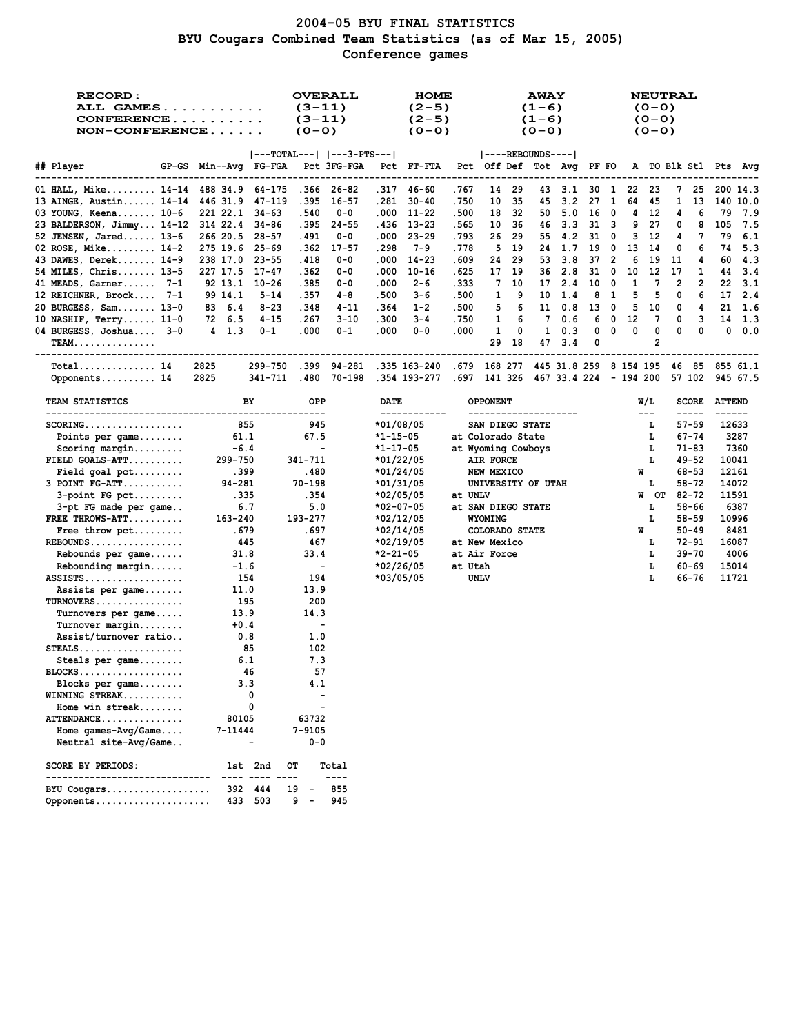# **2004-05 BYU FINAL STATISTICS BYU Cougars Combined Team Statistics (as of Mar 15, 2005) Conference games**

| <b>RECORD:</b><br>ALL GAMES<br>CONFERENCE<br>NON-CONFERENCE |                                   |                | $(3-11)$<br>$(3-11)$<br>$(0 - 0)$ | <b>OVERALL</b>                  |                        | <b>HOME</b><br>$(2-5)$<br>$(2-5)$<br>$(0 - 0)$                  |               |                                  |          | <b>AWAY</b><br>$(1-6)$<br>$(1-6)$<br>$(0 - 0)$ |            |          |              |         | <b>NEUTRAL</b><br>$(0 - 0)$<br>$(0 - 0)$<br>$(0 - 0)$ |         |                               |                                |                |
|-------------------------------------------------------------|-----------------------------------|----------------|-----------------------------------|---------------------------------|------------------------|-----------------------------------------------------------------|---------------|----------------------------------|----------|------------------------------------------------|------------|----------|--------------|---------|-------------------------------------------------------|---------|-------------------------------|--------------------------------|----------------|
|                                                             |                                   |                |                                   | $ ---TOTAL--- $ $ ---3-PTS--- $ |                        |                                                                 |               | $ ----REBOUNDS--- $              |          |                                                |            |          |              |         |                                                       |         |                               |                                |                |
| ## Player                                                   | GP-GS Min--Avg FG-FGA Pct 3FG-FGA |                |                                   |                                 |                        | Pct FT-FTA                                                      |               | Pct Off Def Tot Avg PF FO        |          |                                                |            |          |              |         |                                                       |         |                               | A TO Blk Stl Pts Avg           |                |
| 01 HALL, Mike 14-14 488 34.9 64-175                         |                                   |                |                                   | .366 26-82                      |                        | .317 46-60                                                      | .767          | 14                               | 29       |                                                | 433.1      |          | 30 1         | 22      | -23                                                   |         | 7 25                          |                                | 200 14.3       |
| 13 AINGE, Austin 14-14 446 31.9                             |                                   | 47-119         | .395                              | 16-57                           | .281                   | $30 - 40$                                                       | .750          | 10                               | 35       | 45                                             | 3.2        | 27       | 1            | 64      | 45                                                    | 1       | 13                            |                                | 140 10.0       |
| 03 YOUNG, Keena 10-6                                        | 221 22.1 34-63                    |                | .540                              | $0 - 0$                         | .000                   | 11-22                                                           | .500          | 18                               | -32      |                                                | 50 5.0     | 16       | $\mathbf{0}$ | 4       | -12                                                   | 4       | 6                             | 79                             | 7.9            |
| 23 BALDERSON, Jimmy 14-12 314 22.4                          |                                   | 34-86          | .395                              | $24 - 55$                       |                        | $.436$ $13-23$                                                  | .565          | 10                               | -36      | 46                                             | 3.3        | 31       | $_{3}$       | 9       | 27                                                    | 0       | 8                             | 105                            | 7.5            |
| 52 JENSEN, Jared 13-6                                       | 266 20.5                          | - 28–57        | .491                              | 0-0                             | .000                   | $23 - 29$                                                       | .793          | 26                               | 29       | 55                                             | 4.2        | 31       | - 0          | 3       | -12                                                   | 4       | 7                             | 79                             | 6.1            |
| 02 ROSE, Mike 14-2                                          | 275 19.6                          | 25-69          | .362                              | $17 - 57$                       | .298                   | 7-9                                                             | .778          | 5                                | 19       | 24                                             | 1.7        | 19       | $\mathbf{0}$ | 13      | 14                                                    | 0       | 6                             | 74                             | 5.3            |
| 43 DAWES, Derek 14-9                                        | 238 17.0 23-55                    |                | .418                              | 0-0                             | .000                   | $14 - 23$                                                       | .609          | 24                               | 29       | 53                                             | 3.8        | 37       | 2            | 6       | 19                                                    | 11      | 4                             | 60                             | 4.3            |
| 54 MILES, Chris 13-5<br>41 MEADS, Garner 7-1                | 227 17.5<br>92 13.1               | 17-47<br>10-26 | .362<br>.385                      | 0-0<br>0-0                      | .000<br>.000           | $10 - 16$<br>$2 - 6$                                            | .625<br>. 333 | 17<br>7                          | 19<br>10 | 36<br>17                                       | 2.8<br>2.4 | 31<br>10 | 0<br>- 0     | 10<br>1 | 12<br>7                                               | 17<br>2 | 1<br>2                        | 44<br>22                       | -3.4<br>- 3.1  |
| 12 REICHNER, Brock 7-1                                      | 99 14.1                           | 5-14           | .357                              | 4-8                             | .500                   | 3-6                                                             | .500          | 1                                | 9        | 10                                             | 1.4        | 8        | -1           | 5       | 5                                                     | 0       | 6                             |                                | 17, 2.4        |
| 20 BURGESS, Sam 13-0                                        | 83 6.4                            | $8 - 23$       | .348                              | 4-11                            | .364                   | $1 - 2$                                                         | .500          | 5                                | 6        | 11                                             | 0.8        | 13       | 0            | 5       | 10                                                    | 0       | 4                             |                                | $21 \quad 1.6$ |
| 10 NASHIF, $Terry 11-0$                                     | 72 6.5                            | 4-15           | .267                              | 3-10                            | .300                   | $3 - 4$                                                         | .750          | 1                                | 6        | 7                                              | 0.6        | 6        | 0            | 12      | 7                                                     | 0       | 3                             |                                | 14 1.3         |
| 04 BURGESS, Joshua 3-0                                      | 4 1.3                             | $0 - 1$        | .000                              | $0 - 1$                         | .000                   | $0 - 0$                                                         | .000          | 1                                | 0        | 1                                              | 0.3        | 0        | 0            | 0       | 0                                                     | 0       | 0                             |                                | 0.0.0          |
| <b>TEAM</b>                                                 |                                   |                |                                   |                                 |                        |                                                                 |               | 29                               | 18       | 47                                             | 3.4        | 0        |              |         | 2                                                     |         |                               |                                |                |
|                                                             |                                   |                |                                   |                                 |                        |                                                                 |               |                                  |          |                                                |            |          |              |         |                                                       |         |                               |                                |                |
| $Total$ 14                                                  | 2825                              | 299-750        | .399                              | 94-281                          |                        | .335 163-240 .679 168 277 445 31.8 259 8 154 195 46 85 855 61.1 |               |                                  |          |                                                |            |          |              |         |                                                       |         |                               |                                |                |
| Opponents 14                                                | 2825                              | 341-711        |                                   | .480 70-198                     |                        | .354 193-277 .697 141 326 467 33.4 224 - 194 200                |               |                                  |          |                                                |            |          |              |         |                                                       |         |                               | 57 102 945 67.5                |                |
| TEAM STATISTICS                                             |                                   | BY             | OPP                               |                                 | DATE                   | ------------                                                    |               | OPPONENT<br>-------------------- |          |                                                |            |          |              |         | W/L<br>$\sim$ $\sim$ $\sim$                           |         | <b>SCORE</b><br>$\frac{1}{2}$ | <b>ATTEND</b><br>$- - - - - -$ |                |
| $SCORING. \ldots \ldots \ldots \ldots \ldots$               |                                   | 855            | 945                               |                                 |                        | $*01/08/05$                                                     |               | SAN DIEGO STATE                  |          |                                                |            |          |              |         | т.                                                    |         | $57 - 59$                     | 12633                          |                |
| Points per game                                             | 61.1                              |                | 67.5                              |                                 | $*1 - 15 - 05$         |                                                                 |               | at Colorado State                |          |                                                |            |          |              |         | L                                                     |         | $67 - 74$                     |                                | 3287           |
| $Scoring margin$                                            | $-6.4$                            |                | $\overline{\phantom{a}}$          |                                 | *1-17-05               |                                                                 |               | at Wyoming Cowboys               |          |                                                |            |          |              |         | г                                                     |         | 71-83                         |                                | 7360           |
| FIELD $GOALS-ATT$                                           | 299-750                           |                | 341-711                           |                                 | $*01/22/05$            |                                                                 |               | AIR FORCE                        |          |                                                |            |          |              |         | L                                                     |         | 49-52                         | 10041                          |                |
| Field goal $pet$                                            | .399                              |                | .480                              |                                 | *01/24/05              |                                                                 |               | NEW MEXICO                       |          |                                                |            |          |              | W       |                                                       |         | $68 - 53$                     | 12161                          |                |
| $3$ POINT $FG-ATT$                                          | $94 - 281$                        |                | $70 - 198$                        |                                 | *01/31/05              |                                                                 |               | UNIVERSITY OF UTAH               |          |                                                |            |          |              |         | г                                                     |         | $58 - 72$                     | 14072                          |                |
| $3$ -point FG pct                                           | .335                              |                | .354                              |                                 | *02/05/05              |                                                                 | at UNLV       |                                  |          |                                                |            |          |              |         | W OT                                                  |         | $82 - 72$                     | 11591                          |                |
| 3-pt FG made per game                                       |                                   | 6.7            | 5.0                               |                                 | $*02-07-05$            |                                                                 |               | at SAN DIEGO STATE               |          |                                                |            |          |              |         | т.                                                    |         | 58-66                         |                                | 6387           |
| FREE THROWS-ATT                                             | 163-240                           |                | 193-277                           |                                 | *02/12/05              |                                                                 |               | WYOMING                          |          |                                                |            |          |              |         | г                                                     |         | $58 - 59$                     | 10996                          |                |
| Free throw pct                                              | .679                              |                | . 697                             |                                 | *02/14/05              |                                                                 |               | COLORADO STATE                   |          |                                                |            |          |              | W       |                                                       |         | $50 - 49$                     |                                | 8481           |
| $REBOUNDS$                                                  |                                   | 445            | 467                               |                                 | *02/19/05              |                                                                 |               | at New Mexico                    |          |                                                |            |          |              |         | т.                                                    |         | $72 - 91$                     | 16087                          |                |
| Rebounds per game                                           | 31.8                              |                | 33.4<br>$\blacksquare$            |                                 | *2-21-05               |                                                                 | at Utah       | at Air Force                     |          |                                                |            |          |              |         | г<br>г                                                |         | $39 - 70$<br>$60 - 69$        | 15014                          | 4006           |
| Rebounding margin<br>$ASSISTS \ldots \ldots \ldots \ldots$  | $-1.6$<br>-154                    |                | 194                               |                                 | *02/26/05<br>*03/05/05 |                                                                 |               | UNLV                             |          |                                                |            |          |              |         | г                                                     |         | 66-76                         | 11721                          |                |
| Assists per game                                            | 11.0                              |                | 13.9                              |                                 |                        |                                                                 |               |                                  |          |                                                |            |          |              |         |                                                       |         |                               |                                |                |
| TURNOVERS                                                   | 195                               |                | 200                               |                                 |                        |                                                                 |               |                                  |          |                                                |            |          |              |         |                                                       |         |                               |                                |                |
| Turnovers per game                                          | 13.9                              |                | 14.3                              |                                 |                        |                                                                 |               |                                  |          |                                                |            |          |              |         |                                                       |         |                               |                                |                |
| $Turnover$ margin                                           | $+0.4$                            |                | $\blacksquare$                    |                                 |                        |                                                                 |               |                                  |          |                                                |            |          |              |         |                                                       |         |                               |                                |                |
| Assist/turnover ratio                                       |                                   | 0.8            | 1.0                               |                                 |                        |                                                                 |               |                                  |          |                                                |            |          |              |         |                                                       |         |                               |                                |                |
| $STEALS$                                                    |                                   | 85             | 102                               |                                 |                        |                                                                 |               |                                  |          |                                                |            |          |              |         |                                                       |         |                               |                                |                |
| Steals per game                                             |                                   | 6.1            | 7.3                               |                                 |                        |                                                                 |               |                                  |          |                                                |            |          |              |         |                                                       |         |                               |                                |                |
| BLOCKS                                                      |                                   | - 46           | 57                                |                                 |                        |                                                                 |               |                                  |          |                                                |            |          |              |         |                                                       |         |                               |                                |                |
| Blocks per game                                             |                                   | 3.3            | 4.1                               |                                 |                        |                                                                 |               |                                  |          |                                                |            |          |              |         |                                                       |         |                               |                                |                |
| WINNING STREAK                                              |                                   | 0              |                                   |                                 |                        |                                                                 |               |                                  |          |                                                |            |          |              |         |                                                       |         |                               |                                |                |
| Home win streak<br>ATTENDANCE                               | 80105                             | 0              | 63732                             |                                 |                        |                                                                 |               |                                  |          |                                                |            |          |              |         |                                                       |         |                               |                                |                |
| Home games- $Avg/Game$ .                                    | 7-11444                           |                | 7-9105                            |                                 |                        |                                                                 |               |                                  |          |                                                |            |          |              |         |                                                       |         |                               |                                |                |
| Neutral site-Avg/Game                                       |                                   |                | 0-0                               |                                 |                        |                                                                 |               |                                  |          |                                                |            |          |              |         |                                                       |         |                               |                                |                |
|                                                             |                                   |                |                                   |                                 |                        |                                                                 |               |                                  |          |                                                |            |          |              |         |                                                       |         |                               |                                |                |
| <b>SCORE BY PERIODS:</b><br>------------------------        |                                   | 1st 2nd        | OТ                                | Total<br>----                   |                        |                                                                 |               |                                  |          |                                                |            |          |              |         |                                                       |         |                               |                                |                |
| BYU Cougars                                                 | 392                               | 444            | 19                                | 855                             |                        |                                                                 |               |                                  |          |                                                |            |          |              |         |                                                       |         |                               |                                |                |
| Opponents                                                   |                                   | 433 503        | 9 –                               | 945                             |                        |                                                                 |               |                                  |          |                                                |            |          |              |         |                                                       |         |                               |                                |                |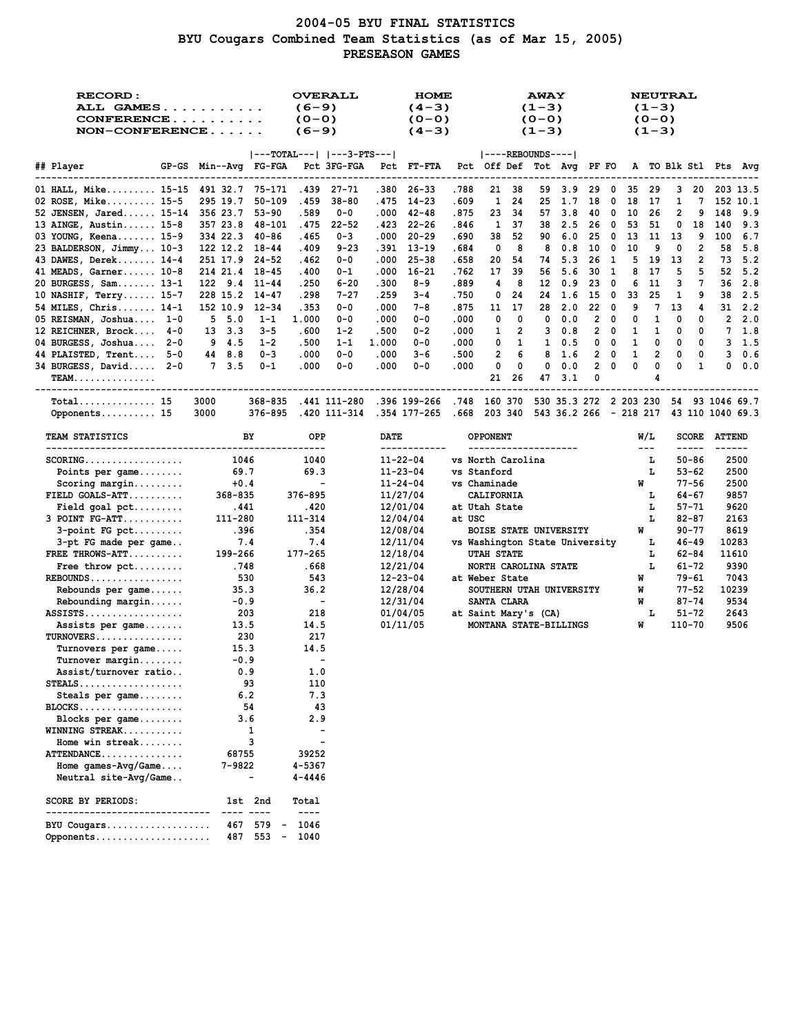## **2004-05 BYU FINAL STATISTICS BYU Cougars Combined Team Statistics (as of Mar 15, 2005) PRESEASON GAMES**

| RECORD:<br>ALL GAMES<br>CONFERENCE<br>$NON-CONFERENCE$      |                                    | <b>OVERALL</b><br>$(6-9)$<br>$(0 - 0)$<br>$(6-9)$ | <b>HOME</b><br>$(4-3)$<br>$(0 - 0)$<br>$(4-3)$                |                        | <b>AWAY</b><br>$(1-3)$<br>$(0 - 0)$<br>$(1-3)$ |                     | <b>NEUTRAL</b><br>$(1-3)$<br>$(0 - 0)$<br>$(1-3)$ |                     |                                      |
|-------------------------------------------------------------|------------------------------------|---------------------------------------------------|---------------------------------------------------------------|------------------------|------------------------------------------------|---------------------|---------------------------------------------------|---------------------|--------------------------------------|
|                                                             |                                    | $ ---TOTAL--- $ $ ---3-PTS--- $                   |                                                               |                        | $ ----REBOUNDS--- $                            |                     |                                                   |                     |                                      |
| ## Player<br>----------------                               | GP-GS Min--Avg FG-FGA              | Pct 3FG-FGA                                       | Pct FT-FTA                                                    |                        | Pct Off Def Tot Avg PF FO                      |                     |                                                   |                     | A TO Blk Stl Pts Avg                 |
| 01 HALL, Mike 15-15                                         | 491 32.7<br>75-171                 | .439<br>$27 - 71$                                 | .380<br>$26 - 33$                                             | .788<br>21             | 3.9<br>-38<br>59                               | 29<br>0             | 29<br>35                                          | 3<br>20             | 203 13.5                             |
| 02 ROSE, Mike 15-5                                          | 295 19.7<br>$50 - 109$             | .459<br>$38 - 80$                                 | . 475<br>14-23                                                | 1<br>. 609             | -24<br>25<br>1.7                               | 18<br>0             | 18<br>17                                          | $\mathbf{1}$<br>7   | 152 10.1                             |
| 52 JENSEN, Jared 15-14                                      | 356 23.7<br>$53 - 90$              | .589<br>$0 - 0$                                   | .000<br>42-48                                                 | .875<br>23             | 34<br>57<br>3.8                                | 40<br>0             | 10<br>-26                                         | 2<br>9              | 148<br>9.9                           |
| 13 AINGE, Austin 15-8                                       | 357 23.8<br>48-101                 | .475<br>$22 - 52$                                 | - 22–26<br>.423                                               | 1<br>.846              | 37<br>2.5<br>38                                | 26<br>0             | 53<br>51                                          | 18<br>0             | 9.3<br>140                           |
| 03 YOUNG, Keena 15-9                                        | 334 22.3<br>-40-86                 | .465<br>$0 - 3$                                   | .000<br>$20 - 29$                                             | .690<br>38             | 52<br>90<br>6.0                                | 25<br>0             | 13<br>11                                          | 13<br>9             | 100<br>6.7                           |
| 23 BALDERSON, Jimmy 10-3                                    | 122 12.2 18-44                     | .409<br>$9 - 23$                                  | . 391<br>13-19                                                | .684<br>0              | 8<br>8<br>0.8                                  | 10<br>0             | 9<br>10                                           | $\overline{2}$<br>0 | 5.8<br>58                            |
| 43 DAWES, Derek 14-4                                        | 251 17.9 24-52                     | .462<br>$0 - 0$                                   | .000<br>$25 - 38$                                             | . 658<br>20            | 54<br>5.3<br>74                                | 26<br>1             | 5<br>19                                           | 2<br>13             | 5.2<br>73                            |
| 41 MEADS, Garner 10-8                                       | 214 21.4 18-45                     | .400<br>$0 - 1$                                   | $16 - 21$<br>.000                                             | 17<br>.762             | 39<br>5.6<br>56                                | 30<br>1             | 8<br>17                                           | 5<br>5<br>7         | 5.2<br>52<br>2.8                     |
| 20 BURGESS, Sam 13-1<br>10 NASHIF, Terry 15-7               | 122 9.4<br>11-44<br>228 15.2 14-47 | .250<br>6-20<br>.298<br>$7 - 27$                  | .300<br>$8 - 9$<br>.259<br>$3 - 4$                            | .889<br>4<br>.750<br>0 | 8<br>12<br>0.9<br>24<br>1.6<br>24              | 23<br>0<br>15<br>0  | 6<br>11<br>25<br>33                               | з<br>9<br>1         | 36<br>2.5<br>38                      |
| 54 MILES, Chris 14-1                                        | 152 10.9<br>12-34                  | . 353<br>$0 - 0$                                  | .000<br>7-8                                                   | .875<br>11             | 17<br>28<br>2.0                                | 22<br>$\mathbf 0$   | 9<br>7                                            | 13<br>4             | 2.2<br>31                            |
| 05 REISMAN, Joshua 1-0                                      | 5, 5.0<br>$1 - 1$                  | 1.000<br>$0 - 0$                                  | .000<br>$0 - 0$                                               | .000<br>0              | 0<br>0<br>0.0                                  | $\overline{2}$<br>0 | 1<br>0                                            | 0<br>0              | $\overline{2}$<br>2.0                |
| 12 REICHNER, Brock 4-0                                      | 13 3.3<br>$3 - 5$                  | .600<br>$1 - 2$                                   | .500<br>$0 - 2$                                               | .000<br>1              | 2<br>3<br>0.8                                  | 2<br>$\mathbf 0$    | 1<br>1                                            | 0<br>0              | 7<br>1.8                             |
| 04 BURGESS, Joshua 2-0                                      | 9 4.5<br>$1 - 2$                   | .500<br>$1 - 1$                                   | 1.000<br>$0 - 0$                                              | .000<br>0              | 1<br>$\mathbf{1}$<br>0.5                       | 0<br>0              | 1<br>0                                            | 0<br>0              | 1.5<br>3                             |
| 44 PLAISTED, Trent 5-0                                      | 44 8.8<br>$0 - 3$                  | .000<br>$0 - 0$                                   | .000<br>3-6                                                   | 2<br>.500              | 6<br>1.6<br>8                                  | $\overline{2}$<br>0 | $\mathbf{1}$<br>$\overline{2}$                    | 0<br>0              | 3<br>0.6                             |
| 34 BURGESS, David 2-0                                       | 7, 3.5<br>$0 - 1$                  | .000<br>$0 - 0$                                   | .000<br>$0 - 0$                                               | .000<br>0              | 0<br>0.0<br>0                                  | $\overline{2}$<br>0 | 0<br>0                                            | 0<br>1              | 0.0<br>0                             |
| <b>TEAM</b>                                                 |                                    |                                                   |                                                               | 21                     | 26<br>3.1<br>47                                | 0                   | 4                                                 |                     |                                      |
|                                                             |                                    |                                                   |                                                               |                        |                                                |                     |                                                   |                     | ------------------------------------ |
| $Total$ 15                                                  | $368 - 835$<br>3000                | .441 111-280                                      | .396 199-266                                                  | .748 160 370           | 530 35.3 272 2 203 230                         |                     |                                                   |                     | 54 93 1046 69.7                      |
| Opponents 15                                                | 376-895<br>3000                    |                                                   | .420 111-314 .354 177-265 .668 203 340 543 36.2 266 - 218 217 |                        |                                                |                     |                                                   |                     | 43 110 1040 69.3                     |
| <b>TEAM STATISTICS</b>                                      | BY                                 | OPP                                               | <b>DATE</b><br>-------------                                  | <b>OPPONENT</b>        | --------------------                           |                     | W/L<br>$\sim$ $\sim$ $\sim$                       | -----               | <b>SCORE ATTEND</b><br>$\frac{1}{2}$ |
| $SCORING.$                                                  | 1046                               | 1040                                              | $11 - 22 - 04$                                                | vs North Carolina      |                                                |                     | т,                                                | 50-86               | 2500                                 |
| Points per game                                             | 69.7                               | 69.3                                              | $11 - 23 - 04$                                                | vs Stanford            |                                                |                     | L                                                 | 53-62               | 2500                                 |
| $Scoring margin$                                            | $+0.4$                             | $\blacksquare$                                    | $11 - 24 - 04$                                                | vs Chaminade           |                                                |                     | W                                                 | $77 - 56$           | 2500                                 |
| $FIELD GOALS-ATT$                                           | 368-835                            | 376-895                                           | 11/27/04                                                      | <b>CALIFORNIA</b>      |                                                |                     | L                                                 | 64-67               | 9857                                 |
| $Field goal pet \dots$                                      | .441                               | .420                                              | 12/01/04                                                      | at Utah State          |                                                |                     | L                                                 | $57 - 71$           | 9620                                 |
| $3$ POINT $FG-ATT$                                          | 111-280                            | 111-314                                           | 12/04/04                                                      | at USC                 |                                                |                     | L                                                 | 82-87               | 2163                                 |
| $3$ -point FG pct                                           | .396                               | .354                                              | 12/08/04                                                      |                        | <b>BOISE STATE UNIVERSITY</b>                  |                     | W                                                 | $90 - 77$           | 8619                                 |
| 3-pt FG made per game                                       | 7.4                                | 7.4                                               | 12/11/04                                                      |                        | vs Washington State University                 |                     | L                                                 | $46 - 49$           | 10283                                |
| FREE THROWS-ATT                                             | 199-266                            | 177-265                                           | 12/18/04                                                      | <b>UTAH STATE</b>      |                                                |                     | г<br>L                                            | $62 - 84$           | 11610                                |
| Free throw $\not\vdots$<br>$REBOUNDS$                       | .748<br>530                        | . 668<br>543                                      | 12/21/04<br>$12 - 23 - 04$                                    | at Weber State         | NORTH CAROLINA STATE                           |                     | W                                                 | 61-72<br>79-61      | 9390<br>7043                         |
| Rebounds per game                                           | 35.3                               | 36.2                                              | 12/28/04                                                      |                        | SOUTHERN UTAH UNIVERSITY                       |                     | W                                                 | $77 - 52$           | 10239                                |
| $Rebounding margin$                                         | $-0.9$                             | $\blacksquare$                                    | 12/31/04                                                      | SANTA CLARA            |                                                |                     | W                                                 | $87 - 74$           | 9534                                 |
| $ASSISTS \ldots \ldots \ldots \ldots$                       | 203                                | 218                                               | 01/04/05                                                      | at Saint Mary's (CA)   |                                                |                     | L                                                 | 51-72               | 2643                                 |
| Assists per game                                            | 13.5                               | 14.5                                              | 01/11/05                                                      |                        | MONTANA STATE-BILLINGS                         |                     | W                                                 | 110-70              | 9506                                 |
| TURNOVERS                                                   | 230                                | 217                                               |                                                               |                        |                                                |                     |                                                   |                     |                                      |
| Turnovers per game                                          | 15.3                               | 14.5                                              |                                                               |                        |                                                |                     |                                                   |                     |                                      |
| $Turnover$ margin                                           | $-0.9$                             | $\overline{\phantom{a}}$                          |                                                               |                        |                                                |                     |                                                   |                     |                                      |
| Assist/turnover ratio                                       | 0.9                                | 1.0                                               |                                                               |                        |                                                |                     |                                                   |                     |                                      |
| $\texttt{STEALS} \dots \dots \dots \dots \dots \dots \dots$ | 93                                 | 110                                               |                                                               |                        |                                                |                     |                                                   |                     |                                      |
| Steals per game                                             | 6.2                                | 7.3                                               |                                                               |                        |                                                |                     |                                                   |                     |                                      |
| $BLOCKS$                                                    | 54                                 | 43                                                |                                                               |                        |                                                |                     |                                                   |                     |                                      |
| Blocks per game                                             | 3.6                                | 2.9                                               |                                                               |                        |                                                |                     |                                                   |                     |                                      |
| WINNING STREAK<br>Home win streak                           | 1<br>3                             | $\overline{\phantom{0}}$                          |                                                               |                        |                                                |                     |                                                   |                     |                                      |
| ATTENDANCE                                                  | 68755                              | 39252                                             |                                                               |                        |                                                |                     |                                                   |                     |                                      |
| Home games- $Avg/Game$                                      | 7-9822                             | 4-5367                                            |                                                               |                        |                                                |                     |                                                   |                     |                                      |
| Neutral site-Avg/Game                                       |                                    | 4-4446                                            |                                                               |                        |                                                |                     |                                                   |                     |                                      |
|                                                             |                                    |                                                   |                                                               |                        |                                                |                     |                                                   |                     |                                      |
| SCORE BY PERIODS:<br>-----------------------                | 1st 2nd                            | Total<br>$\frac{1}{2}$                            |                                                               |                        |                                                |                     |                                                   |                     |                                      |
| BYU Cougars                                                 | 579<br>467                         | 1046                                              |                                                               |                        |                                                |                     |                                                   |                     |                                      |
| Opponents                                                   | 487 553<br>$\blacksquare$          | 1040                                              |                                                               |                        |                                                |                     |                                                   |                     |                                      |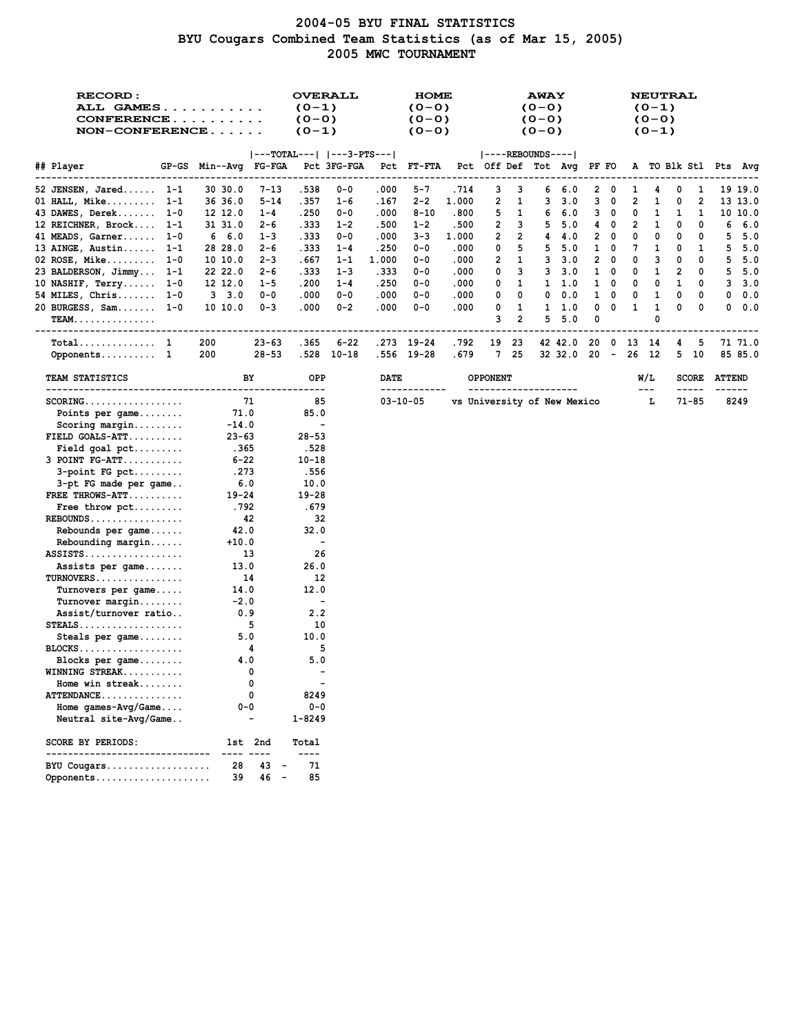## **2004-05 BYU FINAL STATISTICS BYU Cougars Combined Team Statistics (as of Mar 15, 2005) 2005 MWC TOURNAMENT**

| RECORD:<br>ALL GAMES<br>CONFERENCE<br>$NON-CONFERENCE$      |                       | <b>OVERALL</b><br>$(0-1)$<br>$(0 - 0)$<br>$(0-1)$ |             |       | <b>HOME</b><br>$(0 - 0)$<br>$(0 - 0)$<br>$(0 - 0)$ |       |                                                |        | <b>AWAY</b><br>$(0 - 0)$<br>$(0 - 0)$<br>$(0 - 0)$ |            |        |   |    | $(0-1)$<br>$(0 - 0)$<br>$(0-1)$ | <b>NEUTRAL</b> |              |                      |         |
|-------------------------------------------------------------|-----------------------|---------------------------------------------------|-------------|-------|----------------------------------------------------|-------|------------------------------------------------|--------|----------------------------------------------------|------------|--------|---|----|---------------------------------|----------------|--------------|----------------------|---------|
| ## Player                                                   | GP-GS Min--Avg FG-FGA | ---TOTAL---   ---3-PTS---                         | Pct 3FG-FGA |       | Pct FT-FTA                                         |       | ----REBOUNDS---- <br>Pct Off Def Tot Avg PF FO |        |                                                    |            |        |   |    |                                 |                |              | A TO Blk Stl Pts Avg |         |
| 52 JENSEN, Jared 1-1                                        | 30 30.0<br>7-13       | .538                                              | $0 - 0$     | .000  | $5 - 7$                                            | .714  | з                                              | з      | 6                                                  | 6.0        | 2      | 0 | 1  | 4                               | 0              | 1            |                      | 19 19.0 |
| 01 HALL, Mike $1-1$                                         | 36 36.0<br>5-14       | .357                                              | $1 - 6$     | . 167 | $2 - 2$                                            | 1.000 | 2                                              | 1      | 3                                                  | 3.0        | з      | 0 | 2  | 1                               | 0              | 2            |                      | 13 13.0 |
| 43 DAWES, Derek<br>$1 - 0$                                  | 12 12.0<br>$1 - 4$    | .250                                              | $0 - 0$     | .000  | $8 - 10$                                           | .800  | 5                                              | 1      | 6                                                  | 6.0        | 3      | 0 | 0  | 1                               | 1              | 1            |                      | 10 10.0 |
| 12 REICHNER, Brock 1-1                                      | 31 31.0<br>2-6        | .333                                              | $1 - 2$     | .500  | $1 - 2$                                            | .500  | 2                                              | 3      | 5                                                  | 5.0        | 4      | 0 | 2  | 1                               | 0              | 0            | 6                    | 6.0     |
| 41 MEADS, Garner<br>$1 - 0$                                 | 6 6.0<br>$1 - 3$      | .333                                              | $0 - 0$     | .000  | 3-3                                                | 1.000 | 2                                              | 2      | 4                                                  | 4.0        | 2      | 0 | 0  | 0                               | 0              | 0            | 5                    | 5.0     |
| 13 AINGE, Austin $1-1$                                      | 28 28.0<br>2-6        | .333                                              | $1 - 4$     | .250  | $0 - 0$                                            | .000  | 0                                              | 5      | 5                                                  | 5.0        | 1      | 0 | 7  | 1                               | 0              | 1            | 5                    | 5.0     |
| $02$ ROSE, Mike<br>$1 - 0$                                  | 10 10.0<br>2-3        | .667                                              | $1 - 1$     | 1.000 | $0 - 0$                                            | .000  | 2                                              | 1      | 3                                                  | 3.0        | 2      | 0 | 0  | 3                               | 0              | 0            | 5                    | 5.0     |
| 23 BALDERSON, Jimmy<br>$1 - 1$                              | 22 22.0<br>2-6        | .333                                              | $1 - 3$     | . 333 | $0 - 0$                                            | .000  | 0                                              | 3      | 3                                                  | 3.0        | 1      | 0 | 0  | 1                               | 2              | 0            | 5                    | 5.0     |
| 10 NASHIF, $Terry$<br>$1 - 0$                               | 12 12.0<br>1-5        | .200                                              | $1 - 4$     | .250  | $0 - 0$                                            | .000  | 0                                              | 1      | 1                                                  | 1.0        | 1      | 0 | 0  | 0                               | 1              | 0            | 3                    | 3.0     |
| $54$ MILES, Chris<br>$1 - 0$                                | 3, 3.0<br>$0 - 0$     | .000                                              | $0 - 0$     | .000  | $0 - 0$                                            | .000  | 0                                              | 0      | 0                                                  | 0.0        | 1      | 0 | 0  | 1                               | 0              | 0            | 0                    | 0.0     |
| 20 BURGESS, Sam<br>$1 - 0$<br><b>TEAM.</b>                  | $0 - 3$<br>10 10.0    | .000                                              | $0 - 2$     | .000  | 0-0                                                | .000  | 0<br>3                                         | 1<br>2 | 1<br>5                                             | 1.0<br>5.0 | 0<br>0 | 0 | 1  | 1<br>0                          | 0              | 0            | 0                    | 0.0     |
| ______________________<br>$Total$ 1                         | 200<br>$23 - 63$      | .365                                              | $6 - 22$    |       | .273 19-24                                         | .792  | 19                                             | 23     |                                                    | 42 42.0    | 20     | 0 | 13 | -14                             | 4              | 5            |                      | 71 71.0 |
| Opponents 1                                                 | 200<br>28-53          | .528                                              | $10 - 18$   |       | .556 19-28                                         | .679  | 7                                              | 25     |                                                    | 32 32.0    | $20 -$ |   | 26 | 12                              | 5              | 10           |                      | 85 85.0 |
| <b>TEAM STATISTICS</b><br>-------------------               | BY                    | OPP                                               |             | DATE  |                                                    |       | <b>OPPONENT</b>                                |        | -------------                                      |            |        |   |    | W/L                             |                | <b>SCORE</b> | <b>ATTEND</b>        |         |
| $SCORING.$                                                  | 71                    | 85                                                |             |       | $03 - 10 - 05$                                     |       | vs University of New Mexico                    |        |                                                    |            |        |   |    | $---$<br>г                      |                | 71-85        |                      | 8249    |
| Points per game                                             | 71.0                  | 85.0                                              |             |       |                                                    |       |                                                |        |                                                    |            |        |   |    |                                 |                |              |                      |         |
| $Scoring margin$                                            | $-14.0$               | $\overline{\phantom{a}}$                          |             |       |                                                    |       |                                                |        |                                                    |            |        |   |    |                                 |                |              |                      |         |
| $FIELD GOALS-ATT$                                           | $23 - 63$             | $28 - 53$                                         |             |       |                                                    |       |                                                |        |                                                    |            |        |   |    |                                 |                |              |                      |         |
| Field goal $\not$ pct                                       | .365                  | .528                                              |             |       |                                                    |       |                                                |        |                                                    |            |        |   |    |                                 |                |              |                      |         |
| $3$ POINT $FG-ATT$                                          | $6 - 22$              | $10 - 18$                                         |             |       |                                                    |       |                                                |        |                                                    |            |        |   |    |                                 |                |              |                      |         |
| $3$ -point FG pct                                           | .273                  | .556                                              |             |       |                                                    |       |                                                |        |                                                    |            |        |   |    |                                 |                |              |                      |         |
| 3-pt FG made per game                                       | 6.0                   | 10.0                                              |             |       |                                                    |       |                                                |        |                                                    |            |        |   |    |                                 |                |              |                      |         |
| FREE THROWS-ATT<br>Free throw $\not\vdots$                  | $19 - 24$<br>. 792    | $19 - 28$<br>.679                                 |             |       |                                                    |       |                                                |        |                                                    |            |        |   |    |                                 |                |              |                      |         |
| $REBOUNDS$                                                  | 42                    | 32                                                |             |       |                                                    |       |                                                |        |                                                    |            |        |   |    |                                 |                |              |                      |         |
| Rebounds per game                                           | 42.0                  | 32.0                                              |             |       |                                                    |       |                                                |        |                                                    |            |        |   |    |                                 |                |              |                      |         |
| $Rebounding margin$                                         | $+10.0$               | $\overline{\phantom{a}}$                          |             |       |                                                    |       |                                                |        |                                                    |            |        |   |    |                                 |                |              |                      |         |
| ASSISTS                                                     | 13                    | 26                                                |             |       |                                                    |       |                                                |        |                                                    |            |        |   |    |                                 |                |              |                      |         |
| Assists per game                                            | 13.0                  | 26.0                                              |             |       |                                                    |       |                                                |        |                                                    |            |        |   |    |                                 |                |              |                      |         |
| TURNOVERS                                                   | 14                    | 12                                                |             |       |                                                    |       |                                                |        |                                                    |            |        |   |    |                                 |                |              |                      |         |
| Turnovers per game                                          | 14.0                  | 12.0                                              |             |       |                                                    |       |                                                |        |                                                    |            |        |   |    |                                 |                |              |                      |         |
| Turnover margin                                             | $-2.0$                | $\overline{\phantom{a}}$                          |             |       |                                                    |       |                                                |        |                                                    |            |        |   |    |                                 |                |              |                      |         |
| Assist/turnover ratio                                       | 0.9                   | 2.2                                               |             |       |                                                    |       |                                                |        |                                                    |            |        |   |    |                                 |                |              |                      |         |
| $STEALS$                                                    | 5                     | 10                                                |             |       |                                                    |       |                                                |        |                                                    |            |        |   |    |                                 |                |              |                      |         |
| Steals per game                                             | 5.0                   | 10.0                                              |             |       |                                                    |       |                                                |        |                                                    |            |        |   |    |                                 |                |              |                      |         |
| $BLOCKS$                                                    | 4                     | 5                                                 |             |       |                                                    |       |                                                |        |                                                    |            |        |   |    |                                 |                |              |                      |         |
| Blocks per game                                             | 4.0                   | 5.0                                               |             |       |                                                    |       |                                                |        |                                                    |            |        |   |    |                                 |                |              |                      |         |
| $WINNING$ $STREAK$                                          | 0                     |                                                   |             |       |                                                    |       |                                                |        |                                                    |            |        |   |    |                                 |                |              |                      |         |
| Home win streak<br>ATTENDANCE                               | 0<br>0                | $\overline{\phantom{m}}$<br>8249                  |             |       |                                                    |       |                                                |        |                                                    |            |        |   |    |                                 |                |              |                      |         |
|                                                             | 0-0                   | $0 - 0$                                           |             |       |                                                    |       |                                                |        |                                                    |            |        |   |    |                                 |                |              |                      |         |
| Home games- $Avg/Game$<br>Neutral site-Avg/Game             |                       | 1-8249                                            |             |       |                                                    |       |                                                |        |                                                    |            |        |   |    |                                 |                |              |                      |         |
| <b>SCORE BY PERIODS:</b><br>------------------------------- | 1st 2nd               | Total                                             |             |       |                                                    |       |                                                |        |                                                    |            |        |   |    |                                 |                |              |                      |         |
| BYU Cougars                                                 | $--$<br>43<br>28      | ----<br>71<br>$\overline{\phantom{a}}$            |             |       |                                                    |       |                                                |        |                                                    |            |        |   |    |                                 |                |              |                      |         |
| Opponents                                                   | $46 -$<br>39          | 85                                                |             |       |                                                    |       |                                                |        |                                                    |            |        |   |    |                                 |                |              |                      |         |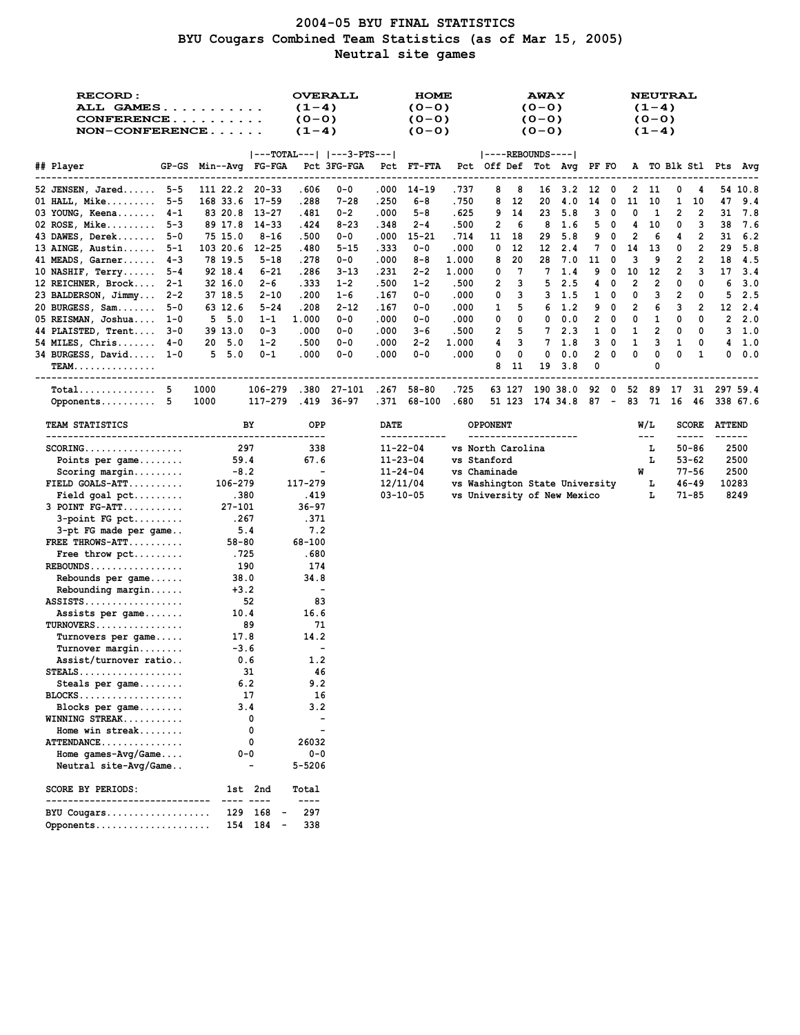# **2004-05 BYU FINAL STATISTICS BYU Cougars Combined Team Statistics (as of Mar 15, 2005) Neutral site games**

| <b>RECORD:</b><br><b>ALL GAMES</b><br>$CONFERENCE$<br>$NON-CONFERENCE$ |                                   | <b>OVERALL</b><br>$(1-4)$<br>$(0 - 0)$<br>$(1-4)$ |          |                | <b>HOME</b><br>$(0 - 0)$<br>$(0 - 0)$<br>$(0 - 0)$ |               |                                         | <b>AWAY</b><br>$(0 - 0)$<br>$(0 - 0)$<br>$(0 - 0)$ |                |              |                          |    | $(1-4)$<br>$(0 - 0)$<br>$(1-4)$ | <b>NEUTRAL</b> |                       |                      |                |
|------------------------------------------------------------------------|-----------------------------------|---------------------------------------------------|----------|----------------|----------------------------------------------------|---------------|-----------------------------------------|----------------------------------------------------|----------------|--------------|--------------------------|----|---------------------------------|----------------|-----------------------|----------------------|----------------|
|                                                                        |                                   | $ ---TOTAL--- $ $ ---3-PTS--- $                   |          |                |                                                    |               | $ ----REBOUNDS--- $                     |                                                    |                |              |                          |    |                                 |                |                       |                      |                |
| ## Player                                                              | GP-GS Min--Avg FG-FGA Pct 3FG-FGA |                                                   |          |                | Pct FT-FTA                                         |               | Pct Off Def Tot Avg PF FO               |                                                    |                |              |                          |    |                                 |                |                       | A TO Blk Stl Pts Avg |                |
| 52 JENSEN, Jared 5-5                                                   | 111 22.2 20-33                    | ----------<br>.606                                | $0 - 0$  | .000           | 14-19                                              | .737          | 8<br>8                                  |                                                    | $16 \quad 3.2$ | 12           | $\overline{\phantom{a}}$ | 2  | -11                             | 0              | 4                     |                      | 54 10.8        |
| 01 HALL, Mike $5-5$                                                    | 168 33.6<br>17-59                 | .288                                              | 7-28     | .250           | 6-8                                                | .750          | 8<br>12                                 | 20                                                 | 4.0            | 14           | 0                        | 11 | 10                              | 1              | 10                    | 47                   | 9.4            |
| 03 YOUNG, Keena 4-1                                                    | 83 20.8 13-27                     | .481                                              | 0-2      | .000           | $5 - 8$                                            | . 625         | 9<br>14                                 | 23                                                 | 5.8            | 3            | - 0                      | 0  | -1                              | 2              | 2                     | 31                   | 7.8            |
| 02 ROSE, Mike $5-3$                                                    | 89 17.8<br>- 14-33                | .424                                              | $8 - 23$ | .348           | $2 - 4$                                            | .500          | 2<br>6                                  | 8                                                  | 1.6            | 5            | $\overline{\mathbf{0}}$  | 4  | 10                              | 0              | 3                     | 38                   | 7.6            |
| 43 DAWES, Derek 5-0                                                    | 75 15.0<br>$8 - 16$               | .500                                              | 0-0      | .000           | $15 - 21$                                          | . 714         | 11<br>18                                | 29                                                 | 5.8            | 9            | 0                        | 2  | 6                               | 4              | 2                     | 31                   | 6.2            |
| 13 AINGE, Austin $5-1$                                                 | 103 20.6<br>12-25                 | .480                                              | 5-15     | . 333          | $0 - 0$                                            | .000          | 0<br>12                                 | 12                                                 | 2.4            | 7            | 0                        | 14 | 13                              | 0              | 2                     | 29                   | 5.8            |
| 41 MEADS, Garner $4-3$                                                 | 78 19.5<br>$5 - 18$               | .278                                              | 0-0      | .000           | 8-8                                                | 1.000         | 20<br>8                                 | 28                                                 | 7.0            | 11           | 0                        | з  | 9                               | 2              | 2                     | 18                   | - 4.5          |
| 10 NASHIF, $Terry5-4$                                                  | 92 18.4<br>$6 - 21$               | .286                                              | 3-13     | .231           | $2 - 2$                                            | 1.000         | 7<br>0                                  | 7                                                  | 1.4            | 9            | 0                        | 10 | 12                              | 2              | 3                     | 17                   | 3.4            |
| 12 REICHNER, Brock 2-1                                                 | 32 16.0<br>2-6                    | . 333                                             | $1 - 2$  | .500           | $1 - 2$                                            | .500          | 2<br>з                                  | 5                                                  | 2.5            | 4            | 0                        | 2  | 2                               | 0              | 0                     | 6                    | 3.0            |
| 23 BALDERSON, Jimmy 2-2                                                | 37 18.5<br>$2 - 10$               | .200                                              | $1 - 6$  | .167           | $0 - 0$                                            | .000          | 3<br>0                                  |                                                    | $3 \quad 1.5$  | $\mathbf{1}$ | 0                        | 0  | з                               | 2              | 0                     | 5                    | 2.5            |
| 20 BURGESS, $Sam$ $5-0$                                                | 63 12.6<br>$5 - 24$               | .208                                              | $2 - 12$ | . 167          | $0 - 0$                                            | .000          | 5<br>1                                  |                                                    | $6 \quad 1.2$  |              | 9 0                      | 2  | 6                               | 3              | 2                     |                      | $12 \quad 2.4$ |
| 05 REISMAN, Joshua 1-0                                                 | 5, 5.0<br>$1 - 1$                 | 1.000                                             | $0 - 0$  | .000           | $0 - 0$                                            | .000          | 0<br>0                                  | 0                                                  | 0.0            |              | $2\quad 0$               | 0  | 1                               | 0              | 0                     |                      | 2, 2, 0        |
| 44 PLAISTED, Trent 3-0                                                 | 39 13.0<br>$0 - 3$                | .000                                              | $0 - 0$  | .000           | 3-6                                                | .500          | 2<br>5                                  | 7                                                  | 2.3            | 1            | $\mathbf{0}$             | 1  | 2                               | 0              | 0                     |                      | $3 \quad 1.0$  |
| 54 MILES, Chris $4-0$                                                  | 20, 5.0<br>$1 - 2$                | .500                                              | $0 - 0$  | .000           | $2 - 2$                                            | 1.000         | 3<br>4                                  | 7                                                  | 1.8            | 3            | $\overline{\phantom{0}}$ | 1  | 3                               | 1              | 0                     |                      | $4 \quad 1.0$  |
| 34 BURGESS, David 1-0                                                  | 5, 5.0<br>$0 - 1$                 | .000                                              | $0 - 0$  | .000           | $0 - 0$                                            | .000          | 0<br>0                                  | 0                                                  | 0.0            | 2            | 0                        | 0  | 0                               | 0              | 1                     | 0                    | 0.0            |
| <b>TEAM.</b><br>-------------------------                              |                                   |                                                   |          |                |                                                    |               | 8<br>11                                 | 19                                                 | 3.8            | 0            |                          |    | 0                               |                |                       |                      |                |
| $Total$ 5<br>Opponents 5                                               | 1000<br>1000<br>117-279           | 106-279 .380 27-101<br>.419                       | 36-97    |                | .267 58-80<br>.371 68-100                          | . 725<br>.680 | 63 127<br>51 123 174 34.8 87 -          |                                                    | 190 38.0       | 92           | $\mathbf 0$              |    | 52 89<br>83 71                  | 17<br>16 46    |                       | 31 297 59.4          | 338 67.6       |
| <b>TEAM STATISTICS</b>                                                 | BY                                | OPP<br>----                                       |          | DATE           | ------------                                       |               | <b>OPPONENT</b><br>-------------------- |                                                    |                |              |                          |    | W/L<br>$---$                    |                | <b>SCORE</b><br>----- | <b>ATTEND</b>        |                |
| $SCORING.$                                                             | 297                               | 338                                               |          | $11 - 22 - 04$ |                                                    |               | vs North Carolina                       |                                                    |                |              |                          |    | г                               |                | 50-86                 |                      | 2500           |
| Points per game                                                        | 59.4                              | 67.6                                              |          | $11 - 23 - 04$ |                                                    |               | vs Stanford                             |                                                    |                |              |                          |    | г                               |                | 53-62                 |                      | 2500           |
| $Scoring margin$                                                       | $-8.2$                            | $\blacksquare$                                    |          |                | $11 - 24 - 04$                                     |               | vs Chaminade                            |                                                    |                |              |                          | W  |                                 |                | 77-56                 |                      | 2500           |
| FIELD GOALS-ATT                                                        | 106-279                           | 117-279                                           |          |                | 12/11/04                                           |               | vs Washington State University          |                                                    |                |              |                          |    | г                               |                | 46-49                 | 10283                |                |
| $Field goal pet \dots$                                                 | .380                              | . 419                                             |          |                | $03 - 10 - 05$                                     |               | vs University of New Mexico             |                                                    |                |              |                          |    | г                               |                | 71-85                 |                      | 8249           |
| $3$ POINT $FG-ATT$                                                     | 27-101                            | $36 - 97$                                         |          |                |                                                    |               |                                         |                                                    |                |              |                          |    |                                 |                |                       |                      |                |
| $3$ -point FG pct                                                      | .267                              | .371                                              |          |                |                                                    |               |                                         |                                                    |                |              |                          |    |                                 |                |                       |                      |                |
| 3-pt FG made per game                                                  | 5.4                               | 7.2                                               |          |                |                                                    |               |                                         |                                                    |                |              |                          |    |                                 |                |                       |                      |                |
| FREE THROWS-ATT                                                        | 58-80                             | 68-100                                            |          |                |                                                    |               |                                         |                                                    |                |              |                          |    |                                 |                |                       |                      |                |
| Free throw $\not\vdots$                                                | .725                              | .680                                              |          |                |                                                    |               |                                         |                                                    |                |              |                          |    |                                 |                |                       |                      |                |
| $REBOUNDS$                                                             | 190                               | 174                                               |          |                |                                                    |               |                                         |                                                    |                |              |                          |    |                                 |                |                       |                      |                |
| Rebounds per game                                                      | 38.0                              | 34.8                                              |          |                |                                                    |               |                                         |                                                    |                |              |                          |    |                                 |                |                       |                      |                |
| $Rebounding margin$                                                    | $+3.2$                            | $\blacksquare$                                    |          |                |                                                    |               |                                         |                                                    |                |              |                          |    |                                 |                |                       |                      |                |
| $ASSISTS$                                                              | 52<br>10.4                        | 83<br>16.6                                        |          |                |                                                    |               |                                         |                                                    |                |              |                          |    |                                 |                |                       |                      |                |
| Assists per game<br>TURNOVERS                                          | - 89                              | 71                                                |          |                |                                                    |               |                                         |                                                    |                |              |                          |    |                                 |                |                       |                      |                |
| Turnovers per game                                                     | 17.8                              | 14.2                                              |          |                |                                                    |               |                                         |                                                    |                |              |                          |    |                                 |                |                       |                      |                |
| $Turnover$ margin                                                      | $-3.6$                            | $\qquad \qquad \blacksquare$                      |          |                |                                                    |               |                                         |                                                    |                |              |                          |    |                                 |                |                       |                      |                |
| Assist/turnover ratio                                                  | 0.6                               | 1.2                                               |          |                |                                                    |               |                                         |                                                    |                |              |                          |    |                                 |                |                       |                      |                |
| $STEALS$                                                               | 31                                | 46                                                |          |                |                                                    |               |                                         |                                                    |                |              |                          |    |                                 |                |                       |                      |                |
| Steals per game                                                        | 6.2                               | 9.2                                               |          |                |                                                    |               |                                         |                                                    |                |              |                          |    |                                 |                |                       |                      |                |
| $BLOCKS$                                                               | 17                                | 16                                                |          |                |                                                    |               |                                         |                                                    |                |              |                          |    |                                 |                |                       |                      |                |
| Blocks per game                                                        | 3.4                               | 3.2                                               |          |                |                                                    |               |                                         |                                                    |                |              |                          |    |                                 |                |                       |                      |                |
| WINNING STREAK                                                         | 0                                 |                                                   |          |                |                                                    |               |                                         |                                                    |                |              |                          |    |                                 |                |                       |                      |                |
| Home win streak                                                        | 0                                 |                                                   |          |                |                                                    |               |                                         |                                                    |                |              |                          |    |                                 |                |                       |                      |                |
| ATTENDANCE                                                             | 0                                 | 26032                                             |          |                |                                                    |               |                                         |                                                    |                |              |                          |    |                                 |                |                       |                      |                |
| Home games- $Avg/Game$                                                 | $0 - 0$                           | $0 - 0$                                           |          |                |                                                    |               |                                         |                                                    |                |              |                          |    |                                 |                |                       |                      |                |
| Neutral site-Avg/Game                                                  |                                   | 5-5206                                            |          |                |                                                    |               |                                         |                                                    |                |              |                          |    |                                 |                |                       |                      |                |
| SCORE BY PERIODS:<br>-------------------------                         | 1st 2nd                           | Total<br>$---$                                    |          |                |                                                    |               |                                         |                                                    |                |              |                          |    |                                 |                |                       |                      |                |
| BYU Cougars<br>Opponents                                               | 168<br>129<br>154 184 -           | 297<br>$\overline{\phantom{a}}$<br>338            |          |                |                                                    |               |                                         |                                                    |                |              |                          |    |                                 |                |                       |                      |                |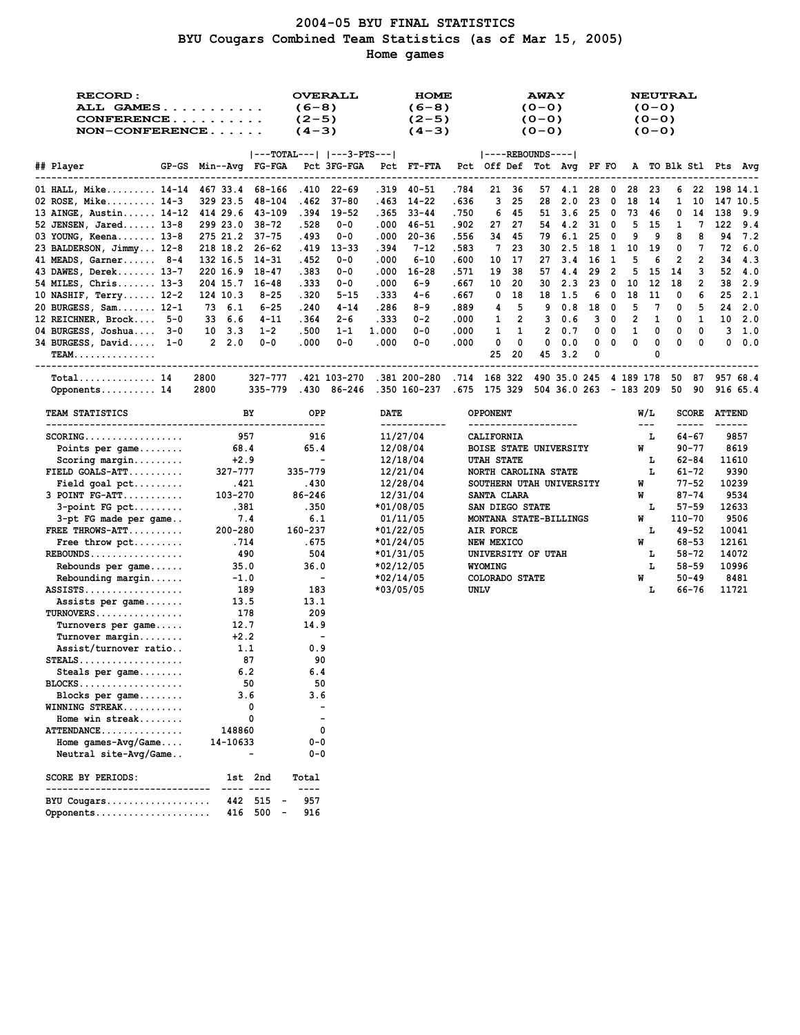## **2004-05 BYU FINAL STATISTICS BYU Cougars Combined Team Statistics (as of Mar 15, 2005) Home games**

| <b>RECORD:</b><br>ALL GAMES<br>CONFERENCE<br>$NON-CONFERENCE$ |                                   |                                     | $(6-8)$<br>$(2-5)$<br>$(4-3)$ | <b>OVERALL</b> |       | <b>HOME</b><br>$(6-8)$<br>$(2-5)$<br>$(4-3)$     |                                                    |                                         |         | <b>AWAY</b><br>$(0 - 0)$<br>$(0 - 0)$<br>$(0 - 0)$ |            |        |                          |        | <b>NEUTRAL</b><br>$(0 - 0)$<br>$(0 - 0)$<br>$(0 - 0)$ |              |                       |                         |          |
|---------------------------------------------------------------|-----------------------------------|-------------------------------------|-------------------------------|----------------|-------|--------------------------------------------------|----------------------------------------------------|-----------------------------------------|---------|----------------------------------------------------|------------|--------|--------------------------|--------|-------------------------------------------------------|--------------|-----------------------|-------------------------|----------|
|                                                               |                                   | $ ---TOTAL--- $ $ ---3-PTS--- $     |                               |                |       |                                                  |                                                    | $ ----REBOUNDS--- $                     |         |                                                    |            |        |                          |        |                                                       |              |                       |                         |          |
| ## Player                                                     | GP-GS Min--Avg FG-FGA Pct 3FG-FGA |                                     |                               |                |       | Pct FT-FTA                                       |                                                    | Pct Off Def Tot Avg PF FO               |         |                                                    |            |        |                          |        |                                                       |              |                       | A TO Blk Stl Pts Avq    |          |
| 01 HALL, Mike 14-14 467 33.4 68-166                           |                                   |                                     |                               | .410 22-69     |       | .319 40-51                                       | .784                                               |                                         | 21 36   |                                                    | 57 4.1     | 28     | 0                        | 28     | 23                                                    |              | 622                   | 198 14.1                |          |
| 02 ROSE, Mike $14-3$                                          | 329 23.5                          | 48-104                              | .462                          | 37-80          | . 463 | $14 - 22$                                        | .636                                               | 3                                       | 25      | 28                                                 | 2.0        | 23     | 0                        | 18     | 14                                                    | $\mathbf{1}$ | 10                    |                         | 147 10.5 |
| 13 AINGE, Austin 14-12                                        | 414 29.6                          | 43-109                              |                               | .394 19-52     | . 365 | $33 - 44$                                        | .750                                               | 6                                       | 45      |                                                    | 51 3.6     | 25     | $\overline{\phantom{0}}$ | 73     | - 46                                                  | 0            | 14                    | 138                     | 9.9      |
| $52$ JENSEN, Jared $13-8$                                     | 299 23.0                          | 38-72                               | .528                          | $0 - 0$        | .000  | 46–51                                            | .902                                               | 27                                      | 27      |                                                    | 54 4.2     | 31     | 0                        | 5      | -15                                                   | 1            | 7                     | 122                     | 9.4      |
| 03 YOUNG, Keena 13-8                                          | 275 21.2 37-75                    |                                     | .493                          | $0 - 0$        | .000  | $20 - 36$                                        | .556                                               | 34                                      | 45      | 79                                                 | 6.1        | 25     | 0                        | 9      | 9                                                     | 8            | 8                     | 94                      | 7.2      |
| 23 BALDERSON, Jimmy 12-8                                      | 218 18.2 26-62                    |                                     | .419                          | $13 - 33$      | .394  | $7 - 12$                                         | .583                                               | 7                                       | 23      | 30                                                 | 2.5        | 18     | -1                       | 10     | 19                                                    | 0            | 7                     | 72                      | 6.0      |
| 41 MEADS, Garner 8-4                                          | 132 16.5 14-31                    |                                     | .452                          | $0 - 0$        | .000  | $6 - 10$                                         | .600                                               | 10                                      | 17      | 27                                                 | 3.4        | 16     | 1                        | 5      | 6                                                     | 2            | 2                     | 34                      | -4.3     |
| 43 DAWES, Derek 13-7                                          | 220 16.9                          | 18-47                               | .383                          | $0 - 0$        | .000  | $16 - 28$                                        | .571                                               | 19                                      | 38      | 57                                                 | 4.4        | 29     | 2                        | 5      | 15                                                    | 14           | з                     | 52                      | 4.0      |
| 54 MILES, Chris 13-3                                          | 204 15.7                          | 16-48                               | . 333                         | $0 - 0$        | .000  | 6-9                                              | . 667                                              | 10                                      | 20      | 30                                                 | 2.3        | 23     | 0                        | 10     | 12                                                    | 18           | 2                     | 38                      | 2.9      |
| 10 NASHIF, Terry 12-2                                         | 124 10.3                          | $8 - 25$                            | .320                          | $5 - 15$       | . 333 | 4-6                                              | .667                                               | 0                                       | 18      | 18                                                 | 1.5        | 6      | 0                        | 18     | 11                                                    | 0            | 6                     | 25                      | - 2.1    |
| 20 BURGESS, Sam 12-1                                          | 73 6.1                            | $6 - 25$                            | .240                          | $4 - 14$       | .286  | 8-9                                              | .889                                               | 4                                       | 5       | 9                                                  | 0.8        | 18     | 0                        | 5      | 7                                                     | 0            | 5                     | 24                      | 2.0      |
| 12 REICHNER, Brock 5-0                                        | 33 6.6                            | $4 - 11$                            | .364                          | $2 - 6$        | .333  | $0 - 2$                                          | .000                                               | 1                                       | 2       | 3                                                  | 0.6        | 3      | 0                        | 2      | 1                                                     | 0            | 1                     | 10                      | 2.0      |
| 04 BURGESS, Joshua 3-0                                        | $10 \quad 3.3$                    | $1 - 2$                             | .500                          | $1 - 1$        | 1.000 | $0 - 0$                                          | .000                                               | 1                                       | 1       | $\mathbf{2}$                                       | 0.7        | 0      | 0                        | 1<br>0 | 0<br>0                                                | 0            | 0                     | 3                       | 1.0      |
| $34$ BURGESS, David $1-0$<br><b>TEAM</b>                      | 2, 2.0                            | $0 - 0$                             | .000                          | $0 - 0$        | .000  | $0 - 0$                                          | .000                                               | 0<br>25                                 | 0<br>20 | 0<br>45                                            | 0.0<br>3.2 | 0<br>0 | 0                        |        | 0                                                     | 0            | 0                     | 0                       | 0.0      |
| $Total$ 14                                                    | 2800                              | 327-777                             |                               |                |       | .421 103-270 .381 200-280                        | .714 168 322 490 35.0 245 4 189 178 50 87 957 68.4 |                                         |         |                                                    |            |        |                          |        |                                                       |              |                       |                         |          |
| Opponents 14                                                  | 2800                              | 335-779                             |                               | .430 86-246    |       | .350 160-237 .675 175 329 504 36.0 263 - 183 209 |                                                    |                                         |         |                                                    |            |        |                          |        |                                                       | 50           | 90                    |                         | 916 65.4 |
| TEAM STATISTICS<br>-----------------------------------        |                                   | BY                                  | OPP<br>----                   |                | DATE  | ------------                                     |                                                    | <b>OPPONENT</b><br>-------------------- |         |                                                    |            |        |                          |        | W/L<br>$\sim$ $\sim$ $\sim$                           |              | <b>SCORE</b><br>----- | <b>ATTEND</b><br>------ |          |
| $SCORING$                                                     | 957                               |                                     | 916                           |                |       | 11/27/04                                         |                                                    | <b>CALIFORNIA</b>                       |         |                                                    |            |        |                          |        | L                                                     |              | $64 - 67$             |                         | 9857     |
| Points per game                                               | 68.4                              |                                     | 65.4                          |                |       | 12/08/04                                         |                                                    | BOISE STATE UNIVERSITY                  |         |                                                    |            |        |                          |        | W                                                     |              | 90-77                 |                         | 8619     |
| $Scoring margin$                                              | $+2.9$                            |                                     | $\blacksquare$                |                |       | 12/18/04                                         |                                                    | <b>UTAH STATE</b>                       |         |                                                    |            |        |                          |        | L                                                     |              | 62-84                 | 11610                   |          |
| $FIELD GOALS-ATT$                                             | 327-777                           |                                     | 335-779                       |                |       | 12/21/04                                         |                                                    | NORTH CAROLINA STATE                    |         |                                                    |            |        |                          |        | L                                                     |              | 61-72                 |                         | 9390     |
| $Field goal pet \dots$                                        | .421                              |                                     | .430                          |                |       | 12/28/04                                         |                                                    | SOUTHERN UTAH UNIVERSITY                |         |                                                    |            |        |                          |        | W                                                     |              | $77 - 52$             | 10239                   |          |
| $3$ POINT $FG-ATT$                                            | 103-270                           |                                     | 86-246                        |                |       | 12/31/04                                         |                                                    | SANTA CLARA                             |         |                                                    |            |        |                          |        | W                                                     |              | $87 - 74$             |                         | 9534     |
| $3$ -point FG pct                                             | .381                              |                                     | .350                          |                |       | *01/08/05                                        |                                                    | SAN DIEGO STATE                         |         |                                                    |            |        |                          |        | г                                                     |              | $57 - 59$             | 12633                   |          |
| 3-pt FG made per game                                         | 7.4                               |                                     | 6.1                           |                |       | 01/11/05                                         |                                                    | MONTANA STATE-BILLINGS                  |         |                                                    |            |        |                          |        | W                                                     |              | 110-70                |                         | 9506     |
| FREE THROWS-ATT                                               | 200-280                           |                                     | 160-237                       |                |       | *01/22/05                                        |                                                    | AIR FORCE                               |         |                                                    |            |        |                          |        | г                                                     |              | $49 - 52$             | 10041                   |          |
| Free throw $\not\vdots$                                       | .714                              |                                     | .675                          |                |       | $*01/24/05$                                      |                                                    | NEW MEXICO                              |         |                                                    |            |        |                          |        | W                                                     |              | 68-53                 | 12161                   |          |
| $REBOUNDS$                                                    | 490                               |                                     | 504                           |                |       | *01/31/05                                        |                                                    | UNIVERSITY OF UTAH                      |         |                                                    |            |        |                          |        | L                                                     |              | $58 - 72$             | 14072                   |          |
| Rebounds per game                                             | 35.0                              |                                     | 36.0                          |                |       | *02/12/05                                        |                                                    | WYOMING                                 |         |                                                    |            |        |                          |        | L                                                     |              | $58 - 59$             | 10996                   |          |
| Rebounding margin                                             | $-1.0$                            |                                     | $\sim$                        |                |       | *02/14/05                                        |                                                    | COLORADO STATE                          |         |                                                    |            |        |                          |        | W                                                     |              | 50-49                 |                         | 8481     |
| $ASSISTS$                                                     | 189                               |                                     | 183                           |                |       | *03/05/05                                        |                                                    | UNLV                                    |         |                                                    |            |        |                          |        | г                                                     |              | 66–76                 | 11721                   |          |
| Assists per game                                              | 13.5                              |                                     | 13.1                          |                |       |                                                  |                                                    |                                         |         |                                                    |            |        |                          |        |                                                       |              |                       |                         |          |
| $TURNOVERS$                                                   | 178                               |                                     | 209                           |                |       |                                                  |                                                    |                                         |         |                                                    |            |        |                          |        |                                                       |              |                       |                         |          |
| Turnovers per game                                            | 12.7                              |                                     | 14.9                          |                |       |                                                  |                                                    |                                         |         |                                                    |            |        |                          |        |                                                       |              |                       |                         |          |
| $Turnover$ margin                                             | $+2.2$                            |                                     | $\overline{\phantom{a}}$      |                |       |                                                  |                                                    |                                         |         |                                                    |            |        |                          |        |                                                       |              |                       |                         |          |
| Assist/turnover ratio                                         | 1.1                               |                                     | 0.9                           |                |       |                                                  |                                                    |                                         |         |                                                    |            |        |                          |        |                                                       |              |                       |                         |          |
| $\texttt{STEALS} \dots \dots \dots \dots \dots \dots \dots$   |                                   | 87                                  | 90                            |                |       |                                                  |                                                    |                                         |         |                                                    |            |        |                          |        |                                                       |              |                       |                         |          |
| Steals per game                                               | 6.2                               |                                     | 6.4                           |                |       |                                                  |                                                    |                                         |         |                                                    |            |        |                          |        |                                                       |              |                       |                         |          |
| $BLOCKS$<br>Blocks per $game$                                 | 3.6                               | 50                                  | 50<br>3.6                     |                |       |                                                  |                                                    |                                         |         |                                                    |            |        |                          |        |                                                       |              |                       |                         |          |
|                                                               |                                   | 0                                   |                               |                |       |                                                  |                                                    |                                         |         |                                                    |            |        |                          |        |                                                       |              |                       |                         |          |
| WINNING STREAK<br>Home win streak                             |                                   | 0                                   |                               |                |       |                                                  |                                                    |                                         |         |                                                    |            |        |                          |        |                                                       |              |                       |                         |          |
| ATTENDANCE                                                    | 148860                            |                                     | 0                             |                |       |                                                  |                                                    |                                         |         |                                                    |            |        |                          |        |                                                       |              |                       |                         |          |
| Home $qames-Wq/Game$                                          | 14-10633                          |                                     | 0-0                           |                |       |                                                  |                                                    |                                         |         |                                                    |            |        |                          |        |                                                       |              |                       |                         |          |
| Neutral site-Avg/Game                                         |                                   |                                     | $0 - 0$                       |                |       |                                                  |                                                    |                                         |         |                                                    |            |        |                          |        |                                                       |              |                       |                         |          |
|                                                               |                                   |                                     |                               |                |       |                                                  |                                                    |                                         |         |                                                    |            |        |                          |        |                                                       |              |                       |                         |          |
| <b>SCORE BY PERIODS:</b>                                      |                                   | 1st 2nd                             | Total<br>----                 |                |       |                                                  |                                                    |                                         |         |                                                    |            |        |                          |        |                                                       |              |                       |                         |          |
| BYU Cougars                                                   |                                   | 442 515                             | 957                           |                |       |                                                  |                                                    |                                         |         |                                                    |            |        |                          |        |                                                       |              |                       |                         |          |
| Opponents                                                     |                                   | 416 500<br>$\overline{\phantom{a}}$ | 916                           |                |       |                                                  |                                                    |                                         |         |                                                    |            |        |                          |        |                                                       |              |                       |                         |          |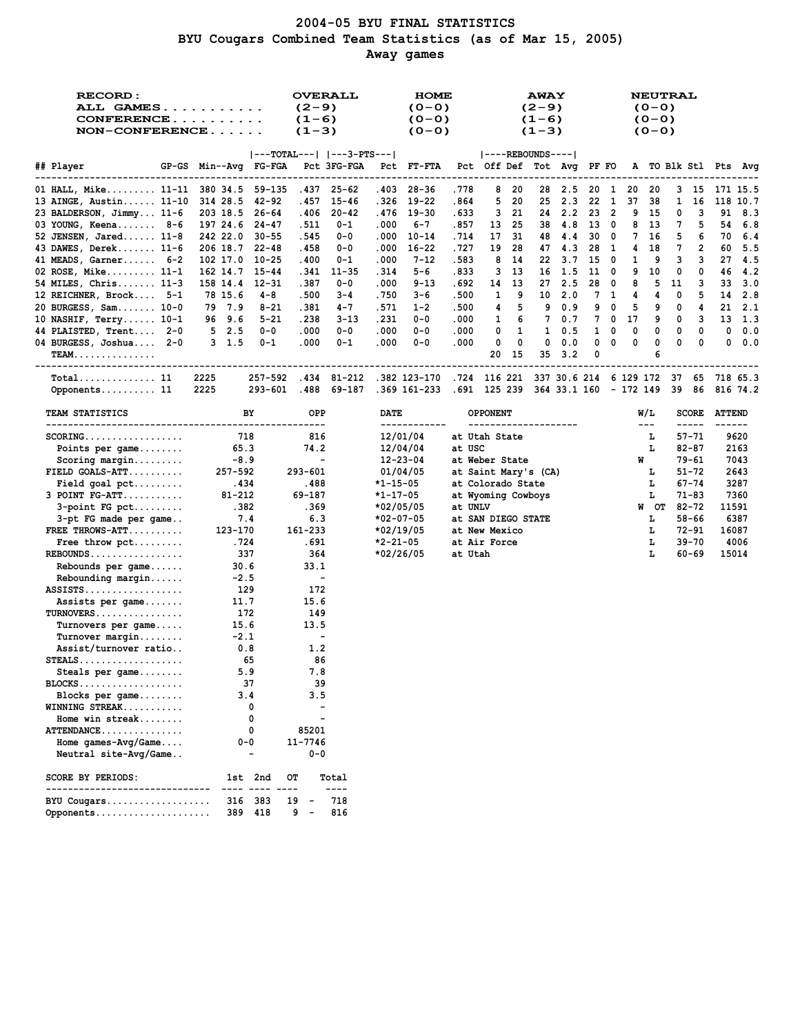# **2004-05 BYU FINAL STATISTICS BYU Cougars Combined Team Statistics (as of Mar 15, 2005) Away games**

| <b>RECORD:</b><br>ALL GAMES<br>CONFERENCE<br>NON-CONFERENCE |                                   |           | <b>OVERALL</b><br>$(2-9)$<br>$(1-6)$<br>$(1-3)$<br>$ ---TOTAL--- $ $ ---3-PTS--- $ |             |             | HOME<br>$(0 - 0)$<br>$(0 - 0)$<br>$(0 - 0)$      |                                                    |                           |    | <b>AWAY</b><br>$(2-9)$<br>$(1-6)$<br>$(1-3)$ |        |      |              |    | <b>NEUTRAL</b><br>$(0 - 0)$<br>$(0 - 0)$<br>$(0 - 0)$ |              |                    |               |                      |
|-------------------------------------------------------------|-----------------------------------|-----------|------------------------------------------------------------------------------------|-------------|-------------|--------------------------------------------------|----------------------------------------------------|---------------------------|----|----------------------------------------------|--------|------|--------------|----|-------------------------------------------------------|--------------|--------------------|---------------|----------------------|
|                                                             |                                   |           |                                                                                    |             |             |                                                  |                                                    | $ ----REBOUNDS--- $       |    |                                              |        |      |              |    |                                                       |              |                    |               |                      |
| ## Player                                                   | GP-GS Min--Avg FG-FGA Pct 3FG-FGA |           |                                                                                    |             |             | Pct FT-FTA                                       |                                                    | Pct Off Def Tot Avg PF FO |    |                                              |        |      |              |    |                                                       |              |                    |               | A TO Blk Stl Pts Avg |
| 01 HALL, Mike 11-11 380 34.5 59-135                         |                                   |           |                                                                                    | .437 25-62  | .403        | 28-36                                            | .778                                               | 8                         | 20 |                                              | 28 2.5 |      | 20 1         | 20 | 20                                                    |              |                    | 3 15 171 15.5 |                      |
| 13 AINGE, Austin 11-10                                      | 314 28.5                          | 42-92     | . 457                                                                              | 15-46       | .326        | 19-22                                            | .864                                               | 5                         | 20 | 25                                           | 2.3    | 22   | -1           | 37 | 38                                                    | $\mathbf{1}$ | 16                 |               | 118 10.7             |
| 23 BALDERSON, Jimmy 11-6                                    | 203 18.5 26-64                    |           | .406                                                                               | $20 - 42$   |             | .476 19-30                                       | . 633                                              | 3                         | 21 |                                              | 24 2.2 | 23   | -2           | 9  | -15                                                   | 0            | з                  | 91            | 8.3                  |
| 03 YOUNG, Keena 8-6                                         | 197 24.6 24-47                    |           | .511                                                                               | $0 - 1$     | .000        | $6 - 7$                                          | .857                                               | 13                        | 25 |                                              | 38 4.8 | 13 0 |              | 8  | - 13                                                  | 7            | 5                  |               | 54 6.8               |
| 52 JENSEN, Jared 11-8                                       | 242 22.0                          | $30 - 55$ | .545                                                                               | $0 - 0$     | .000        | $10 - 14$                                        | .714                                               | 17                        | 31 |                                              | 48 4.4 | 30   | 0            |    | 7 16                                                  | 5            | 6                  | 70            | 6.4                  |
| 43 DAWES, Derek 11-6                                        | 206 18.7 22-48                    |           | .458                                                                               | $0 - 0$     | .000        | $16 - 22$                                        | . 727                                              | 19                        | 28 |                                              | 47 4.3 | 28   | $\mathbf{1}$ | 4  | 18                                                    | 7            | 2                  |               | 60 5.5               |
| 41 MEADS, Garner 6-2                                        | 102 17.0                          | 10-25     | .400                                                                               | $0-1$       | .000        | $7 - 12$                                         | .583                                               | 8                         | 14 | 22                                           | 3.7    | 15   | 0            | 1  | 9                                                     | 3            | 3                  |               | 27, 4.5              |
| $02$ ROSE, Mike 11-1                                        | 162 14.7                          | 15-44     | .341                                                                               | $11 - 35$   | .314        | $5 - 6$                                          | .833                                               | з                         | 13 | 16                                           | 1.5    | 11   | 0            | 9  | 10                                                    | 0            | 0                  |               | 46 4.2               |
| 54 MILES, Chris 11-3                                        | 158 14.4                          | 12-31     | .387                                                                               | $0 - 0$     | .000        | $9 - 13$                                         | . 692                                              | 14                        | 13 | 27                                           | 2.5    | 28   | 0            | 8  | 5                                                     | 11           | з                  |               | 33, 3.0              |
| 12 REICHNER, Brock 5-1                                      | 78 15.6                           | 4-8       | .500                                                                               | $3 - 4$     | .750        | $3 - 6$                                          | .500                                               | 1                         | 9  | 10                                           | 2.0    | 7    | 1            | 4  | 4                                                     | 0            | 5                  |               | 14 2.8               |
| 20 BURGESS, Sam 10-0                                        | 79 7.9                            | $8 - 21$  | .381                                                                               | $4 - 7$     | .571        | $1 - 2$                                          | .500                                               | 4                         | 5  | 9                                            | 0.9    | 9    | 0            | 5  | 9                                                     | 0            | 4                  |               | 21, 2.1              |
| 10 NASHIF, $Terry 10-1$                                     | 96 9.6                            | $5 - 21$  | .238                                                                               | $3 - 13$    | .231        | $0 - 0$                                          | .000.                                              | 1                         | 6  | 7                                            | 0.7    | 7    | 0            | 17 | 9                                                     | 0            | 3                  |               | 13 1.3               |
| 44 PLAISTED, Trent 2-0                                      | $5 \quad 2.5$                     | $0 - 0$   | .000                                                                               | $0 - 0$     | .000        | $0 - 0$                                          | .000                                               | 0                         | 1  | 1                                            | 0.5    | 1    | 0            | 0  | 0                                                     | 0            | 0                  | 0             | 0.0                  |
| 04 BURGESS, Joshua 2-0                                      | $3 \quad 1.5$                     | $0 - 1$   | .000                                                                               | $0 - 1$     | .000        | $0 - 0$                                          | .000                                               | 0                         | 0  | 0                                            | 0.0    | 0    | 0            | 0  | 0                                                     | 0            | 0                  | 0             | 0.0                  |
| <b>TEAM.</b>                                                |                                   |           |                                                                                    |             |             |                                                  |                                                    | 20                        | 15 |                                              | 35 3.2 | 0    |              |    | 6                                                     |              |                    |               |                      |
| $Total$ 11                                                  | 2225                              | 257-592   |                                                                                    |             |             | .434 81-212 .382 123-170                         | .724 116 221 337 30.6 214 6 129 172 37 65 718 65.3 |                           |    |                                              |        |      |              |    |                                                       |              |                    |               |                      |
| Opponents 11                                                | 2225                              | 293-601   | .488                                                                               | 69-187      |             | .369 161-233 .691 125 239 364 33.1 160 - 172 149 |                                                    |                           |    |                                              |        |      |              |    |                                                       | 39           | 86                 |               | 816 74.2             |
| TEAM STATISTICS<br>----------------------------------       |                                   | BY        | OPP                                                                                |             | DATE        |                                                  |                                                    | <b>OPPONENT</b>           |    |                                              |        |      |              |    | W/L                                                   |              | SCORE              | <b>ATTEND</b> |                      |
| $SCORING$                                                   | 718                               |           | ------<br>816                                                                      |             |             | ------------<br>12/01/04                         | at Utah State                                      |                           |    | --------------                               |        |      |              |    | $\sim$ $\sim$ $\sim$<br>L                             |              | -----<br>$57 - 71$ |               | 9620                 |
| Points per game                                             | 65.3                              |           | 74.2                                                                               |             |             | 12/04/04                                         | at USC                                             |                           |    |                                              |        |      |              |    | г                                                     |              | $82 - 87$          |               | 2163                 |
| $Scoring margin$                                            | $-8.9$                            |           | $\overline{\phantom{a}}$                                                           |             |             | $12 - 23 - 04$                                   | at Weber State                                     |                           |    |                                              |        |      |              |    | W                                                     |              | 79-61              |               | 7043                 |
| $FIELD GOALS-ATT$                                           | 257-592                           |           | 293-601                                                                            |             |             | 01/04/05                                         | at Saint Mary's (CA)                               |                           |    |                                              |        |      |              |    | L                                                     |              | 51-72              |               | 2643                 |
| $Field goal pet \dots$                                      | .434                              |           | .488                                                                               |             | *1-15-05    |                                                  | at Colorado State                                  |                           |    |                                              |        |      |              |    | L                                                     |              | 67-74              |               | 3287                 |
| $3$ POINT $FG-ATT$                                          | 81-212                            |           | 69-187                                                                             |             | *1-17-05    |                                                  | at Wyoming Cowboys                                 |                           |    |                                              |        |      |              |    | L                                                     |              | $71 - 83$          |               | 7360                 |
| $3$ -point FG pct                                           | .382                              |           | .369                                                                               |             | *02/05/05   |                                                  | at UNLV                                            |                           |    |                                              |        |      |              |    | W OT                                                  |              | 82-72              | 11591         |                      |
| 3-pt FG made per game                                       | 7.4                               |           | 6.3                                                                                |             | $*02-07-05$ |                                                  | at SAN DIEGO STATE                                 |                           |    |                                              |        |      |              |    | L                                                     |              | $58 - 66$          |               | 6387                 |
| FREE THROWS-ATT                                             | 123-170                           |           | 161-233                                                                            |             | *02/19/05   |                                                  | at New Mexico                                      |                           |    |                                              |        |      |              |    | L                                                     |              | $72 - 91$          | 16087         |                      |
| Free throw $\not\vdots$                                     | .724                              |           | . 691                                                                              |             | *2-21-05    |                                                  | at Air Force                                       |                           |    |                                              |        |      |              |    | L                                                     |              | $39 - 70$          |               | 4006                 |
| $REBOUNDS$                                                  | 337                               |           | 364                                                                                |             | *02/26/05   |                                                  | at Utah                                            |                           |    |                                              |        |      |              |    | г                                                     |              | 60-69              | 15014         |                      |
| Rebounds per game                                           | 30.6                              |           | 33.1                                                                               |             |             |                                                  |                                                    |                           |    |                                              |        |      |              |    |                                                       |              |                    |               |                      |
| Rebounding margin                                           | $-2.5$                            |           | $\blacksquare$                                                                     |             |             |                                                  |                                                    |                           |    |                                              |        |      |              |    |                                                       |              |                    |               |                      |
| $ASSISTS$                                                   | 129                               |           | 172                                                                                |             |             |                                                  |                                                    |                           |    |                                              |        |      |              |    |                                                       |              |                    |               |                      |
| Assists per game                                            | 11.7                              |           | 15.6                                                                               |             |             |                                                  |                                                    |                           |    |                                              |        |      |              |    |                                                       |              |                    |               |                      |
| $TURNOVERS$                                                 | 172                               |           | 149                                                                                |             |             |                                                  |                                                    |                           |    |                                              |        |      |              |    |                                                       |              |                    |               |                      |
| Turnovers per game<br>$Turnover$ margin                     | 15.6<br>$-2.1$                    |           | 13.5<br>$\overline{\phantom{a}}$                                                   |             |             |                                                  |                                                    |                           |    |                                              |        |      |              |    |                                                       |              |                    |               |                      |
| Assist/turnover ratio                                       | 0.8                               |           | 1.2                                                                                |             |             |                                                  |                                                    |                           |    |                                              |        |      |              |    |                                                       |              |                    |               |                      |
| $\texttt{STEALS} \dots \dots \dots \dots \dots \dots \dots$ |                                   | 65        | 86                                                                                 |             |             |                                                  |                                                    |                           |    |                                              |        |      |              |    |                                                       |              |                    |               |                      |
| Steals per game                                             | 5.9                               |           | 7.8                                                                                |             |             |                                                  |                                                    |                           |    |                                              |        |      |              |    |                                                       |              |                    |               |                      |
| $BLOCKS$                                                    |                                   | 37        | 39                                                                                 |             |             |                                                  |                                                    |                           |    |                                              |        |      |              |    |                                                       |              |                    |               |                      |
| Blocks per game                                             |                                   | 3.4       | 3.5                                                                                |             |             |                                                  |                                                    |                           |    |                                              |        |      |              |    |                                                       |              |                    |               |                      |
| WINNING STREAK                                              |                                   | 0         |                                                                                    |             |             |                                                  |                                                    |                           |    |                                              |        |      |              |    |                                                       |              |                    |               |                      |
| Home win streak                                             |                                   | 0         |                                                                                    |             |             |                                                  |                                                    |                           |    |                                              |        |      |              |    |                                                       |              |                    |               |                      |
| ATTENDANCE                                                  |                                   | 0         | 85201                                                                              |             |             |                                                  |                                                    |                           |    |                                              |        |      |              |    |                                                       |              |                    |               |                      |
| Home games- $Avg/Game$                                      | $0 - 0$                           |           | 11-7746                                                                            |             |             |                                                  |                                                    |                           |    |                                              |        |      |              |    |                                                       |              |                    |               |                      |
| Neutral site-Avg/Game                                       |                                   |           | $0 - 0$                                                                            |             |             |                                                  |                                                    |                           |    |                                              |        |      |              |    |                                                       |              |                    |               |                      |
| <b>SCORE BY PERIODS:</b>                                    |                                   | 1st 2nd   | OТ                                                                                 | Total       |             |                                                  |                                                    |                           |    |                                              |        |      |              |    |                                                       |              |                    |               |                      |
| BYU Cougars                                                 |                                   | 316 383   | 19<br>$\sim$                                                                       | ----<br>718 |             |                                                  |                                                    |                           |    |                                              |        |      |              |    |                                                       |              |                    |               |                      |
| Opponents                                                   |                                   | 389 418   | 9<br>$\sim$                                                                        | 816         |             |                                                  |                                                    |                           |    |                                              |        |      |              |    |                                                       |              |                    |               |                      |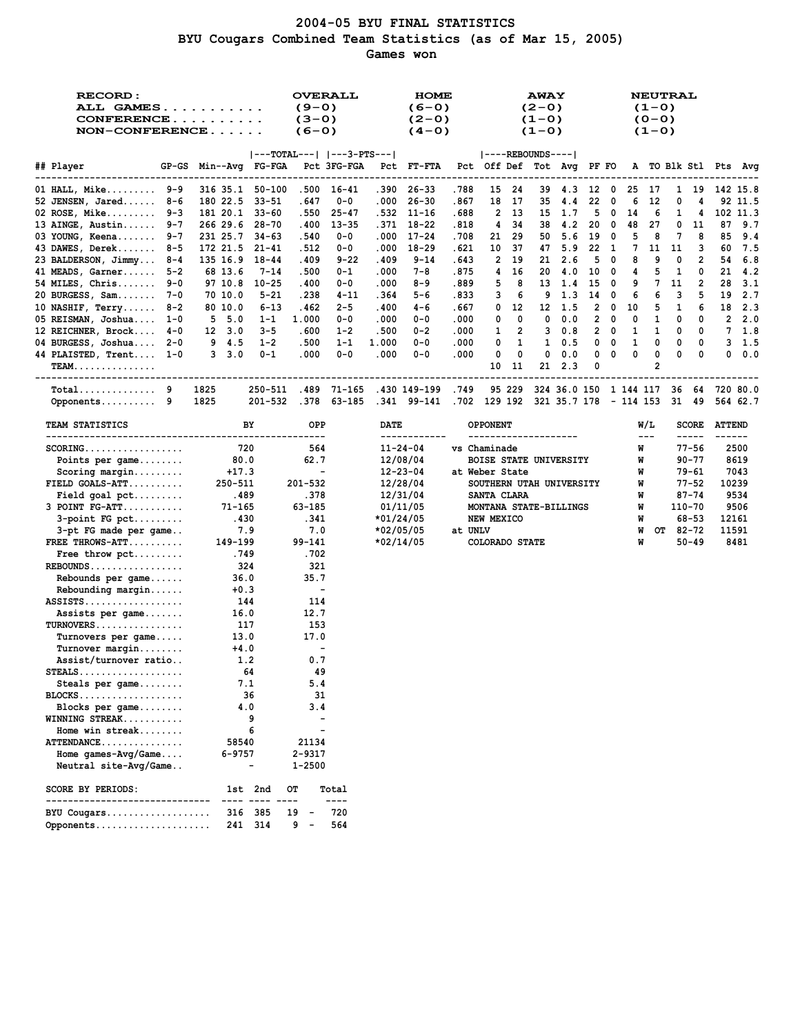## **2004-05 BYU FINAL STATISTICS BYU Cougars Combined Team Statistics (as of Mar 15, 2005) Games won**

| <b>RECORD:</b><br><b>ALL GAMES</b><br>$CONFERENCE$<br>$NON-CONFERENCE$ |                                         | <b>OVERALL</b><br>$(9-0)$<br>$(3-0)$<br>$(6-0)$                               | <b>HOME</b><br>$(6-0)$<br>$(2 - 0)$<br>$(4-0)$ |                                         | <b>AWAY</b><br>$(2-0)$<br>$(1 - 0)$<br>$(1 - 0)$                    | <b>NEUTRAL</b><br>$(1 - 0)$<br>$(0 - 0)$<br>$(1 - 0)$ |                                                                                                                                                                                                                                                                                                                                                                                                                                                                                                                      |
|------------------------------------------------------------------------|-----------------------------------------|-------------------------------------------------------------------------------|------------------------------------------------|-----------------------------------------|---------------------------------------------------------------------|-------------------------------------------------------|----------------------------------------------------------------------------------------------------------------------------------------------------------------------------------------------------------------------------------------------------------------------------------------------------------------------------------------------------------------------------------------------------------------------------------------------------------------------------------------------------------------------|
|                                                                        |                                         | $ ---TOTAL--- $ $ ---3-PTS--- $                                               |                                                |                                         | ----REBOUNDS---- <br>Pct Off Def Tot Avq PF FO A TO Blk Stl Pts Avq |                                                       |                                                                                                                                                                                                                                                                                                                                                                                                                                                                                                                      |
| ## Player                                                              | GP-GS Min--Avg FG-FGA                   | Pct 3FG-FGA                                                                   | <b>PCt FT-FTA</b><br>----------                | -------                                 |                                                                     |                                                       |                                                                                                                                                                                                                                                                                                                                                                                                                                                                                                                      |
| 01 HALL, Mike $9-9$                                                    | 316 35.1 50-100                         | .500 16-41                                                                    | .390 26-33                                     | .788<br>15<br>-24                       | 12 0<br>39<br>4.3                                                   | 25<br>$\mathbf{1}$<br>- 17                            | 19 142 15.8                                                                                                                                                                                                                                                                                                                                                                                                                                                                                                          |
| $52$ JENSEN, Jared 8-6                                                 | 180 22.5<br>33-51                       | $0 - 0$<br>.647                                                               | .000<br>26-30                                  | .867<br>18<br>- 17                      | 22<br>35<br>4.4                                                     | 0<br>6<br>12<br>0                                     | 4<br>92 11.5                                                                                                                                                                                                                                                                                                                                                                                                                                                                                                         |
| 02 ROSE, Mike 9-3                                                      | 181 20.1 33-60                          | .550<br>$25 - 47$                                                             | $.532$ $11-16$                                 | . 688<br>2<br>- 13                      | 5<br>15<br>1.7                                                      | 0<br>14<br>6<br>1                                     | 102 11.3<br>4                                                                                                                                                                                                                                                                                                                                                                                                                                                                                                        |
| 13 AINGE, Austin $9-7$                                                 | 266 29.6 28-70                          | .400<br>$13 - 35$                                                             | .371<br>18-22                                  | .818<br>4<br>-34                        | 38<br>4.2<br>20                                                     | 0<br>48<br>27<br>0                                    | 11<br>87<br>9.7                                                                                                                                                                                                                                                                                                                                                                                                                                                                                                      |
| 03 YOUNG, Keena 9-7                                                    | 231 25.7<br>$34 - 63$                   | .540<br>$0 - 0$                                                               | .000<br>17-24                                  | .708<br>21<br>-29                       | 50<br>5.6<br>19                                                     | 5<br>7<br>0<br>8                                      | 8<br>85<br>9.4                                                                                                                                                                                                                                                                                                                                                                                                                                                                                                       |
| 43 DAWES, Derek 8-5                                                    | 172 21.5<br>21-41                       | .512<br>$0 - 0$                                                               | .000<br>18-29                                  | . 621<br>10<br>-37                      | 22<br>47 5.9                                                        | $\mathbf{1}$<br>7<br>11<br>11                         | 3<br>60<br>7.5                                                                                                                                                                                                                                                                                                                                                                                                                                                                                                       |
| 23 BALDERSON, Jimmy 8-4                                                | 135 16.9 18-44                          | . 409<br>$9 - 22$                                                             | .409<br>$9 - 14$                               | . 643<br>2<br>-19                       | 5<br>2.6<br>21                                                      | 0<br>8<br>9<br>0<br>5                                 | 2<br>54<br>6.8<br>0                                                                                                                                                                                                                                                                                                                                                                                                                                                                                                  |
| 41 MEADS, Garner 5-2<br>$54$ MILES, Chris 9-0                          | 68 13.6<br>$7 - 14$<br>97 10.8<br>10-25 | .500<br>$0 - 1$<br>.400<br>$0 - 0$                                            | .000<br>7-8<br>.000<br>$8 - 9$                 | . 875<br>4<br>16<br>.889<br>5<br>8      | 4.0<br>10<br>20<br>13<br>1.4<br>15                                  | 0<br>4<br>1<br>9<br>7<br>11<br>$\mathbf 0$            | 21<br>- 4.2<br>2<br>28<br>3.1                                                                                                                                                                                                                                                                                                                                                                                                                                                                                        |
| 20 BURGESS, Sam 7-0                                                    | 70 10.0<br>$5 - 21$                     | .238<br>$4 - 11$                                                              | .364<br>$5 - 6$                                | .833<br>3<br>6                          | 9<br>1.3<br>14                                                      | 0<br>6<br>6<br>з                                      | 5<br>2.7<br>19                                                                                                                                                                                                                                                                                                                                                                                                                                                                                                       |
| 10 NASHIF, $Terry$ 8-2                                                 | 80 10.0<br>$6 - 13$                     | . 462<br>$2 - 5$                                                              | .400<br>4-6                                    | . 667<br>12<br>0                        | 12 1.5<br>2                                                         | 0<br>10<br>5<br>1                                     | 6<br>18<br>2.3                                                                                                                                                                                                                                                                                                                                                                                                                                                                                                       |
| 05 REISMAN, Joshua 1-0                                                 | 5, 5.0<br>$1 - 1$                       | 1.000<br>$0 - 0$                                                              | .000<br>$0 - 0$                                | .000<br>0<br>0                          | 2<br>0<br>0.0                                                       | 0<br>0<br>1<br>0                                      | 2, 2.0<br>0                                                                                                                                                                                                                                                                                                                                                                                                                                                                                                          |
| 12 REICHNER, Brock 4-0                                                 | 12 3.0<br>$3 - 5$                       | . 600<br>$1 - 2$                                                              | .500<br>$0 - 2$                                | .000<br>2<br>1                          | $\mathbf{2}$<br>3<br>0.8                                            | 0<br>1<br>1<br>0                                      | 0<br>$7 \quad 1.8$                                                                                                                                                                                                                                                                                                                                                                                                                                                                                                   |
| 04 BURGESS, Joshua 2-0                                                 | 9 4.5<br>$1 - 2$                        | .500<br>$1 - 1$                                                               | 1.000<br>$0 - 0$                               | .000<br>0<br>1                          | $1 \t 0.5$<br>0                                                     | 0<br>1<br>0<br>0                                      | 0<br>3, 1.5                                                                                                                                                                                                                                                                                                                                                                                                                                                                                                          |
| 44 PLAISTED, Trent 1-0                                                 | 3, 3.0<br>$0 - 1$                       | .000<br>$0 - 0$                                                               | .000<br>$0 - 0$                                | 0<br>.000<br>0                          | 0<br>0<br>0.0                                                       | 0<br>0<br>0<br>0                                      | 0<br>0.0<br>0                                                                                                                                                                                                                                                                                                                                                                                                                                                                                                        |
| <b>TEAM</b>                                                            |                                         |                                                                               |                                                | 11<br>10                                | 0<br>21 2.3                                                         | 2                                                     |                                                                                                                                                                                                                                                                                                                                                                                                                                                                                                                      |
| _____________________________                                          |                                         |                                                                               | -----------------------------                  |                                         |                                                                     |                                                       |                                                                                                                                                                                                                                                                                                                                                                                                                                                                                                                      |
| $Total$ 9<br>Opponents 9                                               | 1825<br>250-511<br>1825<br>201-532      | .489 71-165<br>.378 63-185                                                    | .430 149-199                                   | .749<br>95 229                          | .341 99-141 .702 129 192 321 35.7 178 - 114 153                     | 324 36.0 150 1 144 117 36 64 720 80.0                 | 31 49<br>564 62.7                                                                                                                                                                                                                                                                                                                                                                                                                                                                                                    |
|                                                                        |                                         |                                                                               |                                                |                                         |                                                                     |                                                       |                                                                                                                                                                                                                                                                                                                                                                                                                                                                                                                      |
| TEAM STATISTICS                                                        | BY                                      | OPP                                                                           | DATE<br>------------                           | <b>OPPONENT</b><br>-------------------- |                                                                     | W/L<br>$---$                                          | <b>SCORE</b><br><b>ATTEND</b><br>-----<br>$\frac{1}{2} \left( \frac{1}{2} \right) \left( \frac{1}{2} \right) \left( \frac{1}{2} \right) \left( \frac{1}{2} \right) \left( \frac{1}{2} \right) \left( \frac{1}{2} \right) \left( \frac{1}{2} \right) \left( \frac{1}{2} \right) \left( \frac{1}{2} \right) \left( \frac{1}{2} \right) \left( \frac{1}{2} \right) \left( \frac{1}{2} \right) \left( \frac{1}{2} \right) \left( \frac{1}{2} \right) \left( \frac{1}{2} \right) \left( \frac{1}{2} \right) \left( \frac$ |
| $SCORING.$                                                             | 720                                     | 564                                                                           | $11 - 24 - 04$                                 | vs Chaminade                            |                                                                     | W                                                     | $77 - 56$<br>2500                                                                                                                                                                                                                                                                                                                                                                                                                                                                                                    |
| Points per game                                                        | 80.0                                    | 62.7                                                                          | 12/08/04                                       |                                         | BOISE STATE UNIVERSITY                                              | W                                                     | $90 - 77$<br>8619                                                                                                                                                                                                                                                                                                                                                                                                                                                                                                    |
| $Scoring margin$                                                       | $+17.3$                                 | $\overline{\phantom{a}}$                                                      | $12 - 23 - 04$                                 | at Weber State                          |                                                                     | W                                                     | 7043<br>79-61                                                                                                                                                                                                                                                                                                                                                                                                                                                                                                        |
| $FIELD GOALS-ATT$                                                      | 250-511                                 | 201-532                                                                       | 12/28/04                                       |                                         | SOUTHERN UTAH UNIVERSITY                                            | W                                                     | 77-52<br>10239                                                                                                                                                                                                                                                                                                                                                                                                                                                                                                       |
| Field goal $pet$                                                       | .489                                    | .378                                                                          | 12/31/04                                       | SANTA CLARA                             |                                                                     | W                                                     | 9534<br>$87 - 74$                                                                                                                                                                                                                                                                                                                                                                                                                                                                                                    |
| $3$ POINT $FG-ATT$                                                     | $71 - 165$                              | 63-185                                                                        | 01/11/05                                       |                                         | MONTANA STATE-BILLINGS                                              | W                                                     | 9506<br>110-70                                                                                                                                                                                                                                                                                                                                                                                                                                                                                                       |
| $3$ -point FG pct                                                      | .430                                    | .341                                                                          | *01/24/05                                      | NEW MEXICO                              |                                                                     | W                                                     | $68 - 53$<br>12161                                                                                                                                                                                                                                                                                                                                                                                                                                                                                                   |
| 3-pt FG made per game                                                  | 7.9                                     | 7.0                                                                           | *02/05/05                                      | at UNLV                                 |                                                                     | OT 82-72<br>W                                         | 11591                                                                                                                                                                                                                                                                                                                                                                                                                                                                                                                |
| FREE THROWS-ATT                                                        | 149-199<br>.749                         | 99-141<br>.702                                                                | *02/14/05                                      | COLORADO STATE                          |                                                                     | W                                                     | 8481<br>$50 - 49$                                                                                                                                                                                                                                                                                                                                                                                                                                                                                                    |
| Free throw pct                                                         | 324                                     | 321                                                                           |                                                |                                         |                                                                     |                                                       |                                                                                                                                                                                                                                                                                                                                                                                                                                                                                                                      |
| Rebounds per game                                                      | 36.0                                    | 35.7                                                                          |                                                |                                         |                                                                     |                                                       |                                                                                                                                                                                                                                                                                                                                                                                                                                                                                                                      |
| Rebounding margin                                                      | $+0.3$                                  | $\overline{\phantom{a}}$                                                      |                                                |                                         |                                                                     |                                                       |                                                                                                                                                                                                                                                                                                                                                                                                                                                                                                                      |
| $ASSISTS \ldots \ldots \ldots \ldots$                                  | 144                                     | 114                                                                           |                                                |                                         |                                                                     |                                                       |                                                                                                                                                                                                                                                                                                                                                                                                                                                                                                                      |
| Assists per game                                                       | 16.0                                    | 12.7                                                                          |                                                |                                         |                                                                     |                                                       |                                                                                                                                                                                                                                                                                                                                                                                                                                                                                                                      |
| $TURNOVERS \ldots \ldots \ldots \ldots \ldots$                         | 117                                     | 153                                                                           |                                                |                                         |                                                                     |                                                       |                                                                                                                                                                                                                                                                                                                                                                                                                                                                                                                      |
| Turnovers per game                                                     | 13.0                                    | 17.0                                                                          |                                                |                                         |                                                                     |                                                       |                                                                                                                                                                                                                                                                                                                                                                                                                                                                                                                      |
| Turnover margin                                                        | $+4.0$                                  | $\blacksquare$                                                                |                                                |                                         |                                                                     |                                                       |                                                                                                                                                                                                                                                                                                                                                                                                                                                                                                                      |
| Assist/turnover ratio                                                  | 1.2                                     | 0.7                                                                           |                                                |                                         |                                                                     |                                                       |                                                                                                                                                                                                                                                                                                                                                                                                                                                                                                                      |
| <b>STEALS.</b> .                                                       | 64                                      | 49                                                                            |                                                |                                         |                                                                     |                                                       |                                                                                                                                                                                                                                                                                                                                                                                                                                                                                                                      |
| Steals per game                                                        | 7.1                                     | 5.4                                                                           |                                                |                                         |                                                                     |                                                       |                                                                                                                                                                                                                                                                                                                                                                                                                                                                                                                      |
| $BLOCKS$                                                               | 36                                      | 31                                                                            |                                                |                                         |                                                                     |                                                       |                                                                                                                                                                                                                                                                                                                                                                                                                                                                                                                      |
| Blocks per game                                                        | 4.0                                     | 3.4<br>$\blacksquare$                                                         |                                                |                                         |                                                                     |                                                       |                                                                                                                                                                                                                                                                                                                                                                                                                                                                                                                      |
| WINNING STREAK<br>Home win streak                                      | 9<br>6                                  |                                                                               |                                                |                                         |                                                                     |                                                       |                                                                                                                                                                                                                                                                                                                                                                                                                                                                                                                      |
| ATTENDANCE                                                             | 58540                                   | 21134                                                                         |                                                |                                         |                                                                     |                                                       |                                                                                                                                                                                                                                                                                                                                                                                                                                                                                                                      |
| Home $qames-Wq/Game$                                                   | $6 - 9757$                              | 2-9317                                                                        |                                                |                                         |                                                                     |                                                       |                                                                                                                                                                                                                                                                                                                                                                                                                                                                                                                      |
| Neutral site-Avg/Game                                                  | $\qquad \qquad \blacksquare$            | $1 - 2500$                                                                    |                                                |                                         |                                                                     |                                                       |                                                                                                                                                                                                                                                                                                                                                                                                                                                                                                                      |
| <b>SCORE BY PERIODS:</b>                                               | 1st 2nd                                 | OТ<br>Total                                                                   |                                                |                                         |                                                                     |                                                       |                                                                                                                                                                                                                                                                                                                                                                                                                                                                                                                      |
| ----------------------                                                 |                                         | ----                                                                          |                                                |                                         |                                                                     |                                                       |                                                                                                                                                                                                                                                                                                                                                                                                                                                                                                                      |
| BYU Cougars<br>Opponents                                               | 316<br>385<br>241 314                   | 720<br>19<br>$\overline{\phantom{a}}$<br>564<br>9<br>$\overline{\phantom{a}}$ |                                                |                                         |                                                                     |                                                       |                                                                                                                                                                                                                                                                                                                                                                                                                                                                                                                      |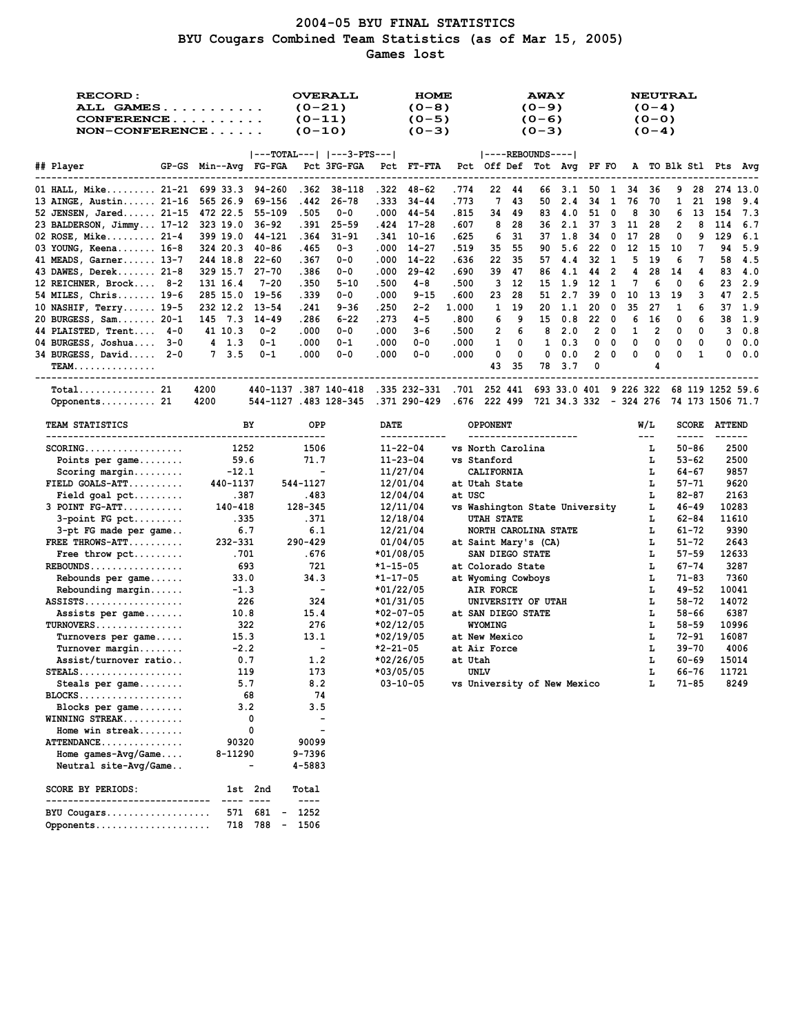## **2004-05 BYU FINAL STATISTICS BYU Cougars Combined Team Statistics (as of Mar 15, 2005) Games lost**

| <b>RECORD:</b><br>ALL GAMES<br>CONFERENCE<br>$NON-CONFERENCE$ |                                                      | <b>OVERALL</b><br>$(0-21)$<br>$(0-11)$<br>$(0-10)$                                                                                                                                                                                                                                                                                                                                                    | <b>HOME</b><br>$(0-8)$<br>$(0-5)$<br>$(0-3)$ |               |                                                     | <b>AWAY</b><br>$(0-9)$<br>$(0-6)$<br>$(0-3)$ |          |              |            | $(0-4)$<br>$(0 - 0)$<br>$(0-4)$ | <b>NEUTRAL</b>         |        |               |               |
|---------------------------------------------------------------|------------------------------------------------------|-------------------------------------------------------------------------------------------------------------------------------------------------------------------------------------------------------------------------------------------------------------------------------------------------------------------------------------------------------------------------------------------------------|----------------------------------------------|---------------|-----------------------------------------------------|----------------------------------------------|----------|--------------|------------|---------------------------------|------------------------|--------|---------------|---------------|
|                                                               |                                                      | $ ---TOTAL--- $ $ ---3-PTS--- $                                                                                                                                                                                                                                                                                                                                                                       |                                              |               |                                                     | $ ----REBOUNDS--- $                          |          |              |            |                                 |                        |        |               |               |
| ## Player                                                     | GP-GS Min--Avg FG-FGA Pct 3FG-FGA                    |                                                                                                                                                                                                                                                                                                                                                                                                       | <b>Pct FT-FTA</b>                            |               | Pct Off Def Tot Avq PF FO A TO Blk Stl Pts Avq      |                                              |          |              |            |                                 |                        |        |               |               |
| 01 HALL, Mike 21-21 699 33.3 94-260                           |                                                      | $.362$ $38-118$                                                                                                                                                                                                                                                                                                                                                                                       | .322 48-62                                   | .774          | 22 44                                               | 66 3.1                                       |          |              | 50 1 34 36 |                                 |                        |        |               | 9 28 274 13.0 |
| 13 AINGE, Austin 21-16                                        | 565 26.9<br>69-156                                   | .442<br>26-78                                                                                                                                                                                                                                                                                                                                                                                         | . 333<br>$34 - 44$                           | .773          | 7<br>43                                             | 50<br>2.4                                    | 34       | 1            | 76         | 70                              | $\mathbf{1}$<br>21     |        | 198           | 9.4           |
| 52 JENSEN, Jared 21-15                                        | 472 22.5 55-109                                      | .505<br>0-0                                                                                                                                                                                                                                                                                                                                                                                           | $.000$ 44-54                                 | .815          | 34<br>49                                            | 83 4.0                                       |          | 51 0         | 8          | -30                             | 6<br>13                |        | - 154         | 7.3           |
| 23 BALDERSON, Jimmy 17-12 323 19.0                            | 36-92                                                | . 391<br>$25 - 59$                                                                                                                                                                                                                                                                                                                                                                                    | .424<br>17-28                                | .607          | 8<br>28                                             | 36<br>2.1                                    |          | 37 3         | 11         | -28                             | 2                      | 8      | 114           | 6.7           |
| 02 ROSE, Mike $21-4$                                          | 399 19.0<br>44-121                                   | .364<br>$31 - 91$                                                                                                                                                                                                                                                                                                                                                                                     | .341<br>10-16                                | .625          | 6<br>31                                             | 37<br>1.8                                    | 34       | $\mathbf{0}$ | 17         | -28                             | 0                      | 9      | 129           | 6.1           |
| 03 YOUNG, Keena 16-8                                          | 324 20.3<br>40-86                                    | .465<br>$0 - 3$                                                                                                                                                                                                                                                                                                                                                                                       | .000<br>14-27                                | .519          | 35<br>55                                            | 90<br>5.6                                    | 22       | 0            | 12         | 15                              | 10                     | 7      | 94            | 5.9           |
| 41 MEADS, Garner 13-7                                         | 244 18.8<br>22-60                                    | .367<br>$0 - 0$                                                                                                                                                                                                                                                                                                                                                                                       | .000<br>14-22                                | . 636         | 22<br>35                                            | 57<br>4.4                                    | 32       | $\mathbf{1}$ | 5          | -19                             | 6                      | 7      | 58            | 4.5           |
| 43 DAWES, Derek $21-8$                                        | 329 15.7<br>$27 - 70$                                | .386<br>$0 - 0$                                                                                                                                                                                                                                                                                                                                                                                       | .000<br>$29 - 42$                            | . 690         | 39<br>47                                            | 86<br>4.1                                    | 44       | 2            | 4          | 28                              | 14                     | 4      | 83            | 4.0           |
| 12 REICHNER, Brock 8-2                                        | $7 - 20$<br>131 16.4<br>19-56                        | .350<br>$5 - 10$<br>.339<br>$0 - 0$                                                                                                                                                                                                                                                                                                                                                                   | .500<br>4-8<br>.000<br>$9 - 15$              | .500          | з<br>-12<br>23<br>28                                | 15 1.9<br>51<br>2.7                          | 12<br>39 | 1<br>0       | 7<br>10    | 6<br>13                         | 0<br>19                | 6<br>3 | 23<br>47      | 2.9<br>2.5    |
| 54 MILES, Chris 19-6<br>10 NASHIF, Terry $19-5$               | 285 15.0<br>232 12.2 13-54                           | .241<br>9-36                                                                                                                                                                                                                                                                                                                                                                                          | .250<br>$2 - 2$                              | .600<br>1.000 | 1<br>19                                             | 20<br>1.1                                    | 20       | 0            | 35         | 27                              | 1                      | 6      | 37            | 1.9           |
| 20 BURGESS, Sam 20-1                                          | 145 7.3 14-49                                        | .286<br>$6 - 22$                                                                                                                                                                                                                                                                                                                                                                                      | .273<br>$4 - 5$                              | .800          | 6<br>9                                              | 15<br>0.8                                    | 22       | $\mathbf{0}$ | 6          | 16                              | 0                      | 6      | 38            | 1.9           |
| 44 PLAISTED, Trent 4-0                                        | 41 10.3<br>$0 - 2$                                   | .000<br>$0 - 0$                                                                                                                                                                                                                                                                                                                                                                                       | .000<br>$3 - 6$                              | .500          | 2<br>6                                              | 8<br>2.0                                     | 2        | 0            | 1          | 2                               | 0                      | 0      | 3             | 0.8           |
| 04 BURGESS, Joshua 3-0                                        | $4 \quad 1.3$<br>$0 - 1$                             | .000<br>$0 - 1$                                                                                                                                                                                                                                                                                                                                                                                       | .000<br>$0 - 0$                              | .000          | 1<br>0                                              | 1<br>0.3                                     | 0        | 0            | 0          | 0                               | 0                      | 0      | 0             | 0.0           |
| $34$ BURGESS, David $2-0$                                     | 7, 3.5<br>$0 - 1$                                    | .000<br>$0 - 0$                                                                                                                                                                                                                                                                                                                                                                                       | .000<br>$0 - 0$                              | .000          | 0<br>0                                              | 0<br>0.0                                     | 2        | 0            | 0          | 0                               | 0                      | 1      | 0             | 0.0           |
| <b>TEAM</b>                                                   |                                                      |                                                                                                                                                                                                                                                                                                                                                                                                       |                                              |               | 43<br>-35                                           | 78<br>3.7                                    | 0        |              |            | 4                               |                        |        |               |               |
| _____________________________                                 |                                                      |                                                                                                                                                                                                                                                                                                                                                                                                       |                                              |               |                                                     |                                              |          |              |            |                                 |                        |        |               |               |
| Total 21<br>Opponents 21                                      | 4200<br>4200                                         | 440-1137 .387 140-418 .335 232-331 .701 252 441 693 33.0 401 9 226 322 68 119 1252 59.6<br>544-1127 .483 128-345 .371 290-429 .676 222 499 721 34.3 332 - 324 276                                                                                                                                                                                                                                     |                                              |               |                                                     |                                              |          |              |            |                                 | 74 173 1506 71.7       |        |               |               |
| <b>TEAM STATISTICS</b>                                        | BY                                                   | OPP                                                                                                                                                                                                                                                                                                                                                                                                   | DATE                                         |               | <b>OPPONENT</b>                                     |                                              |          |              |            | W/L                             | <b>SCORE</b>           |        | <b>ATTEND</b> |               |
|                                                               |                                                      |                                                                                                                                                                                                                                                                                                                                                                                                       | ------------                                 |               | --------------------                                |                                              |          |              |            | $---$                           | -----                  |        | ------        |               |
| $SCORING.$                                                    | 1252                                                 | 1506                                                                                                                                                                                                                                                                                                                                                                                                  | $11 - 22 - 04$                               |               | vs North Carolina                                   |                                              |          |              |            | L.                              | $50 - 86$              |        |               | 2500          |
| Points per game                                               | 59.6                                                 | 71.7                                                                                                                                                                                                                                                                                                                                                                                                  | $11 - 23 - 04$                               |               | vs Stanford                                         |                                              |          |              |            | L.                              | $53 - 62$              |        | 2500          |               |
| Scoring margin                                                | $-12.1$                                              | $\overline{\phantom{a}}$                                                                                                                                                                                                                                                                                                                                                                              | 11/27/04                                     |               | <b>CALIFORNIA</b>                                   |                                              |          |              |            | ъ.                              | 64-67                  |        |               | 9857          |
| FIELD GOALS-ATT                                               | 440-1137                                             | 544-1127                                                                                                                                                                                                                                                                                                                                                                                              | 12/01/04                                     |               | at Utah State                                       |                                              |          |              |            | L                               | $57 - 71$              |        |               | 9620          |
| $Field goal pet \dots$<br>$3$ POINT $FG-ATT$                  | .387<br>140-418                                      | .483<br>128-345                                                                                                                                                                                                                                                                                                                                                                                       | 12/04/04<br>12/11/04                         | at USC        |                                                     |                                              |          |              |            | г<br>г                          | $82 - 87$<br>$46 - 49$ |        | 2163<br>10283 |               |
| $3$ -point FG pct                                             | .335                                                 | .371                                                                                                                                                                                                                                                                                                                                                                                                  | 12/18/04                                     |               | vs Washington State University<br><b>UTAH STATE</b> |                                              |          |              |            | г                               | $62 - 84$              |        | 11610         |               |
| 3-pt FG made per game                                         | 6.7                                                  | 6.1                                                                                                                                                                                                                                                                                                                                                                                                   | 12/21/04                                     |               | NORTH CAROLINA STATE                                |                                              |          |              |            | г                               | $61 - 72$              |        | 9390          |               |
| FREE THROWS-ATT                                               | 232-331                                              | 290-429                                                                                                                                                                                                                                                                                                                                                                                               | 01/04/05                                     |               | at Saint Mary's (CA)                                |                                              |          |              |            | г                               | $51 - 72$              |        |               | 2643          |
| Free throw $\not\vdots$                                       | .701                                                 | .676                                                                                                                                                                                                                                                                                                                                                                                                  | *01/08/05                                    |               | SAN DIEGO STATE                                     |                                              |          |              |            | L                               | $57 - 59$              |        | 12633         |               |
| $REBOUNDS$                                                    | 693                                                  | 721                                                                                                                                                                                                                                                                                                                                                                                                   | *1-15-05                                     |               | at Colorado State                                   |                                              |          |              |            | г                               | $67 - 74$              |        |               | 3287          |
| Rebounds per game                                             | 33.0                                                 | 34.3                                                                                                                                                                                                                                                                                                                                                                                                  | *1-17-05                                     |               | at Wyoming Cowboys                                  |                                              |          |              |            | г                               | $71 - 83$              |        | 7360          |               |
| Rebounding margin                                             | $-1.3$                                               | $\blacksquare$                                                                                                                                                                                                                                                                                                                                                                                        | *01/22/05                                    |               | AIR FORCE                                           |                                              |          |              |            | L                               | 49-52                  |        | 10041         |               |
| $ASSISTS$                                                     | 226                                                  | 324                                                                                                                                                                                                                                                                                                                                                                                                   | *01/31/05                                    |               | UNIVERSITY OF UTAH                                  |                                              |          |              |            | L                               | $58 - 72$              |        | 14072         |               |
| Assists per game                                              | 10.8                                                 | 15.4                                                                                                                                                                                                                                                                                                                                                                                                  | $*02-07-05$                                  |               | at SAN DIEGO STATE                                  |                                              |          |              |            | г                               | $58 - 66$              |        |               | 6387          |
| TURNOVERS                                                     | 322                                                  | 276                                                                                                                                                                                                                                                                                                                                                                                                   | *02/12/05                                    |               | <b>WYOMING</b>                                      |                                              |          |              |            | L                               | $58 - 59$              |        | 10996         |               |
| Turnovers per game                                            | 15.3                                                 | 13.1<br>$\blacksquare$                                                                                                                                                                                                                                                                                                                                                                                | *02/19/05                                    |               | at New Mexico                                       |                                              |          |              |            | г                               | 72-91                  |        | 16087         |               |
| $Turnover$ margin<br>Assist/turnover ratio                    | $-2.2$<br>0.7                                        | 1.2                                                                                                                                                                                                                                                                                                                                                                                                   | *2-21-05<br>*02/26/05                        | at Utah       | at Air Force                                        |                                              |          |              |            | г<br>L                          | $39 - 70$<br>$60 - 69$ |        | 15014         | 4006          |
| $STEALS$                                                      | 119                                                  | 173                                                                                                                                                                                                                                                                                                                                                                                                   | *03/05/05                                    |               | <b>UNLV</b>                                         |                                              |          |              |            | L                               | $66 - 76$              |        | 11721         |               |
| Steals per game                                               | 5.7                                                  | 8.2                                                                                                                                                                                                                                                                                                                                                                                                   | $03 - 10 - 05$                               |               | vs University of New Mexico                         |                                              |          |              |            | г                               | 71-85                  |        |               | 8249          |
| $BLOCKS$                                                      | 68                                                   | 74                                                                                                                                                                                                                                                                                                                                                                                                    |                                              |               |                                                     |                                              |          |              |            |                                 |                        |        |               |               |
| Blocks per game                                               | 3.2                                                  | 3.5                                                                                                                                                                                                                                                                                                                                                                                                   |                                              |               |                                                     |                                              |          |              |            |                                 |                        |        |               |               |
| WINNING STREAK                                                | 0                                                    | $\overline{\phantom{a}}$                                                                                                                                                                                                                                                                                                                                                                              |                                              |               |                                                     |                                              |          |              |            |                                 |                        |        |               |               |
| Home win streak                                               | 0                                                    |                                                                                                                                                                                                                                                                                                                                                                                                       |                                              |               |                                                     |                                              |          |              |            |                                 |                        |        |               |               |
| ATTENDANCE                                                    | 90320                                                | 90099                                                                                                                                                                                                                                                                                                                                                                                                 |                                              |               |                                                     |                                              |          |              |            |                                 |                        |        |               |               |
| Home games- $Avg/Game$                                        | 8-11290                                              | 9-7396                                                                                                                                                                                                                                                                                                                                                                                                |                                              |               |                                                     |                                              |          |              |            |                                 |                        |        |               |               |
| Neutral site-Avg/Game                                         | $\overline{\phantom{0}}$                             | 4-5883                                                                                                                                                                                                                                                                                                                                                                                                |                                              |               |                                                     |                                              |          |              |            |                                 |                        |        |               |               |
| SCORE BY PERIODS:<br>--------------------------               | 1st 2nd                                              | Total<br>$\frac{1}{2} \frac{1}{2} \frac{1}{2} \frac{1}{2} \frac{1}{2} \frac{1}{2} \frac{1}{2} \frac{1}{2} \frac{1}{2} \frac{1}{2} \frac{1}{2} \frac{1}{2} \frac{1}{2} \frac{1}{2} \frac{1}{2} \frac{1}{2} \frac{1}{2} \frac{1}{2} \frac{1}{2} \frac{1}{2} \frac{1}{2} \frac{1}{2} \frac{1}{2} \frac{1}{2} \frac{1}{2} \frac{1}{2} \frac{1}{2} \frac{1}{2} \frac{1}{2} \frac{1}{2} \frac{1}{2} \frac{$ |                                              |               |                                                     |                                              |          |              |            |                                 |                        |        |               |               |
| BYU Cougars<br>Opponents                                      | 681<br>571<br>788<br>718<br>$\overline{\phantom{a}}$ | 1252<br>1506                                                                                                                                                                                                                                                                                                                                                                                          |                                              |               |                                                     |                                              |          |              |            |                                 |                        |        |               |               |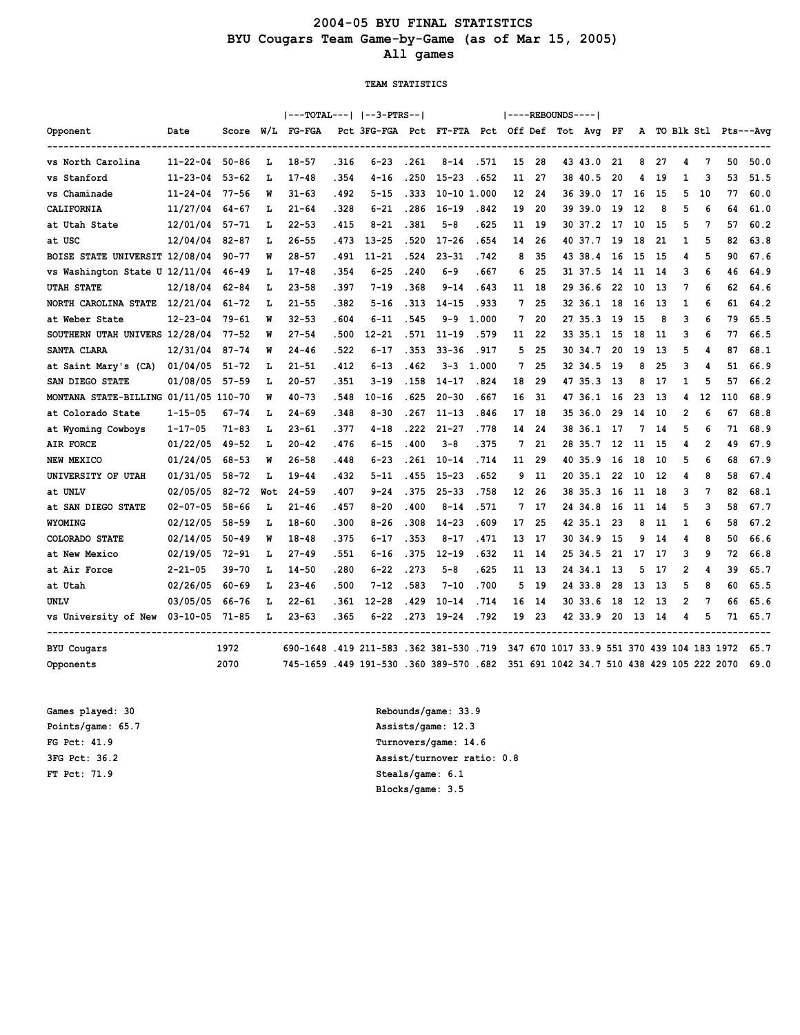## **2004-05 BYU FINAL STATISTICS BYU Cougars Team Game-by-Game (as of Mar 15, 2005) All games**

#### **TEAM STATISTICS**

|                                       |                |           |     |                                         |       | ---TOTAL---   --3-PTRS--                      |       |             |       |    |     | ----REBOUNDS---- |                                            |     |      |      |   |                |     |                        |
|---------------------------------------|----------------|-----------|-----|-----------------------------------------|-------|-----------------------------------------------|-------|-------------|-------|----|-----|------------------|--------------------------------------------|-----|------|------|---|----------------|-----|------------------------|
| Opponent                              | Date           | Score     | W/L | FG-FGA                                  |       | Pct 3FG-FGA Pct FT-FTA Pct Off Def Tot Avg PF |       |             |       |    |     |                  |                                            |     |      |      |   |                |     | A TO Blk Stl Pts---Avg |
| vs North Carolina                     | $11 - 22 - 04$ | $50 - 86$ | L   | $18 - 57$                               | .316  | $6 - 23$                                      | .261  | $8 - 14$    | .571  | 15 | 28  |                  | 43 43.0                                    | 21  | 8    | 27   | 4 | 7              | 50  | 50.0                   |
| vs Stanford                           | 11-23-04       | $53 - 62$ | L   | $17 - 48$                               | .354  | $4 - 16$                                      | . 250 | $15 - 23$   | .652  | 11 | 27  |                  | 38 40.5                                    | 20  | 4    | 19   | 1 | 3              | 53  | 51.5                   |
| vs Chaminade                          | $11 - 24 - 04$ | 77-56     | W   | 31-63                                   | . 492 | 5-15                                          | . 333 | 10-10 1.000 |       | 12 | 24  |                  | 3639.0                                     | 17  | 16   | 15   | 5 | 10             | 77  | 60.0                   |
| CALIFORNIA                            | 11/27/04       | 64-67     | L   | $21 - 64$                               | .328  | 6-21                                          | . 286 | $16 - 19$   | .842  | 19 | 20  |                  | 39 39.0                                    | 19  | 12   | 8    | 5 | 6              | 64  | 61.0                   |
| at Utah State                         | 12/01/04       | $57 - 71$ | L   | $22 - 53$                               | . 415 | $8 - 21$                                      | .381  | 5-8         | . 625 | 11 | -19 |                  | 3037.2                                     | 17  | 10   | 15   | 5 | 7              | 57  | 60.2                   |
| at USC                                | 12/04/04       | $82 - 87$ | L   | $26 - 55$                               | .473  | $13 - 25$                                     | .520  | $17 - 26$   | . 654 | 14 | 26  |                  | 40 37.7                                    | 19  | 18   | 21   | 1 | 5              | 82  | 63.8                   |
| BOISE STATE UNIVERSIT 12/08/04        |                | $90 - 77$ | W   | $28 - 57$                               | . 491 | $11 - 21$                                     | .524  | $23 - 31$   | .742  | 8  | 35  |                  | 43 38.4                                    | 16  | 15   | -15  | 4 | 5              | 90  | 67.6                   |
| vs Washington State U 12/11/04        |                | 46-49     | L   | $17 - 48$                               | .354  | 6-25                                          | .240  | $6 - 9$     | . 667 | 6  | 25  |                  | 31 37.5                                    | 14  | 11   | 14   | 3 | 6              | 46  | 64.9                   |
| <b>UTAH STATE</b>                     | 12/18/04       | 62-84     | L   | $23 - 58$                               | . 397 | $7 - 19$                                      | .368  | $9 - 14$    | .643  | 11 | -18 |                  | 29 36.6                                    | 22  | 10   | 13   | 7 | 6              | 62  | 64.6                   |
| NORTH CAROLINA STATE                  | 12/21/04       | $61 - 72$ | L   | $21 - 55$                               | .382  | $5 - 16$                                      | .313  | $14 - 15$   | .933  | 7  | 25  |                  | 32 36.1                                    | 18  | 16   | 13   | 1 | 6              | 61  | 64.2                   |
| at Weber State                        | 12-23-04       | 79-61     | W   | 32-53                                   | . 604 | 6-11                                          | .545  | 9-9         | 1.000 | 7  | 20  |                  | 27 35.3                                    | 19  | 15   | 8    | 3 | 6              | 79  | 65.5                   |
| SOUTHERN UTAH UNIVERS 12/28/04        |                | $77 - 52$ | W   | $27 - 54$                               | .500  | $12 - 21$                                     | .571  | $11 - 19$   | .579  | 11 | 22  |                  | 33 35.1                                    | 15  | 18   | 11   | 3 | 6              | 77  | 66.5                   |
| SANTA CLARA                           | 12/31/04       | 87-74     | W   | $24 - 46$                               | .522  | 6-17                                          | .353  | $33 - 36$   | .917  | 5  | 25  |                  | 30 34.7                                    | 20  | 19   | 13   | 5 | 4              | 87  | 68.1                   |
| at Saint Mary's (CA)                  | 01/04/05       | $51 - 72$ | L   | $21 - 51$                               | . 412 | $6 - 13$                                      | .462  | $3 - 3$     | 1.000 | 7  | 25  |                  | 32 34.5                                    | -19 | 8    | 25   | 3 | 4              | 51  | 66.9                   |
| SAN DIEGO STATE                       | 01/08/05       | $57 - 59$ | L   | $20 - 57$                               | . 351 | 3-19                                          | . 158 | $14 - 17$   | .824  | 18 | 29  |                  | 47 35.3                                    | -13 | 8    | 17   | 1 | 5              | 57  | 66.2                   |
| MONTANA STATE-BILLING 01/11/05 110-70 |                |           | W   | $40 - 73$                               | .548  | $10 - 16$                                     | .625  | $20 - 30$   | . 667 | 16 | 31  |                  | 47 36.1                                    | 16  | 23   | 13   | 4 | 12             | 110 | 68.9                   |
| at Colorado State                     | $1 - 15 - 05$  | $67 - 74$ | L   | $24 - 69$                               | .348  | $8 - 30$                                      | .267  | $11 - 13$   | .846  | 17 | 18  |                  | 35 36.0                                    | 29  | 14   | 10   | 2 | 6              | 67  | 68.8                   |
| at Wyoming Cowboys                    | $1 - 17 - 05$  | $71 - 83$ | L   | $23 - 61$                               | .377  | $4 - 18$                                      | . 222 | $21 - 27$   | .778  | 14 | 24  |                  | 38 36.1                                    | -17 | 7    | -14  | 5 | 6              | 71  | 68.9                   |
| <b>AIR FORCE</b>                      | 01/22/05       | 49-52     | L   | $20 - 42$                               | .476  | $6 - 15$                                      | .400  | $3 - 8$     | .375  | 7  | 21  |                  | 28 35.7                                    | 12  | 11   | -15  | 4 | $\overline{2}$ | 49  | 67.9                   |
| NEW MEXICO                            | 01/24/05       | $68 - 53$ | W   | $26 - 58$                               | .448  | 6-23                                          | . 261 | $10 - 14$   | .714  | 11 | -29 |                  | 40 35.9                                    | 16  | 18   | 10   | 5 | 6              | 68  | 67.9                   |
| UNIVERSITY OF UTAH                    | 01/31/05       | 58-72     | г   | $19 - 44$                               | .432  | $5 - 11$                                      | .455  | $15 - 23$   | . 652 | 9  | 11  |                  | 20 35.1                                    | 22  | 10   | 12   | 4 | 8              | 58  | 67.4                   |
| at UNLV                               | 02/05/05       | 82-72     | Wot | $24 - 59$                               | .407  | $9 - 24$                                      | .375  | $25 - 33$   | .758  | 12 | 26  |                  | 38 35.3                                    | 16  | 11   | 18   | 3 | 7              | 82  | 68.1                   |
| at SAN DIEGO STATE                    | $02 - 07 - 05$ | $58 - 66$ | г   | $21 - 46$                               | . 457 | $8 - 20$                                      | .400  | $8 - 14$    | .571  | 7  | 17  |                  | 24 34.8                                    | 16  | 11   | 14   | 5 | 3              | 58  | 67.7                   |
| WYOMING                               | 02/12/05       | $58 - 59$ | L   | $18 - 60$                               | .300  | 8-26                                          | .308  | $14 - 23$   | .609  | 17 | 25  |                  | 42 35.1                                    | -23 | 8    | -11  | 1 | 6              | 58  | 67.2                   |
| COLORADO STATE                        | 02/14/05       | $50 - 49$ | W   | $18 - 48$                               | . 375 | 6-17                                          | . 353 | 8-17        | .471  | 13 | 17  |                  | 3034.9                                     | -15 | 9    | -14  | 4 | 8              | 50  | 66.6                   |
| at New Mexico                         | 02/19/05       | $72 - 91$ | L   | $27 - 49$                               | . 551 | 6-16                                          | . 375 | $12 - 19$   | . 632 | 11 | -14 |                  | 25 34.5                                    | 21  | 17   | 17   | 3 | 9              | 72  | 66.8                   |
| at Air Force                          | 2-21-05        | 39-70     | L   | $14 - 50$                               | .280  | 6-22                                          | .273  | $5 - 8$     | . 625 | 11 | 13  |                  | 24 34.1                                    | -13 | 5    | 17   | 2 | 4              | 39  | 65.7                   |
| at Utah                               | 02/26/05       | 60-69     | L   | $23 - 46$                               | .500  | $7 - 12$                                      | .583  | $7 - 10$    | .700  | 5  | 19  |                  | 24 33.8                                    | 28  | 13   | 13   | 5 | 8              | 60  | 65.5                   |
| UNLV                                  | 03/05/05       | 66-76     | г   | $22 - 61$                               | . 361 | $12 - 28$                                     | 429   | $10 - 14$   | .714  | 16 | 14  |                  | 30 33.6                                    | 18  | 12   | 13   | 2 | 7              | 66  | 65.6                   |
| vs University of New 03-10-05         |                | 71-85     | L   | $23 - 63$                               | .365  | 6-22                                          | .273  | $19 - 24$   | .792  | 19 | -23 |                  | 42 33.9                                    | 20  | - 13 | - 14 | 4 | 5              | 71  | 65.7                   |
| <b>BYU</b> Cougars                    |                | 1972      |     | 690-1648 .419 211-583 .362 381-530 .719 |       |                                               |       |             |       |    |     |                  | 347 670 1017 33.9 551 370 439 104 183 1972 |     |      |      |   |                |     | 65.7                   |
| Opponents                             |                | 2070      |     | 745-1659.449 191-530.360 389-570.682    |       |                                               |       |             |       |    |     |                  | 351 691 1042 34.7 510 438 429 105 222 2070 |     |      |      |   |                |     | 69.0                   |

**FT Pct: 71.9 Steals/game: 6.1**

**Games played: 30 Rebounds/game: 33.9 Points/game: 65.7 Assists/game: 12.3 FG Pct: 41.9 Turnovers/game: 14.6 3FG Pct: 36.2 Assist/turnover ratio: 0.8 Blocks/game: 3.5**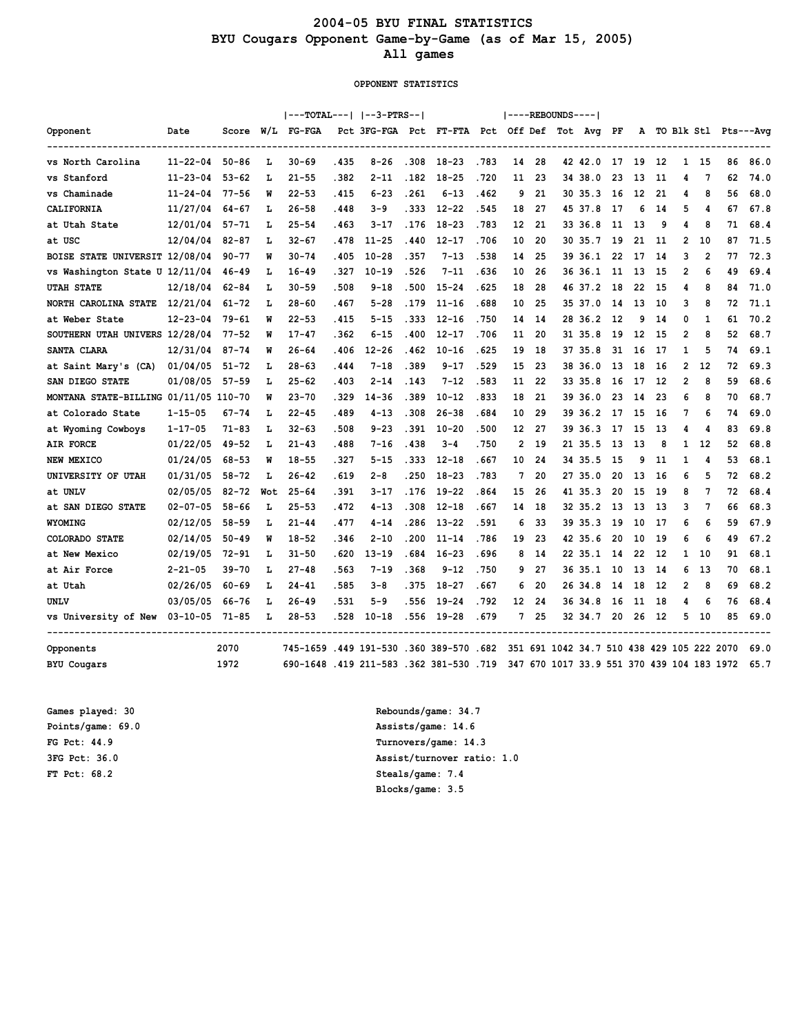## **2004-05 BYU FINAL STATISTICS BYU Cougars Opponent Game-by-Game (as of Mar 15, 2005) All games**

#### **OPPONENT STATISTICS**

|                                       |                |           |     |                                         |       | ---TOTAL---   --3-PTRS--                      |       |           |       |                |     | ----REBOUNDS---- |                                            |     |     |      |                |                |    |                        |
|---------------------------------------|----------------|-----------|-----|-----------------------------------------|-------|-----------------------------------------------|-------|-----------|-------|----------------|-----|------------------|--------------------------------------------|-----|-----|------|----------------|----------------|----|------------------------|
| Opponent                              | Date           | Score     | W/L | FG-FGA                                  |       | Pct 3FG-FGA Pct FT-FTA Pct Off Def Tot Avg PF |       |           |       |                |     |                  |                                            |     |     |      |                |                |    | A TO Blk Stl Pts---Avg |
| vs North Carolina                     | $11 - 22 - 04$ | $50 - 86$ | ъ   | 30-69                                   | . 435 | $8 - 26$                                      | .308  | 18-23     | .783  | 14             | -28 |                  | 42 42.0                                    | 17  | -19 | -12  | $\mathbf{1}$   | -15            | 86 | 86.0                   |
| vs Stanford                           | $11 - 23 - 04$ | $53 - 62$ | L   | $21 - 55$                               | . 382 | $2 - 11$                                      | .182  | $18 - 25$ | .720  | 11             | 23  |                  | 34 38.0                                    | 23  | 13  | 11   | 4              | 7              | 62 | 74.0                   |
| vs Chaminade                          | $11 - 24 - 04$ | $77 - 56$ | W   | $22 - 53$                               | .415  | $6 - 23$                                      | .261  | $6 - 13$  | .462  | 9              | 21  |                  | 30 35.3                                    | 16  | 12  | 21   | 4              | 8              | 56 | 68.0                   |
| CALIFORNIA                            | 11/27/04       | 64-67     | L   | $26 - 58$                               | .448  | $3 - 9$                                       | . 333 | $12 - 22$ | .545  | 18             | 27  |                  | 45 37.8                                    | 17  | 6   | 14   | 5              | 4              | 67 | 67.8                   |
| at Utah State                         | 12/01/04       | $57 - 71$ | г   | $25 - 54$                               | . 463 | $3 - 17$                                      | .176  | $18 - 23$ | .783  | 12             | 21  |                  | 33 36.8                                    | 11  | 13  | 9    | 4              | 8              | 71 | 68.4                   |
| at USC                                | 12/04/04       | $82 - 87$ | L   | 32-67                                   | .478  | $11 - 25$                                     | .440  | $12 - 17$ | .706  | 10             | 20  |                  | 30 35.7                                    | 19  | 21  | -11  | 2              | 10             | 87 | 71.5                   |
| BOISE STATE UNIVERSIT 12/08/04        |                | $90 - 77$ | W   | $30 - 74$                               | .405  | $10 - 28$                                     | .357  | $7 - 13$  | .538  | 14             | 25  |                  | 39 36.1                                    | 22  | 17  | 14   | 3              | $\overline{2}$ | 77 | 72.3                   |
| vs Washington State U 12/11/04        |                | 46-49     | L   | $16 - 49$                               | . 327 | $10 - 19$                                     | .526  | $7 - 11$  | .636  | 10             | 26  |                  | 36 36.1                                    | -11 | 13  | 15   | 2              | 6              | 49 | 69.4                   |
| <b>UTAH STATE</b>                     | 12/18/04       | 62-84     | L   | 30-59                                   | .508  | $9 - 18$                                      | .500  | $15 - 24$ | .625  | 18             | 28  |                  | 46 37.2                                    | 18  | 22  | 15   | 4              | 8              | 84 | 71.0                   |
| NORTH CAROLINA STATE                  | 12/21/04       | $61 - 72$ | L   | $28 - 60$                               | .467  | $5 - 28$                                      | . 179 | $11 - 16$ | . 688 | 10             | 25  |                  | 35 37.0                                    | 14  | 13  | 10   | 3              | 8              | 72 | 71.1                   |
| at Weber State                        | 12-23-04       | $79 - 61$ | W   | $22 - 53$                               | .415  | 5-15                                          | .333  | $12 - 16$ | .750  | 14             | 14  |                  | 28 36.2                                    | 12  | 9   | -14  | 0              | 1              | 61 | 70.2                   |
| SOUTHERN UTAH UNIVERS 12/28/04        |                | $77 - 52$ | W   | $17 - 47$                               | . 362 | 6-15                                          | .400  | $12 - 17$ | .706  | 11             | 20  |                  | 31 35.8                                    | 19  | 12  | -15  | $\overline{2}$ | 8              | 52 | 68.7                   |
| SANTA CLARA                           | 12/31/04       | 87-74     | W   | $26 - 64$                               | .406  | $12 - 26$                                     | .462  | $10 - 16$ | .625  | 19             | 18  |                  | 37 35.8                                    | 31  | 16  | 17   | 1              | 5              | 74 | 69.1                   |
| at Saint Mary's (CA)                  | 01/04/05       | $51 - 72$ | L   | $28 - 63$                               | . 444 | $7 - 18$                                      | .389  | 9-17      | .529  | 15             | 23  |                  | 38 36.0                                    | -13 | 18  | -16  | 2              | 12             | 72 | 69.3                   |
| SAN DIEGO STATE                       | 01/08/05       | $57 - 59$ | L   | $25 - 62$                               | . 403 | $2 - 14$                                      | . 143 | $7 - 12$  | .583  | 11             | 22  |                  | 33 35.8                                    | 16  | 17  | 12   | 2              | 8              | 59 | 68.6                   |
| MONTANA STATE-BILLING 01/11/05 110-70 |                |           | W   | $23 - 70$                               | . 329 | $14 - 36$                                     | . 389 | $10 - 12$ | .833  | 18             | 21  |                  | 39 36.0                                    | 23  | 14  | 23   | 6              | 8              | 70 | 68.7                   |
| at Colorado State                     | $1 - 15 - 05$  | $67 - 74$ | L   | $22 - 45$                               | .489  | $4 - 13$                                      | .308  | $26 - 38$ | . 684 | 10             | 29  |                  | 39 36.2                                    | 17  | 15  | 16   | 7              | 6              | 74 | 69.0                   |
| at Wyoming Cowboys                    | $1 - 17 - 05$  | $71 - 83$ | г   | $32 - 63$                               | .508  | $9 - 23$                                      | .391  | $10 - 20$ | .500  | 12             | 27  |                  | 39 36.3                                    | 17  | 15  | 13   | 4              | 4              | 83 | 69.8                   |
| <b>AIR FORCE</b>                      | 01/22/05       | 49-52     | г   | $21 - 43$                               | .488  | $7 - 16$                                      | .438  | $3 - 4$   | .750  | $\overline{2}$ | 19  |                  | 21 35.5                                    | -13 | 13  | 8    | 1              | -12            | 52 | 68.8                   |
| NEW MEXICO                            | 01/24/05       | 68-53     | W   | $18 - 55$                               | .327  | $5 - 15$                                      | .333  | $12 - 18$ | .667  | 10             | 24  |                  | 34 35.5                                    | 15  | 9   | 11   | 1              | 4              | 53 | 68.1                   |
| UNIVERSITY OF UTAH                    | 01/31/05       | 58-72     | г   | $26 - 42$                               | .619  | $2 - 8$                                       | . 250 | $18 - 23$ | .783  | 7              | 20  |                  | 27 35.0                                    | 20  | 13  | 16   | 6              | 5              | 72 | 68.2                   |
| at UNLV                               | 02/05/05       | $82 - 72$ | Wot | $25 - 64$                               | .391  | 3-17                                          | .176  | $19 - 22$ | .864  | 15             | 26  |                  | 41 35.3                                    | 20  | 15  | -19  | 8              | 7              | 72 | 68.4                   |
| at SAN DIEGO STATE                    | $02 - 07 - 05$ | $58 - 66$ | L   | $25 - 53$                               | . 472 | $4 - 13$                                      | .308  | $12 - 18$ | . 667 | 14             | 18  |                  | 32 35.2                                    | -13 | 13  | -13  | 3              | 7              | 66 | 68.3                   |
| WYOMING                               | 02/12/05       | $58 - 59$ | L   | $21 - 44$                               | .477  | $4 - 14$                                      | . 286 | $13 - 22$ | .591  | 6              | 33  |                  | 39 35.3                                    | 19  | 10  | 17   | 6              | 6              | 59 | 67.9                   |
| <b>COLORADO STATE</b>                 | 02/14/05       | $50 - 49$ | W   | $18 - 52$                               | . 346 | $2 - 10$                                      | . 200 | $11 - 14$ | .786  | 19             | 23  |                  | 42 35.6                                    | 20  | 10  | 19   | 6              | 6              | 49 | 67.2                   |
| at New Mexico                         | 02/19/05       | 72-91     | L   | 31-50                                   | . 620 | $13 - 19$                                     | . 684 | $16 - 23$ | . 696 | 8              | -14 |                  | 22 35.1                                    | 14  | 22  | -12  | 1              | 10             | 91 | 68.1                   |
| at Air Force                          | $2 - 21 - 05$  | 39-70     | L   | $27 - 48$                               | .563  | $7 - 19$                                      | .368  | $9 - 12$  | .750  | 9              | 27  |                  | 36 35.1                                    | 10  | 13  | -14  | 6              | -13            | 70 | 68.1                   |
| at Utah                               | 02/26/05       | $60 - 69$ | L   | $24 - 41$                               | .585  | $3 - 8$                                       | . 375 | $18 - 27$ | . 667 | 6              | 20  |                  | 26 34.8                                    | 14  | 18  | 12   | 2              | 8              | 69 | 68.2                   |
| UNLV                                  | 03/05/05       | 66-76     | г   | $26 - 49$                               | .531  | $5 - 9$                                       | . 556 | $19 - 24$ | .792  | 12             | 24  |                  | 3634.8                                     | 16  | 11  | 18   | 4              | 6              | 76 | 68.4                   |
| vs University of New 03-10-05 71-85   |                |           | L   | $28 - 53$                               | .528  | $10 - 18$                                     | .556  | $19 - 28$ | .679  | 7              | 25  |                  | 3234.7                                     | 20  | 26  | - 12 | 5.             | 10             | 85 | 69.0                   |
| Opponents                             |                | 2070      |     | 745-1659.449 191-530.360 389-570.682    |       |                                               |       |           |       |                |     |                  | 351 691 1042 34.7 510 438 429 105 222 2070 |     |     |      |                |                |    | 69.0                   |
| <b>BYU</b> Cougars                    |                | 1972      |     | 690-1648 .419 211-583 .362 381-530 .719 |       |                                               |       |           |       |                |     |                  | 347 670 1017 33.9 551 370 439 104 183 1972 |     |     |      |                |                |    | 65.7                   |

**FT Pct: 68.2 Steals/game: 7.4**

**Games played: 30 Rebounds/game: 34.7 Points/game: 69.0 Assists/game: 14.6 FG Pct: 44.9 Turnovers/game: 14.3 3FG Pct: 36.0 Assist/turnover ratio: 1.0 Blocks/game: 3.5**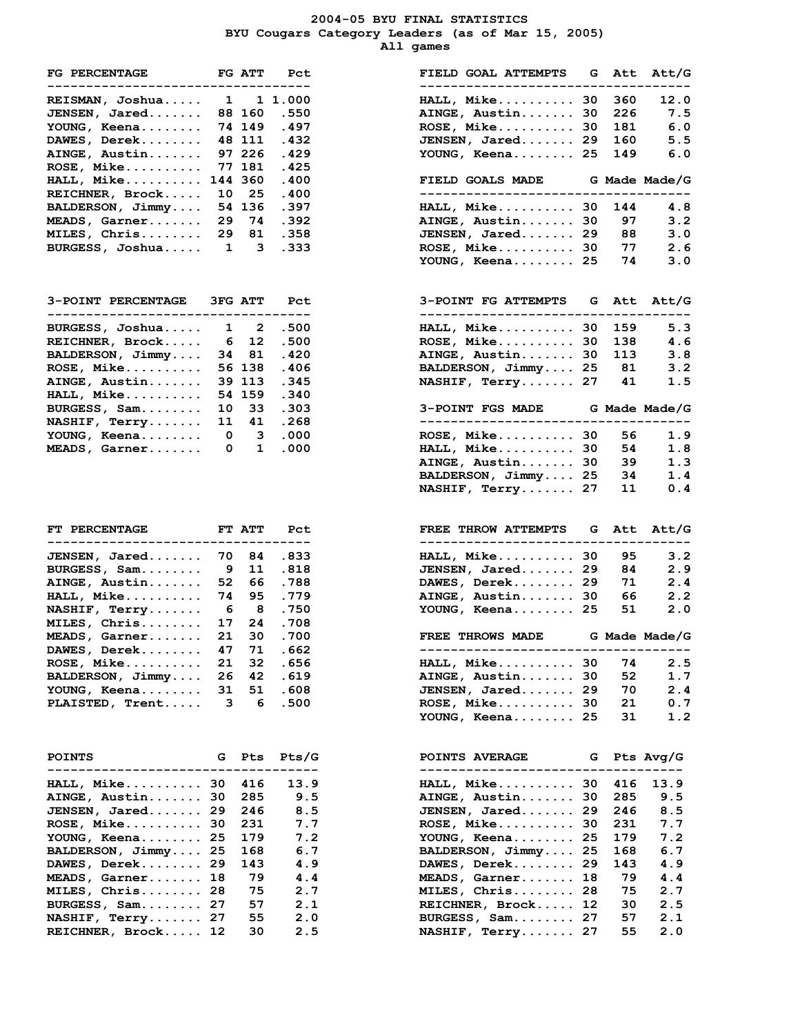#### **2004-05 BYU FINAL STATISTICS BYU Cougars Category Leaders (as of Mar 15, 2005) All games**

| FG PERCENTAGE                  |             |             | FG ATT Pct  |
|--------------------------------|-------------|-------------|-------------|
| REISMAN, Joshua                |             |             | 1 11.000    |
| JENSEN, Jared                  |             |             | 88 160 .550 |
| YOUNG, Keena                   |             | 74 149      | .497        |
| DAWES, Derek                   |             | 48 111      | .432        |
| AINGE, Austin                  |             | 97 226      | .429        |
| ROSE, Mike                     |             | 77 181      | .425        |
| HALL, Mike                     |             | 144 360     | .400        |
| REICHNER, Brock                |             | 10 25       | .400        |
| BALDERSON, Jimmy               |             | 54 136      | .397        |
| MEADS, Garner                  |             | 29 74       | .392        |
| MILES, Chris                   |             | 29 81       | .358        |
| BURGESS, Joshua                |             | $1 \quad 3$ | .333        |
| 3-POINT PERCENTAGE 3FG ATT Pct |             |             |             |
| BURGESS, Joshua                | $1 \quad 2$ |             | .500        |
| REICHNER, Brock                |             | 6 12        | .500        |
| BALDERSON, Jimmy               |             | 34 81       | .420        |
| ROSE, Mike                     |             | 56 138      | .406        |
| AINGE, Austin                  |             | 39 113      | .345        |
| HALL, Mike                     |             | 54 159      | .340        |
| BURGESS, Sam                   |             | 10 33       | .303        |
| NASHIF, Terry                  |             | 11 41       | .268        |
| YOUNG, Keena                   |             | $0 \quad 3$ | .000        |
| MEADS, Garner                  |             | $0\quad 1$  | .000        |

| FT PERCENTAGE    |                          | FT ATT | Pct    |
|------------------|--------------------------|--------|--------|
|                  |                          |        |        |
| JENSEN, Jared    | 70                       | 84     | .833   |
| BURGESS, Sam     | -9                       | 11     | .818   |
| AINGE, Austin    | 52                       | 66     | .788   |
| HALL, Mike       | 74                       | 95     | .779   |
| NASHIF, Terry    | - 6                      | - 8    | . 750  |
| MILES, Chris     | 17                       | 24     | .708   |
| MEADS, Garner    | 21                       | 30     | .700   |
| DAWES, Derek     | 47                       | 71     | . 662  |
| ROSE, Mike       | 21                       | 32     | . 656  |
| BALDERSON, Jimmy | 26                       | 42     | . 619  |
| YOUNG, Keena     | 31                       | 51     | .608   |
|                  | $\overline{\phantom{a}}$ | $\sim$ | $-0.0$ |

| <b>POINTS</b><br>_________________________ | G Pts | Pts/G | G Pts Avg/G<br><b>POINTS AVERAGE</b><br>-------------------------- |      |
|--------------------------------------------|-------|-------|--------------------------------------------------------------------|------|
| HALL, Mike 30 416                          |       | 13.9  | HALL, Mike 30 416                                                  | 13.9 |
| AINGE, Austin 30 285                       |       | 9.5   | AINGE, Austin 30<br>285                                            | 9.5  |
| <b>JENSEN, Jared 29 246</b>                |       | 8.5   | JENSEN, Jared 29<br>246                                            | 8.5  |
| ROSE, Mike 30 231                          |       | 7.7   | $ROSE$ , Mike 30<br>-231                                           | 7.7  |
| YOUNG, Keena 25 179                        |       | 7.2   | YOUNG, Keena 25<br>179                                             | 7.2  |
| BALDERSON, Jimmy 25                        | 168   | 6.7   | BALDERSON, Jimmy 25<br>168                                         | 6.7  |
| $DAWES$ , $Derek$ , $\ldots$ ,  29         | 143   | 4.9   | 143<br>DAWES, Derek 29                                             | 4.9  |
| MEADS, Garner 18                           | 79    | 4.4   | MEADS, Garner 18<br>79                                             | 4.4  |
| MILES, Chris 28                            | 75    | 2.7   | 75<br>MILES, Chris 28                                              | 2.7  |
| BURGESS, Sam 27                            | 57    | 2.1   | 30<br>REICHNER, Brock 12                                           | 2.5  |
| NASHIF, Terry 27                           | 55    | 2.0   | 57<br>BURGESS, Sam 27                                              | 2.1  |
| REICHNER, Brock 12                         | 30    | 2.5   | 55<br>NASHIF, Terry 27                                             | 2.0  |

| <b>FG PERCENTAGE</b><br>---------------------------------- |                         | FG ATT         | Pct        | FIELD GOAL ATTEMPTS<br>---------------------------------    | G        | Att Att/G<br>$---$ |
|------------------------------------------------------------|-------------------------|----------------|------------|-------------------------------------------------------------|----------|--------------------|
| REISMAN, Joshua                                            | $\mathbf{1}$            |                | 1 1.000    | $HALL, Mike \ldots 30$                                      | 360      | 12.0               |
| JENSEN, Jared                                              |                         | 88 160         | .550       |                                                             | 226      | 7.5                |
|                                                            |                         |                |            | AINGE, Austin 30                                            |          |                    |
| YOUNG, Keena                                               |                         | 74 149         | .497       | $ROSE$ , Mike 30                                            | 181      | 6.0                |
| DAWES, Derek                                               |                         | 48 111         | .432       | JENSEN, Jared 29                                            | 160      | 5.5                |
| AINGE, Austin                                              |                         | 97 226         | .429       | YOUNG, Keena 25                                             | 149      | 6.0                |
| <b>ROSE, Mike</b>                                          |                         | 77 181         | .425       |                                                             |          |                    |
| <b>HALL, Mike</b>                                          |                         | 144 360        | .400       | FIELD GOALS MADE G Made Made/G                              |          |                    |
| REICHNER, Brock                                            | 10                      | 25             | .400       | -----------------------------                               |          |                    |
| BALDERSON, Jimmy                                           |                         | 54 136         | .397       | HALL, Mike 30                                               | 144      | 4.8                |
| <b>MEADS, Garner</b>                                       | 29                      | 74             | .392       | AINGE, Austin 30                                            | 97       | 3.2                |
| MILES, Chris                                               | 29                      | 81             | .358       | JENSEN, Jared 29                                            | 88       | 3.0                |
| BURGESS, Joshua                                            | $\overline{\mathbf{1}}$ | 3              | .333       | $ROSE$ , Mike 30                                            | 77       | 2.6                |
|                                                            |                         |                |            | YOUNG, Keena 25                                             | 74       | 3.0                |
|                                                            |                         |                |            |                                                             |          |                    |
| <b>3-POINT PERCENTAGE</b>                                  |                         | <b>3FG ATT</b> | Pct        | 3-POINT FG ATTEMPTS G Att Att/G                             |          |                    |
| ----------------------                                     |                         |                |            |                                                             |          |                    |
| BURGESS, Joshua                                            | 1                       | 2              | .500       | HALL, Mike 30                                               | 159      | 5.3                |
| REICHNER, Brock                                            | - 6                     | 12             | .500       | $ROSE$ , Mike 30                                            | 138      | 4.6                |
| BALDERSON, Jimmy                                           |                         | 34 81          | .420       | AINGE, Austin 30                                            | 113      | 3.8                |
| <b>ROSE, Mike</b>                                          |                         | 56 138         | .406       | BALDERSON, Jimmy 25                                         | 81       | 3.2                |
| AINGE, Austin                                              |                         | 39 113         | .345       | NASHIF, Terry 27                                            | 41       | 1.5                |
| <b>HALL, Mike</b>                                          |                         | 54 159         | .340       |                                                             |          |                    |
| BURGESS, Sam                                               | 10                      | 33             | .303       | 3-POINT FGS MADE G Made Made/G                              |          |                    |
|                                                            |                         |                |            | ----------------------                                      |          |                    |
| <b>NASHIF, Terry</b>                                       | 11                      | 41             | .268       |                                                             |          |                    |
| YOUNG, Keena                                               | $\overline{\mathbf{0}}$ | 3              | .000       | ROSE, Mike 30                                               | 56       | 1.9                |
| <b>MEADS, Garner</b>                                       | 0                       | $\mathbf{1}$   | .000       | $HALL, Mike \ldots 30$                                      | 54       | 1.8                |
|                                                            |                         |                |            | AINGE, Austin 30                                            | 39       | 1.3                |
|                                                            |                         |                |            | BALDERSON, Jimmy 25                                         | 34       | 1.4                |
|                                                            |                         |                |            | NASHIF, Terry 27                                            | 11       | 0.4                |
|                                                            |                         |                |            |                                                             |          |                    |
| <b>FT PERCENTAGE</b><br>-----------------------            |                         | FT ATT         | Pct        | FREE THROW ATTEMPTS G Att Att/G<br>------------------------ |          |                    |
|                                                            |                         |                |            |                                                             |          |                    |
| JENSEN, Jared                                              | 70                      | 84             | .833       | HALL, Mike 30                                               | 95       | 3.2                |
| BURGESS, Sam                                               | 9                       | 11             | .818       | JENSEN, Jared 29                                            | 84       | 2.9                |
| AINGE, Austin                                              | 52                      | 66             | .788       | DAWES, Derek 29                                             | 71       | 2.4                |
| <b>HALL, Mike</b>                                          | 74                      | 95             | .779       | AINGE, Austin 30                                            | 66       | 2.2                |
| <b>NASHIF, Terry</b>                                       | - 6                     | - 8            | .750       | YOUNG, Keena 25                                             | 51       | 2.0                |
| MILES, Chris                                               | 17                      | 24             | .708       |                                                             |          |                    |
| <b>MEADS, Garner</b>                                       | 21                      | 30             | .700       | FREE THROWS MADE G Made Made/G                              |          |                    |
| DAWES, Derek                                               | 47                      | 71             | . 662      | -----------------------------------                         |          |                    |
| $\verb ROSE , \verb Mike $                                 | 21                      | 32             | . 656      | HALL, Mike 30                                               | 74       | 2.5                |
|                                                            |                         |                |            |                                                             |          |                    |
| BALDERSON, Jimmy                                           | 26                      | 42             | .619       | AINGE, Austin 30                                            | 52       | 1.7                |
| YOUNG, Keena                                               | 31                      | 51             | .608       | JENSEN, Jared 29                                            | 70       | 2.4                |
| <b>PLAISTED, Trent</b>                                     | 3                       | 6              | .500       | ROSE, Mike 30                                               | 21       | 0.7                |
|                                                            |                         |                |            | YOUNG, Keena 25                                             | 31       | 1.2                |
| <b>POINTS</b>                                              | G                       | Pts            | $P$ ts/G   | <b>POINTS AVERAGE</b>                                       | G        | Pts Avg/G          |
| -----------------                                          |                         |                |            | ------------                                                |          |                    |
| <b>HALL, Mike 30</b>                                       |                         | 416            | 13.9       | $HALL, Mike \ldots 30$                                      | 416      | 13.9               |
| AINGE, Austin 30                                           |                         | 285            | 9.5        | AINGE, Austin<br>30                                         | 285      | 9.5                |
| JENSEN, Jared 29                                           |                         | 246            | 8.5        | JENSEN, Jared 29                                            | 246      | 8.5                |
| <b>ROSE, Mike 30</b>                                       |                         | 231            | 7.7        | $ROSE$ , Mike 30                                            | 231      | 7.7                |
| YOUNG, Keena 25                                            |                         | 179            | 7.2        | YOUNG, Keena 25                                             | 179      | 7.2                |
| BALDERSON, Jimmy 25                                        |                         | 168            | 6.7        | BALDERSON, Jimmy 25                                         | 168      | 6.7                |
| DAWES, Derek 29                                            |                         | 143            | 4.9        | DAWES, Derek 29                                             | 143      | 4.9                |
| MEADS, Garner 18                                           |                         |                | 4.4        | MEADS, Garner 18                                            | 79       | 4.4                |
| MILES, Chris 28                                            |                         |                |            |                                                             |          |                    |
|                                                            |                         | 79             |            |                                                             |          |                    |
|                                                            |                         | 75             | 2.7        | MILES, Chris 28                                             | 75       | 2.7                |
| BURGESS, Sam 27                                            |                         | 57             | 2.1        | REICHNER, Brock 12                                          | 30       | 2.5                |
| <b>NASHIF, Terry 27</b><br>REICHNER, Brock 12              |                         | 55<br>30       | 2.0<br>2.5 | BURGESS, Sam 27<br>NASHIF, Terry 27                         | 57<br>55 | 2.1<br>2.0         |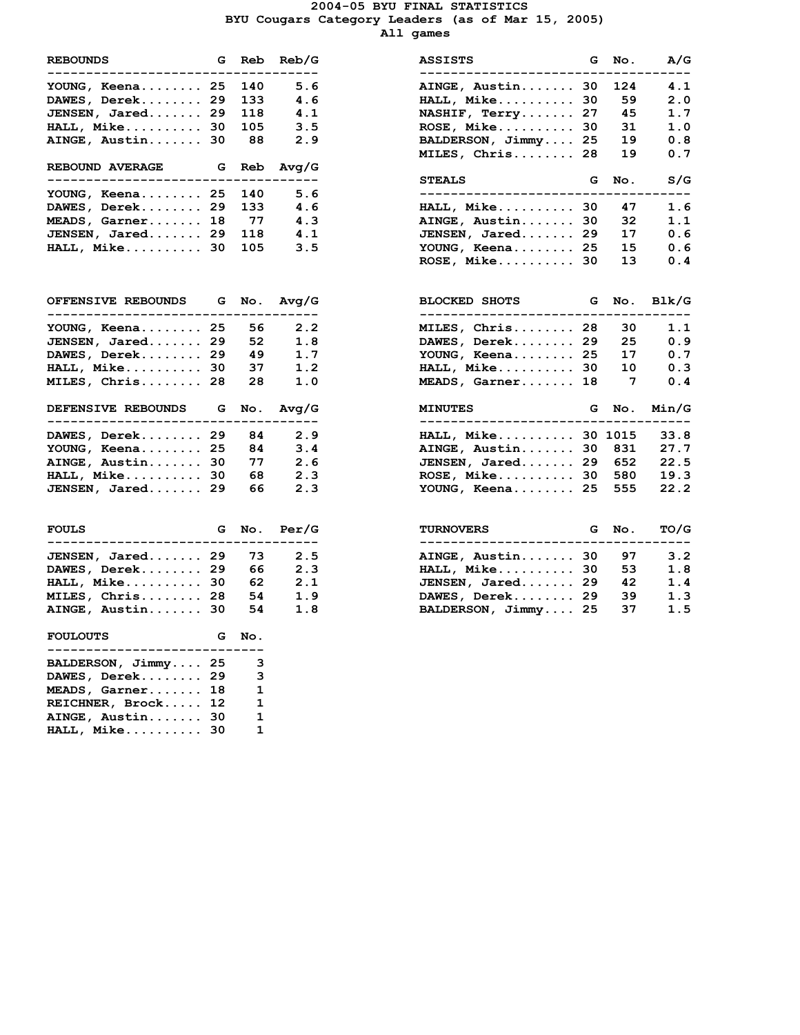#### **2004-05 BYU FINAL STATISTICS BYU Cougars Category Leaders (as of Mar 15, 2005) All games**

| <b>REBOUNDS</b>                                                   |    |           | G Reb Reb/G           |
|-------------------------------------------------------------------|----|-----------|-----------------------|
| YOUNG, Keena 25 140                                               |    |           | 5.6                   |
| DAWES, Derek 29                                                   |    | 133       | 4.6                   |
| <b>JENSEN, Jared 29 118</b><br>HALL, Mike 30 105                  |    |           | 4.1                   |
|                                                                   |    |           | 3.5                   |
| AINGE, Austin 30 88 2.9                                           |    |           |                       |
| <b>REBOUND AVERAGE</b><br>_____________________                   | .  |           | G Reb Avg/G<br>------ |
| YOUNG, Keena 25                                                   |    | 140       | 5.6                   |
| DAWES, Derek 29                                                   |    |           | 4.6                   |
| MEADS, Garner 18                                                  |    | 133<br>77 | 4.3                   |
| JENSEN, Jared 29 118 4.1                                          |    |           |                       |
| HALL, Mike 30 105 3.5                                             |    |           |                       |
|                                                                   |    |           |                       |
| OFFENSIVE REBOUNDS G No. Avg/G<br>-------------------             |    |           |                       |
| YOUNG, Keena 25 56 2.2                                            |    |           |                       |
| $JENSEN, Jared. \ldots. 29 52$                                    |    |           | 1.8                   |
| DAWES, Derek 29                                                   |    | 49        | 1.7                   |
| HALL, Mike 30 37                                                  |    |           | 1.2                   |
| MILES, Chris 28 28                                                |    |           | 1.0                   |
|                                                                   |    |           |                       |
| DEFENSIVE REBOUNDS G No. Avg/G                                    |    |           |                       |
| ---------------------                                             |    |           | 2.9                   |
| DAWES, Derek 29 84<br>YOUNG, Keena 25                             |    | 84        | 3.4                   |
| AINGE, Austin 30 77                                               |    |           | 2.6                   |
| HALL, Mike 30 68                                                  |    |           | 2.3                   |
| JENSEN, Jared 29 66                                               |    |           | 2.3                   |
| <b>FOULS</b>                                                      |    |           | G No. Per/G           |
| -------<br>------                                                 |    |           |                       |
| JENSEN, Jared 29 73                                               |    |           | 2.5                   |
| DAWES, Derek 29 66                                                |    |           | 2.3                   |
|                                                                   |    |           | 2.1                   |
| HALL, Mike 30 62<br>MILES, Chris 28 54<br>AINGE, Austin 30 54 1.8 |    |           | 1.9                   |
| FOULOUTS G No.                                                    |    |           |                       |
| BALDERSON, Jimmy 25                                               |    | з         |                       |
| DAWES, Derek                                                      | 29 | 3         |                       |
| MEADS, Garner                                                     | 18 | 1         |                       |
| REICHNER, Brock                                                   | 12 | 1         |                       |
| AINGE, Austin                                                     | 30 | 1         |                       |

| <b>REBOUNDS</b><br>-------------------- | G  | Reb   | Reb/G<br>---     | ASSISTS<br>-------------------- | G  | No. | A/G   |
|-----------------------------------------|----|-------|------------------|---------------------------------|----|-----|-------|
| YOUNG, Keena 25                         |    | 140   | 5.6              | AINGE, Austin 30                |    | 124 | 4.1   |
| DAWES, Derek 29                         |    | 133   | 4.6              | HALL, Mike 30                   |    | 59  | 2.0   |
| JENSEN, Jared 29                        |    | 118   | 4.1              | NASHIF, Terry 27                |    | 45  | 1.7   |
| <b>HALL, Mike 30</b>                    |    | 105   | 3.5              | $ROSE$ , $Mike$                 | 30 | 31  | 1.0   |
| AINGE, Austin 30                        |    | 88    | 2.9              | BALDERSON, Jimmy 25             |    | 19  | 0.8   |
|                                         |    |       |                  | MILES, Chris 28                 |    | 19  | 0.7   |
| <b>REBOUND AVERAGE</b>                  |    | G Reb | Avg/G            |                                 |    |     |       |
| YOUNG, Keena 25                         |    | 140   | 5.6              | <b>STEALS</b>                   | G  | No. | S/G   |
| DAWES, Derek 29                         |    | 133   | 4.6              | $HALL, Mike$ 30                 |    | 47  | 1.6   |
| MEADS, Garner 18                        |    | - 77  | 4.3              | AINGE, Austin                   | 30 | 32  | 1.1   |
| JENSEN, Jared 29                        |    | 118   | 4.1              | JENSEN, Jared                   | 29 | 17  | 0.6   |
| HALL, Mike                              | 30 | 105   | 3.5              | YOUNG, Keena 25                 |    | 15  | 0.6   |
|                                         |    |       |                  | $ROSE$ , Mike 30                |    | 13  | 0.4   |
|                                         |    |       |                  |                                 |    |     |       |
| <b>OFFENSIVE REBOUNDS G</b>             |    | No.   | Avq/G<br>$- - -$ | <b>BLOCKED SHOTS</b>            | G  | No. | Blk/G |
| YOUNG, Keena 25                         |    | 56    | 2.2              | MILES, Chris 28                 |    | 30  | 1.1   |
| JENSEN, Jared 29                        |    | 52    | 1.8              | DAWES, Derek 29                 |    | 25  | 0.9   |
| DAWES, Derek 29                         |    | 49    | 1.7              | YOUNG, Keena 25                 |    | 17  | 0.7   |
| <b>HALL, Mike 30</b>                    |    | 37    | 1.2              | HALL, Mike 30                   |    | 10  | 0.3   |
| MILES, Chris 28                         |    | 28    | 1.0              | MEADS, Garner 18                |    | 7   | 0.4   |
| <b>DEFENSIVE REBOUNDS</b>               |    | G No. | Avq/G            | <b>MINUTES</b>                  | G  | No. | Min/G |
| DAWES, Derek 29                         |    | 84    | 2.9              | HALL, Mike 30 1015              |    |     | 33.8  |
| YOUNG, Keena 25                         |    | 84    | 3.4              | AINGE, Austin 30                |    | 831 | 27.7  |
| AINGE, Austin 30                        |    | 77    | 2.6              | JENSEN, Jared 29                |    | 652 | 22.5  |
| <b>HALL, Mike 30</b>                    |    | 68    | 2.3              | $ROSE$ , Mike 30                |    | 580 | 19.3  |
| JENSEN, Jared 29                        |    | 66    | 2.3              | YOUNG, Keena 25                 |    | 555 | 22.2  |
| <b>FOULS</b>                            | G. | No.   | Per/G            | <b>TURNOVERS</b>                | G. | No. | TO/G  |
| <b>JENSEN, Jared 29</b>                 |    | 73    | 2.5              | AINGE, Austin 30                |    | 97  | 3.2   |
| DAWES, Derek 29                         |    | 66    | 2.3              | HALL, Mike                      | 30 | 53  | 1.8   |
| <b>HALL, Mike 30</b>                    |    | 62    | 2.1              | JENSEN, Jared 29                |    | 42  | 1.4   |
| MILES, Chris 28                         |    | 54    | 1.9              | DAWES, Derek 29                 |    | 39  | 1.3   |
|                                         |    | 54    |                  |                                 |    | 37  | 1.5   |
| AINGE, Austin 30                        |    |       | 1.8              | BALDERSON, Jimmy 25             |    |     |       |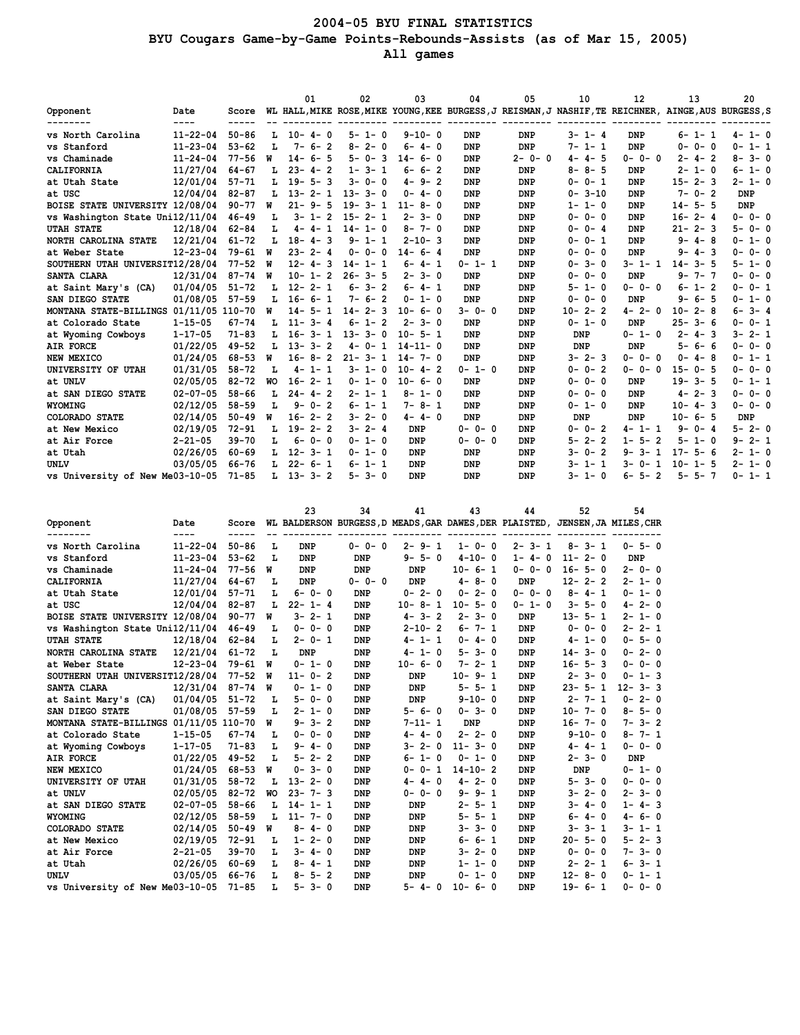## **2004-05 BYU FINAL STATISTICS BYU Cougars Game-by-Game Points-Rebounds-Assists (as of Mar 15, 2005) All games**

|                                        |                |           |           | 01           |                | 02                | 03            | 04          | 05                                                                                                   | 10                | 12          | 13                | 20               |
|----------------------------------------|----------------|-----------|-----------|--------------|----------------|-------------------|---------------|-------------|------------------------------------------------------------------------------------------------------|-------------------|-------------|-------------------|------------------|
| Opponent                               | Date<br>----   | Score     |           |              |                |                   |               |             | WL HALL, MIKE ROSE, MIKE YOUNG, KEE BURGESS, J REISMAN, J NASHIF, TE REICHNER, AINGE, AUS BURGESS, S |                   |             |                   |                  |
| -------<br>vs North Carolina           | $11 - 22 - 04$ | $50 - 86$ | L.        | $10 - 4 - 0$ |                | $5 - 1 - 0$       | $9 - 10 - 0$  | <b>DNP</b>  | <b>DNP</b>                                                                                           | $3 - 1 - 4$       | DNP         | $6 - 1 - 1$       | $4 - 1 - 0$      |
| vs Stanford                            | $11 - 23 - 04$ | $53 - 62$ | L         | $7 - 6 - 2$  |                | $2 - 0$<br>$8 -$  | $6 - 4 - 0$   | <b>DNP</b>  | <b>DNP</b>                                                                                           | $7 - 1 - 1$       | DNP         | $0 - 0 - 0$       | $0 - 1 - 1$      |
| vs Chaminade                           | $11 - 24 - 04$ | $77 - 56$ | W         | $14 - 6 - 5$ |                | $5 - 0 - 3$       | $14 - 6 - 0$  | <b>DNP</b>  | $2 - 0 - 0$                                                                                          | $4 - 4 - 5$       | $0 - 0 - 0$ | $2 - 4 - 2$       | $8 - 3 - 0$      |
| CALIFORNIA                             | 11/27/04       | $64 - 67$ | L         | $23 - 4 - 2$ |                | $1 - 3 - 1$       | $6 - 6 - 2$   | <b>DNP</b>  | DNP                                                                                                  | $8 - 8 - 5$       | DNP         | $2 - 1 - 0$       | $6 - 1 - 0$      |
| at Utah State                          | 12/01/04       | $57 - 71$ | L         | $19 - 5 - 3$ |                | $3 - 0 - 0$       | $4 - 9 - 2$   | <b>DNP</b>  | <b>DNP</b>                                                                                           | $0 - 0 - 1$       | <b>DNP</b>  | $15 - 2 - 3$      | $2 - 1 - 0$      |
| at USC                                 | 12/04/04       | $82 - 87$ | L         | $13 - 2 - 1$ |                | $13 - 3 - 0$      | $0 - 4 - 0$   | <b>DNP</b>  | <b>DNP</b>                                                                                           | $0 - 3 - 10$      | <b>DNP</b>  | $7 - 0 - 2$       | <b>DNP</b>       |
| BOISE STATE UNIVERSITY 12/08/04        |                | $90 - 77$ | W         | $21 - 9 - 5$ |                | $19 - 3 - 1$      | $11 - 8 - 0$  | <b>DNP</b>  | DNP                                                                                                  | $1 - 1 - 0$       | DNP         | $14 - 5 - 5$      | <b>DNP</b>       |
| vs Washington State Uni12/11/04        |                | $46 - 49$ | L         | $3 - 1 -$    | $\overline{2}$ | $15 - 2 - 1$      | $2 - 3 - 0$   | <b>DNP</b>  | <b>DNP</b>                                                                                           | $0 - 0 - 0$       | DNP         | $16 - 2 - 4$      | $0 - 0 - 0$      |
| <b>UTAH STATE</b>                      | 12/18/04       | $62 - 84$ | L         | $4 - 4 - 1$  |                | $14 - 1 - 0$      | $8 - 7 - 0$   | <b>DNP</b>  | <b>DNP</b>                                                                                           | $0 - 0 - 4$       | <b>DNP</b>  | $21 - 2 - 3$      | $5 - 0 - 0$      |
| NORTH CAROLINA STATE                   | 12/21/04       | $61 - 72$ | L         | $18 - 4 - 3$ |                | $9 - 1 - 1$       | $2 - 10 - 3$  | <b>DNP</b>  | <b>DNP</b>                                                                                           | $0 - 0 - 1$       | DNP         | $9 - 4 - 8$       | $0 - 1 - 0$      |
| at Weber State                         | $12 - 23 - 04$ | 79-61     | W         | $23 -$       | $2 - 4$        | $0 - 0 - 0$       | $14 - 6 - 4$  | <b>DNP</b>  | <b>DNP</b>                                                                                           | $0 - 0 - 0$       | DNP         | $9 - 4 - 3$       | $0 - 0 - 0$      |
| SOUTHERN UTAH UNIVERSIT12/28/04        |                | $77 - 52$ | W         | $12 -$       | $4 - 3$        | $14 -$<br>$1 - 1$ | $6 - 4 - 1$   | $0 - 1 - 1$ | <b>DNP</b>                                                                                           | $0 - 3 - 0$       | 3-1-1       | $14 - 3 - 5$      | $5 - 1 - 0$      |
| SANTA CLARA                            | 12/31/04       | $87 - 74$ | W         | $10 - 1 - 2$ |                | $26 - 3 - 5$      | $2 - 3 - 0$   | <b>DNP</b>  | <b>DNP</b>                                                                                           | $0 - 0 - 0$       | <b>DNP</b>  | $9 - 7 - 7$       | $0 - 0 - 0$      |
| at Saint Mary's (CA)                   | 01/04/05       | $51 - 72$ | L         | $12 - 2 - 1$ |                | $6 - 3 - 2$       | $6 - 4 - 1$   | <b>DNP</b>  | <b>DNP</b>                                                                                           | $5 - 1 - 0$       | $0 - 0 - 0$ | $6 - 1 - 2$       | $0 - 0 - 1$      |
| SAN DIEGO STATE                        | 01/08/05       | $57 - 59$ | L         | $16 - 6 - 1$ |                | $7 - 6 - 2$       | $0 - 1 - 0$   | <b>DNP</b>  | <b>DNP</b>                                                                                           | $0 - 0 - 0$       | DNP         | $9 - 6 - 5$       | $0 - 1 - 0$      |
| MONTANA STATE-BILLINGS 01/11/05 110-70 |                |           | W         | $14 -$       | $5 - 1$        | $14 -$<br>$2 - 3$ | $10 - 6 - 0$  | $3 - 0 - 0$ | <b>DNP</b>                                                                                           | $2 - 2$<br>$10 -$ | $4 - 2 - 0$ | $10 -$<br>$2 - 8$ | $3 - 4$<br>6-    |
| at Colorado State                      | $1 - 15 - 05$  | $67 - 74$ | L         | $11 - 3 - 4$ |                | $6 - 1 - 2$       | $2 - 3 - 0$   | <b>DNP</b>  | <b>DNP</b>                                                                                           | $0 - 1 - 0$       | DNP         | $25 - 3 - 6$      | $0 - 0 - 1$      |
| at Wyoming Cowboys                     | $1 - 17 - 05$  | $71 - 83$ | L         | $16 -$       | $3 - 1$        | $13 - 3 - 0$      | $10 - 5 - 1$  | <b>DNP</b>  | <b>DNP</b>                                                                                           | DNP               | $0 - 1 - 0$ | $2 - 4 -$<br>3    | $3 - 2 - 1$      |
| AIR FORCE                              | 01/22/05       | $49 - 52$ | L         | $13 - 3 - 2$ |                | $4 - 0 - 1$       | $14 - 11 - 0$ | <b>DNP</b>  | <b>DNP</b>                                                                                           | <b>DNP</b>        | DNP         | $5 - 6 - 6$       | $0 - 0 - 0$      |
| NEW MEXICO                             | 01/24/05       | 68-53     | W         | $16 -$       | $8 - 2$        | $21 -$<br>$3 - 1$ | $14 - 7 - 0$  | <b>DNP</b>  | <b>DNP</b>                                                                                           | $3 - 2 - 3$       | $0 - 0 - 0$ | $0 - 4 - 8$       | $0 - 1 - 1$      |
| UNIVERSITY OF UTAH                     | 01/31/05       | $58 - 72$ | L         | $4 - 1 - 1$  |                | $3 - 1 - 0$       | $10 - 4 - 2$  | $0 - 1 - 0$ | <b>DNP</b>                                                                                           | $0 - 0 - 2$       | $0 - 0 - 0$ | $15 - 0 - 5$      | $0 - 0 - 0$      |
| at UNLV                                | 02/05/05       | $82 - 72$ | <b>WO</b> | $16 - 2 - 1$ |                | $0 - 1 - 0$       | $10 - 6 - 0$  | <b>DNP</b>  | <b>DNP</b>                                                                                           | $0 - 0 - 0$       | DNP         | $19 - 3 - 5$      | $0 - 1 - 1$      |
| at SAN DIEGO STATE                     | $02 - 07 - 05$ | $58 - 66$ | L         | $24 - 4 - 2$ |                | $2 - 1 - 1$       | $8 - 1 - 0$   | <b>DNP</b>  | <b>DNP</b>                                                                                           | $0 - 0 - 0$       | DNP         | $4 - 2 - 3$       | $0 - 0 - 0$      |
| <b>WYOMING</b>                         | 02/12/05       | $58 - 59$ | L         | $9 - 0 - 2$  |                | $6 - 1 - 1$       | $7 - 8 - 1$   | <b>DNP</b>  | <b>DNP</b>                                                                                           | $0 - 1 - 0$       | <b>DNP</b>  | $10 - 4 - 3$      | $0 - 0 - 0$      |
| COLORADO STATE                         | 02/14/05       | $50 - 49$ | M         | $16 - 2 - 2$ |                | $3 - 2 - 0$       | $4 - 4 - 0$   | <b>DNP</b>  | <b>DNP</b>                                                                                           | <b>DNP</b>        | <b>DNP</b>  | $10 - 6 - 5$      | <b>DNP</b>       |
| at New Mexico                          | 02/19/05       | $72 - 91$ | L         | $19 - 2 - 2$ |                | $3 - 2 - 4$       | DNP           | $0 - 0 - 0$ | <b>DNP</b>                                                                                           | $0 - 0 - 2$       | $4 - 1 - 1$ | $9 - 0 - 4$       | $5 - 2 - 0$      |
| at Air Force                           | $2 - 21 - 05$  | $39 - 70$ | L         | $6 - 0 - 0$  |                | $0 - 1 - 0$       | DNP           | $0 - 0 - 0$ | <b>DNP</b>                                                                                           | $5 - 2 - 2$       | $1 - 5 - 2$ | $5 - 1 - 0$       | $9 - 2 - 1$      |
| at Utah                                | 02/26/05       | $60 - 69$ | т.        | $12 - 3 - 1$ |                | $0 - 1 - 0$       | DNP           | <b>DNP</b>  | <b>DNP</b>                                                                                           | $3 - 0 - 2$       | $9 - 3 - 1$ | $17 - 5 - 6$      | $2 - 1 - 0$      |
| <b>UNLV</b>                            | 03/05/05       | 66-76     | L         | $22 -$       | $6 - 1$        | $6 - 1 - 1$       | DNP           | <b>DNP</b>  | <b>DNP</b>                                                                                           | $3 - 1 - 1$       | $3 - 0 - 1$ | $10 - 1 - 5$      | $1 - 0$<br>$2 -$ |
| vs University of New Me03-10-05        |                | $71 - 85$ | L         | $13 - 3 - 2$ |                | $5 - 3 - 0$       | <b>DNP</b>    | DNP         | <b>DNP</b>                                                                                           | $3 - 1 - 0$       | $6 - 5 - 2$ | $5 - 5 - 7$       | $0 - 1 - 1$      |

|                                        |                |           |           | 23           | 34          | 41              | 43                                                                            | 44          | 52                | 54           |
|----------------------------------------|----------------|-----------|-----------|--------------|-------------|-----------------|-------------------------------------------------------------------------------|-------------|-------------------|--------------|
| Opponent                               | Date           | Score     |           |              |             |                 | WL BALDERSON BURGESS, D MEADS, GAR DAWES, DER PLAISTED, JENSEN, JA MILES, CHR |             |                   |              |
|                                        | $---$          | -----     |           |              |             |                 |                                                                               |             |                   |              |
| vs North Carolina                      | $11 - 22 - 04$ | $50 - 86$ | L         | DNP          | $0 - 0 - 0$ | $2 - 9 - 1$     | $1 - 0 - 0$                                                                   | $2 - 3 - 1$ | $8 - 3 - 1$       | $0 - 5 - 0$  |
| vs Stanford                            | $11 - 23 - 04$ | $53 - 62$ | L         | <b>DNP</b>   | <b>DNP</b>  | $9 - 5 - 0$     | $4 - 10 - 0$                                                                  | $1 - 4 - 0$ | $11 - 2 - 0$      | <b>DNP</b>   |
| vs Chaminade                           | $11 - 24 - 04$ | $77 - 56$ | W         | <b>DNP</b>   | <b>DNP</b>  | <b>DNP</b>      | $10 - 6 - 1$                                                                  | $0 - 0 - 0$ | $16 - 5 - 0$      | $2 - 0 - 0$  |
| CALIFORNIA                             | 11/27/04       | $64 - 67$ | L         | <b>DNP</b>   | $0 - 0 - 0$ | <b>DNP</b>      | $4 - 8 - 0$                                                                   | DNP         | $12 - 2 - 2$      | $2 - 1 - 0$  |
| at Utah State                          | 12/01/04       | $57 - 71$ | L         | $6 - 0 - 0$  | <b>DNP</b>  | $0 - 2 - 0$     | $0 - 2 - 0$                                                                   | $0 - 0 - 0$ | $8 - 4 - 1$       | $0 - 1 - 0$  |
| at USC                                 | 12/04/04       | $82 - 87$ | L         | $22 - 1 - 4$ | <b>DNP</b>  | $10 - 8 - 1$    | $10 - 5 - 0$                                                                  | $0 - 1 - 0$ | $3 - 5 - 0$       | $4 - 2 - 0$  |
| BOISE STATE UNIVERSITY 12/08/04        |                | $90 - 77$ | W         | $3 - 2 - 1$  | <b>DNP</b>  | $4 - 3 - 2$     | $2 - 3 - 0$                                                                   | DNP         | $13 - 5 - 1$      | $2 - 1 - 0$  |
| vs Washington State Uni12/11/04        |                | $46 - 49$ | L         | $0 - 0 - 0$  | <b>DNP</b>  | $2 - 10 - 2$    | $6 - 7 - 1$                                                                   | DNP         | $0 - 0 - 0$       | $2 - 2 - 1$  |
| <b>UTAH STATE</b>                      | 12/18/04       | $62 - 84$ | L         | $2 - 0 - 1$  | <b>DNP</b>  | $1 - 1$<br>4 –  | $0 - 4 - 0$                                                                   | <b>DNP</b>  | $1 - 0$<br>4 –    | $0 - 5 - 0$  |
| NORTH CAROLINA STATE                   | 12/21/04       | $61 - 72$ | L         | <b>DNP</b>   | <b>DNP</b>  | $4 - 1 - 0$     | $5 - 3 - 0$                                                                   | <b>DNP</b>  | $14 - 3 - 0$      | $0 - 2 - 0$  |
| at Weber State                         | $12 - 23 - 04$ | $79 - 61$ | W         | $0 - 1 - 0$  | <b>DNP</b>  | $10 - 6 - 0$    | $7 - 2 - 1$                                                                   | <b>DNP</b>  | $16 - 5 - 3$      | $0 - 0 - 0$  |
| SOUTHERN UTAH UNIVERSIT12/28/04        |                | $77 - 52$ | W         | $11 - 0 - 2$ | <b>DNP</b>  | <b>DNP</b>      | $10 - 9 - 1$                                                                  | DNP         | $2 - 3 - 0$       | $0 - 1 - 3$  |
| SANTA CLARA                            | 12/31/04       | $87 - 74$ | W         | $0 - 1 - 0$  | <b>DNP</b>  | DNP             | $5 - 5 - 1$                                                                   | <b>DNP</b>  | $23 - 5 - 1$      | $12 - 3 - 3$ |
| at Saint Mary's (CA)                   | 01/04/05       | $51 - 72$ | L         | $5 - 0 - 0$  | <b>DNP</b>  | DNP             | $9 - 10 - 0$                                                                  | <b>DNP</b>  | $2 - 7 - 1$       | $0 - 2 - 0$  |
| SAN DIEGO STATE                        | 01/08/05       | $57 - 59$ | L         | $2 - 1 - 0$  | <b>DNP</b>  | $5 - 6 - 0$     | $0 - 3 - 0$                                                                   | <b>DNP</b>  | $10 - 7 - 0$      | $8 - 5 - 0$  |
| MONTANA STATE-BILLINGS 01/11/05 110-70 |                |           | W         | $9 - 3 - 2$  | <b>DNP</b>  | $7 - 11 - 1$    | <b>DNP</b>                                                                    | <b>DNP</b>  | $16 - 7 - 0$      | $7 - 3 - 2$  |
| at Colorado State                      | $1 - 15 - 05$  | $67 - 74$ | L         | $0 - 0 - 0$  | <b>DNP</b>  | $4 - 4 - 0$     | $2 - 2 - 0$                                                                   | <b>DNP</b>  | $9 - 10 - 0$      | $8 - 7 - 1$  |
| at Wyoming Cowboys                     | $1 - 17 - 05$  | $71 - 83$ | L         | $9 - 4 - 0$  | <b>DNP</b>  | $3 - 2 - 0$     | $11 - 3 - 0$                                                                  | <b>DNP</b>  | $4 - 4 - 1$       | $0 - 0 - 0$  |
| AIR FORCE                              | 01/22/05       | $49 - 52$ | L         | $5 - 2 - 2$  | <b>DNP</b>  | $1 - 0$<br>$6-$ | $0 - 1 - 0$                                                                   | <b>DNP</b>  | $2 - 3 - 0$       | <b>DNP</b>   |
| NEW MEXICO                             | 01/24/05       | $68 - 53$ | W         | $0 - 3 - 0$  | <b>DNP</b>  | $0 - 0 - 1$     | $14 - 10 - 2$                                                                 | <b>DNP</b>  | <b>DNP</b>        | $0 - 1 - 0$  |
| UNIVERSITY OF UTAH                     | 01/31/05       | $58 - 72$ | L         | $13 - 2 - 0$ | <b>DNP</b>  | $4 - 4 - 0$     | $4 - 2 - 0$                                                                   | <b>DNP</b>  | $5 - 3 - 0$       | $0 - 0 - 0$  |
| at UNLV                                | 02/05/05       | $82 - 72$ | <b>WO</b> | $23 - 7 - 3$ | <b>DNP</b>  | $0 - 0 - 0$     | $9 - 9 - 1$                                                                   | <b>DNP</b>  | $3 - 2 - 0$       | $2 - 3 - 0$  |
| at SAN DIEGO STATE                     | $02 - 07 - 05$ | $58 - 66$ | L         | $14 - 1 - 1$ | <b>DNP</b>  | DNP             | $2 - 5 - 1$                                                                   | <b>DNP</b>  | $4 - 0$<br>$3 -$  | $1 - 4 - 3$  |
| <b>WYOMING</b>                         | 02/12/05       | $58 - 59$ | L         | $11 - 7 - 0$ | <b>DNP</b>  | <b>DNP</b>      | $5 - 5 - 1$                                                                   | DNP         | $6-$<br>$4 - 0$   | $4 - 6 - 0$  |
| COLORADO STATE                         | 02/14/05       | $50 - 49$ | W         | $8 - 4 - 0$  | <b>DNP</b>  | DNP             | $3 - 3 - 0$                                                                   | <b>DNP</b>  | $3 - 1$<br>$3-$   | $3 - 1 - 1$  |
| at New Mexico                          | 02/19/05       | $72 - 91$ | L         | $1 - 2 - 0$  | <b>DNP</b>  | DNP             | $6 - 6 - 1$                                                                   | <b>DNP</b>  | $20 - 5 - 0$      | $5 - 2 - 3$  |
| at Air Force                           | $2 - 21 - 05$  | $39 - 70$ | L         | $3 - 4 - 0$  | <b>DNP</b>  | <b>DNP</b>      | $3 - 2 - 0$                                                                   | <b>DNP</b>  | $0 - 0 - 0$       | $7 - 3 - 0$  |
| at Utah                                | 02/26/05       | $60 - 69$ | L         | $8 - 4 - 1$  | <b>DNP</b>  | DNP             | $1 - 1 - 0$                                                                   | DNP         | $2 - 2 - 1$       | $6 - 3 - 1$  |
| UNLV                                   | 03/05/05       | 66-76     | L         | $8 - 5 - 2$  | <b>DNP</b>  | <b>DNP</b>      | $0 - 1 - 0$                                                                   | <b>DNP</b>  | $8 - 0$<br>$12 -$ | $0 - 1 - 1$  |
| vs University of New Me03-10-05        |                | $71 - 85$ | L         | $5 - 3 - 0$  | <b>DNP</b>  | $5 - 4 - 0$     | $10 - 6 - 0$                                                                  | <b>DNP</b>  | $19 - 6 - 1$      | $0 - 0 - 0$  |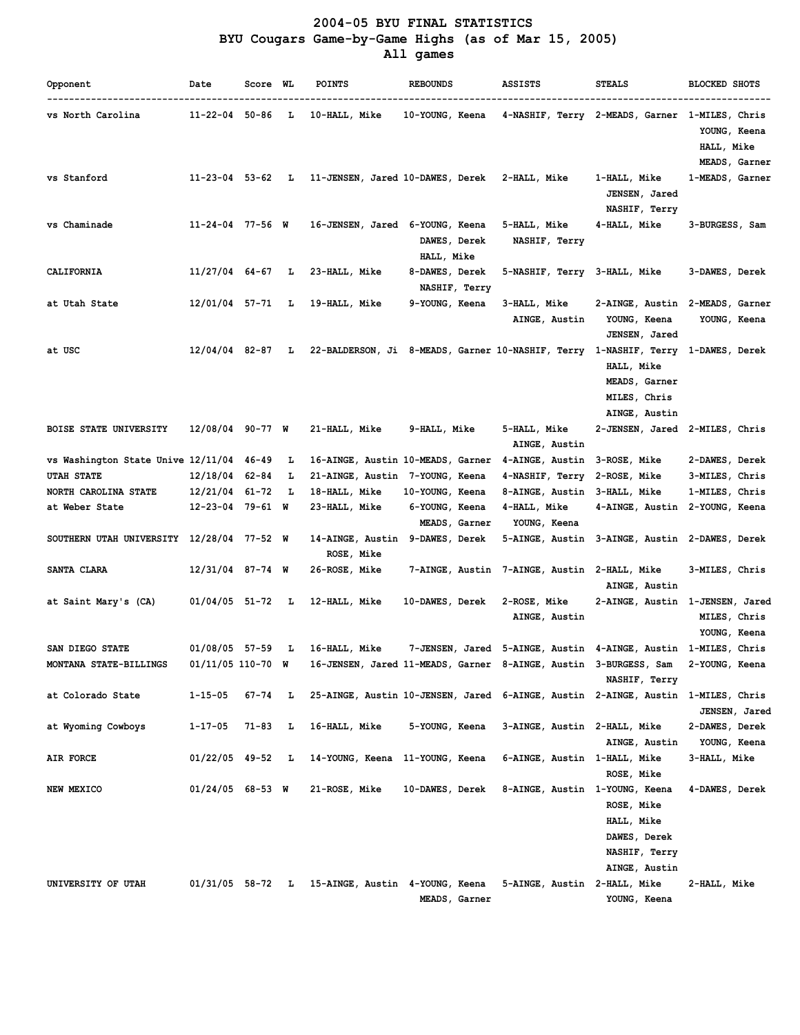# **2004-05 BYU FINAL STATISTICS BYU Cougars Game-by-Game Highs (as of Mar 15, 2005) All games**

| Opponent                                  | Date                   | Score WL |    | <b>POINTS</b>                                                  | <b>REBOUNDS</b>                                                                  | <b>ASSISTS</b>                                                 | <b>STEALS</b>                                                              | <b>BLOCKED SHOTS</b>                        |
|-------------------------------------------|------------------------|----------|----|----------------------------------------------------------------|----------------------------------------------------------------------------------|----------------------------------------------------------------|----------------------------------------------------------------------------|---------------------------------------------|
| vs North Carolina                         | $11 - 22 - 04$ 50-86   |          | Ъ  | 10-HALL, Mike                                                  | 10-YOUNG, Keena                                                                  |                                                                | 4-NASHIF, Terry 2-MEADS, Garner 1-MILES, Chris                             | YOUNG, Keena<br>HALL, Mike<br>MEADS, Garner |
| vs Stanford                               |                        |          |    | 11-23-04 53-62 L 11-JENSEN, Jared 10-DAWES, Derek 2-HALL, Mike |                                                                                  |                                                                | 1-HALL, Mike<br>JENSEN, Jared<br>NASHIF, Terry                             | 1-MEADS, Garner                             |
| vs Chaminade                              | 11-24-04 77-56 W       |          |    | 16-JENSEN, Jared                                               | 6-YOUNG, Keena<br>DAWES, Derek<br>HALL, Mike                                     | 5-HALL, Mike<br>NASHIF, Terry                                  | 4-HALL, Mike                                                               | 3-BURGESS, Sam                              |
| <b>CALIFORNIA</b>                         | $11/27/04$ 64-67       |          | Ъ  | 23-HALL, Mike                                                  | 8-DAWES, Derek<br>NASHIF, Terry                                                  | 5-NASHIF, Terry 3-HALL, Mike                                   |                                                                            | 3-DAWES, Derek                              |
| at Utah State                             | 12/01/04 57-71         |          | Ъ  | 19-HALL, Mike                                                  | 9-YOUNG, Keena                                                                   | 3-HALL, Mike<br>AINGE, Austin                                  | 2-AINGE, Austin 2-MEADS, Garner<br>YOUNG, Keena<br>JENSEN, Jared           | YOUNG, Keena                                |
| at USC                                    | 12/04/04 82-87         |          | ъ. |                                                                | 22-BALDERSON, Ji 8-MEADS, Garner 10-NASHIF, Terry 1-NASHIF, Terry 1-DAWES, Derek |                                                                | HALL, Mike<br>MEADS, Garner<br>MILES, Chris<br>AINGE, Austin               |                                             |
| <b>BOISE STATE UNIVERSITY</b>             | 12/08/04 90-77 W       |          |    | 21-HALL, Mike                                                  | 9-HALL, Mike                                                                     | 5-HALL, Mike<br>AINGE, Austin                                  | 2-JENSEN, Jared 2-MILES, Chris                                             |                                             |
| vs Washington State Unive 12/11/04 46-49  |                        |          | L  |                                                                | 16-AINGE, Austin 10-MEADS, Garner                                                | 4-AINGE, Austin                                                | 3-ROSE, Mike                                                               | 2-DAWES, Derek                              |
| <b>UTAH STATE</b>                         | 12/18/04               | 62-84    | L  | 21-AINGE, Austin 7-YOUNG, Keena                                |                                                                                  | 4-NASHIF, Terry                                                | 2-ROSE, Mike                                                               | 3-MILES, Chris                              |
| NORTH CAROLINA STATE                      | $12/21/04$ 61-72       |          | L  | 18-HALL, Mike                                                  | 10-YOUNG, Keena                                                                  | 8-AINGE, Austin                                                | 3-HALL, Mike                                                               | 1-MILES, Chris                              |
| at Weber State                            | $12 - 23 - 04$ 79-61 W |          |    | 23-HALL, Mike                                                  | 6-YOUNG, Keena<br>MEADS, Garner                                                  | 4-HALL, Mike<br>YOUNG, Keena                                   | 4-AINGE, Austin                                                            | 2-YOUNG, Keena                              |
| SOUTHERN UTAH UNIVERSITY 12/28/04 77-52 W |                        |          |    | 14-AINGE, Austin<br>ROSE, Mike                                 | 9-DAWES, Derek                                                                   |                                                                | 5-AINGE, Austin 3-AINGE, Austin 2-DAWES, Derek                             |                                             |
| SANTA CLARA                               | $12/31/04$ 87-74 W     |          |    | 26-ROSE, Mike                                                  |                                                                                  | 7-AINGE, Austin 7-AINGE, Austin 2-HALL, Mike                   | AINGE, Austin                                                              | 3-MILES, Chris                              |
| at Saint Mary's (CA)                      | $01/04/05$ 51-72       |          | Ŀ  | 12-HALL, Mike                                                  | 10-DAWES, Derek                                                                  | 2-ROSE, Mike<br>AINGE, Austin                                  | 2-AINGE, Austin 1-JENSEN, Jared                                            | MILES, Chris<br>YOUNG, Keena                |
| SAN DIEGO STATE                           | 01/08/05 57-59         |          | ъ. | 16-HALL, Mike                                                  |                                                                                  | 7-JENSEN, Jared 5-AINGE, Austin 4-AINGE, Austin 1-MILES, Chris |                                                                            |                                             |
| <b>MONTANA STATE-BILLINGS</b>             | 01/11/05 110-70 W      |          |    |                                                                | 16-JENSEN, Jared 11-MEADS, Garner 8-AINGE, Austin 3-BURGESS, Sam                 |                                                                | NASHIF, Terry                                                              | 2-YOUNG, Keena                              |
| at Colorado State                         | $1 - 15 - 05$          | 67-74    | Ъ  |                                                                | 25-AINGE, Austin 10-JENSEN, Jared 6-AINGE, Austin 2-AINGE, Austin                |                                                                |                                                                            | 1-MILES, Chris<br>JENSEN, Jared             |
| at Wyoming Cowboys                        | 1-17-05                | 71-83    | Ъ  | 16-HALL, Mike                                                  | 5-YOUNG, Keena                                                                   | 3-AINGE, Austin 2-HALL, Mike                                   | AINGE, Austin                                                              | 2-DAWES, Derek<br>YOUNG, Keena              |
| <b>AIR FORCE</b>                          | $01/22/05$ 49-52       |          | Ŀ  | 14-YOUNG, Keena                                                | 11-YOUNG, Keena                                                                  | 6-AINGE, Austin 1-HALL, Mike                                   | ROSE, Mike                                                                 | 3-HALL, Mike                                |
| NEW MEXICO                                | $01/24/05$ 68-53 W     |          |    | 21-ROSE, Mike                                                  | 10-DAWES, Derek                                                                  | 8-AINGE, Austin 1-YOUNG, Keena                                 | ROSE, Mike<br>HALL, Mike<br>DAWES, Derek<br>NASHIF, Terry<br>AINGE, Austin | 4-DAWES, Derek                              |
| <b>UNIVERSITY OF UTAH</b>                 | 01/31/05 58-72         |          | L  | 15-AINGE, Austin 4-YOUNG, Keena                                | MEADS, Garner                                                                    | 5-AINGE, Austin                                                | 2-HALL, Mike<br>YOUNG, Keena                                               | 2-HALL, Mike                                |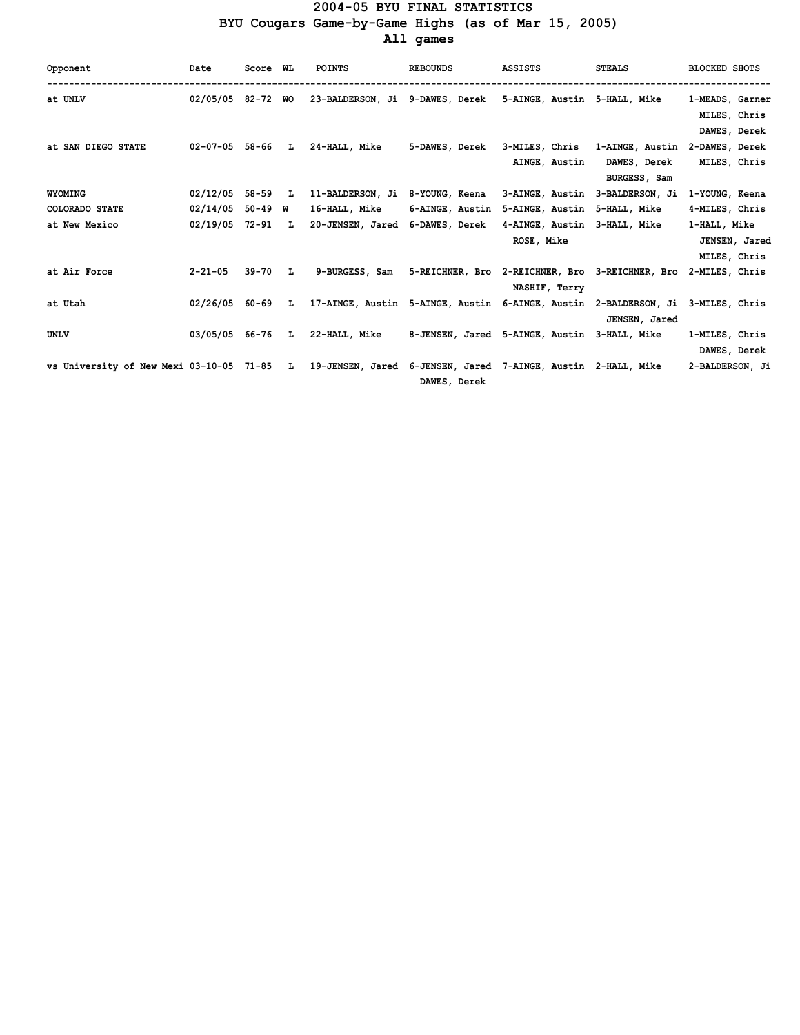## **2004-05 BYU FINAL STATISTICS BYU Cougars Game-by-Game Highs (as of Mar 15, 2005) All games**

| Opponent                                                                                                 | Date               | Score WL |              | <b>POINTS</b>                                                                     | <b>REBOUNDS</b> | <b>ASSISTS</b>                                                                | <b>STEALS</b>   | <b>BLOCKED SHOTS</b>            |
|----------------------------------------------------------------------------------------------------------|--------------------|----------|--------------|-----------------------------------------------------------------------------------|-----------------|-------------------------------------------------------------------------------|-----------------|---------------------------------|
| at UNLV                                                                                                  | 02/05/05 82-72 WO  |          |              | 23-BALDERSON, Ji 9-DAWES, Derek 5-AINGE, Austin 5-HALL, Mike                      |                 |                                                                               |                 | 1-MEADS, Garner<br>MILES, Chris |
|                                                                                                          |                    |          |              |                                                                                   |                 |                                                                               |                 | DAWES, Derek                    |
| at SAN DIEGO STATE                                                                                       | 02-07-05 58-66 L   |          |              | 24-HALL, Mike                                                                     |                 | 5-DAWES, Derek 3-MILES, Chris 1-AINGE, Austin<br>AINGE, Austin                | DAWES, Derek    | 2-DAWES, Derek<br>MILES, Chris  |
|                                                                                                          |                    |          |              |                                                                                   |                 |                                                                               | BURGESS, Sam    |                                 |
| <b>WYOMING</b>                                                                                           | $02/12/05$ 58-59 L |          |              | 11-BALDERSON, Ji 8-YOUNG, Keena                                                   |                 | 3-AINGE, Austin                                                               | 3-BALDERSON, Ji | 1-YOUNG, Keena                  |
| COLORADO STATE                                                                                           | 02/14/05           | 50-49 W  |              | 16-HALL, Mike                                                                     | 6-AINGE, Austin | 5-AINGE, Austin                                                               | 5-HALL, Mike    | 4-MILES, Chris                  |
| at New Mexico                                                                                            | 02/19/05 72-91     |          | $\mathbf{L}$ | 20-JENSEN, Jared 6-DAWES, Derek                                                   |                 | 4-AINGE, Austin 3-HALL, Mike                                                  |                 | 1-HALL, Mike                    |
|                                                                                                          |                    |          |              |                                                                                   |                 | ROSE, Mike                                                                    |                 | JENSEN, Jared                   |
|                                                                                                          |                    |          |              |                                                                                   |                 |                                                                               |                 | MILES, Chris                    |
| at Air Force                                                                                             | $2 - 21 - 05$      | 39-70    | L            |                                                                                   |                 | 9-BURGESS, Sam 5-REICHNER, Bro 2-REICHNER, Bro 3-REICHNER, Bro 2-MILES, Chris |                 |                                 |
|                                                                                                          |                    |          |              |                                                                                   |                 | NASHIF, Terry                                                                 |                 |                                 |
| at Utah                                                                                                  | 02/26/05 60-69     |          |              | L 17-AINGE, Austin 5-AINGE, Austin 6-AINGE, Austin 2-BALDERSON, Ji 3-MILES, Chris |                 |                                                                               |                 |                                 |
|                                                                                                          |                    |          |              |                                                                                   |                 |                                                                               | JENSEN, Jared   |                                 |
| UNLV                                                                                                     |                    |          |              | 03/05/05 66-76 L 22-HALL, Mike 8-JENSEN, Jared 5-AINGE, Austin 3-HALL, Mike       |                 |                                                                               |                 | 1-MILES, Chris                  |
|                                                                                                          |                    |          |              |                                                                                   |                 |                                                                               |                 | DAWES, Derek                    |
| vs University of New Mexi 03-10-05 71-85 L 19-JENSEN, Jared 6-JENSEN, Jared 7-AINGE, Austin 2-HALL, Mike |                    |          |              |                                                                                   | DAWES, Derek    |                                                                               |                 | 2-BALDERSON, Ji                 |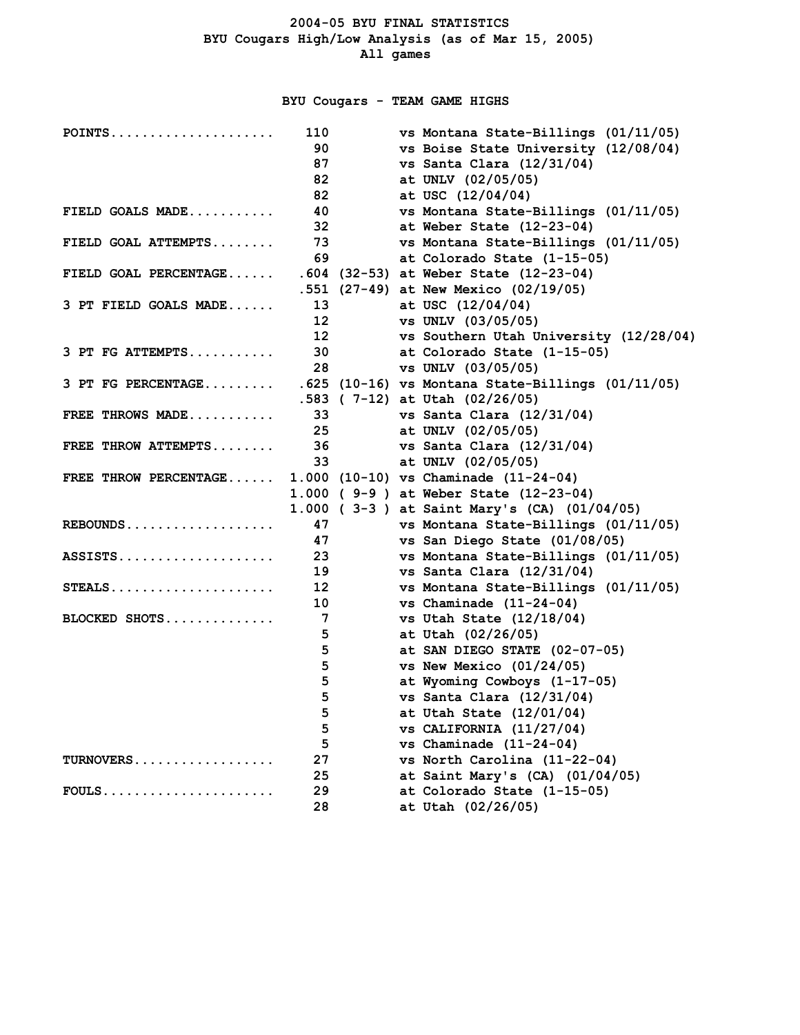**BYU Cougars - TEAM GAME HIGHS**

| POINTS                | 110             | vs Montana State-Billings (01/11/05)                |
|-----------------------|-----------------|-----------------------------------------------------|
|                       | 90              | vs Boise State University (12/08/04)                |
|                       | 87              | vs Santa Clara $(12/31/04)$                         |
|                       | 82              | at UNLV (02/05/05)                                  |
|                       | 82              | at USC (12/04/04)                                   |
| FIELD GOALS MADE      | 40              | vs Montana State-Billings (01/11/05)                |
|                       | 32              | at Weber State $(12-23-04)$                         |
| FIELD GOAL ATTEMPTS   | 73              | vs Montana State-Billings (01/11/05)                |
|                       | 69              | at Colorado State (1-15-05)                         |
| FIELD GOAL PERCENTAGE |                 | .604 (32-53) at Weber State (12-23-04)              |
|                       |                 | .551 (27-49) at New Mexico (02/19/05)               |
| 3 PT FIELD GOALS MADE | 13              | at USC $(12/04/04)$                                 |
|                       | 12 <sup>2</sup> | vs UNLV (03/05/05)                                  |
|                       | 12 <sup>2</sup> | vs Southern Utah University (12/28/04)              |
| 3 PT FG ATTEMPTS      | 30              | at Colorado State (1-15-05)                         |
|                       | 28              | vs UNLV (03/05/05)                                  |
| $3$ PT FG PERCENTAGE  |                 | $.625$ (10-16) vs Montana State-Billings (01/11/05) |
|                       |                 | $.583$ ( 7-12) at Utah (02/26/05)                   |
| FREE THROWS MADE      | 33              | vs Santa Clara $(12/31/04)$                         |
|                       | 25              | at UNLV (02/05/05)                                  |
| FREE THROW ATTEMPTS   | 36              | vs Santa Clara $(12/31/04)$                         |
|                       | 33              | at UNLV (02/05/05)                                  |
| FREE THROW PERCENTAGE |                 | 1.000 (10-10) vs Chaminade (11-24-04)               |
|                       |                 | 1.000 ( 9-9 ) at Weber State (12-23-04)             |
|                       |                 | 1.000 (3-3) at Saint Mary's (CA) (01/04/05)         |
| REBOUNDS              | 47              | vs Montana State-Billings (01/11/05)                |
|                       | 47              | vs San Diego State (01/08/05)                       |
| $ASSISTS.S.$          | 23              | vs Montana State-Billings (01/11/05)                |
|                       | 19              | vs Santa Clara $(12/31/04)$                         |
| STEALS                | 12              | vs Montana State-Billings (01/11/05)                |
|                       | 10              | vs Chaminade $(11-24-04)$                           |
| BLOCKED SHOTS         | 7               | vs Utah State (12/18/04)                            |
|                       | 5               | at Utah (02/26/05)                                  |
|                       | 5               | at SAN DIEGO STATE (02-07-05)                       |
|                       | 5               | vs New Mexico $(01/24/05)$                          |
|                       | 5               | at Wyoming Cowboys (1-17-05)                        |
|                       | 5               | vs Santa Clara $(12/31/04)$                         |
|                       | 5               | at Utah State (12/01/04)                            |
|                       | 5               | vs CALIFORNIA (11/27/04)                            |
|                       | 5               | vs Chaminade $(11-24-04)$                           |
| TURNOVERS             | 27              | vs North Carolina (11-22-04)                        |
|                       | 25              | at Saint Mary's (CA) $(01/04/05)$                   |
| $FOULS$               | 29              | at Colorado State (1-15-05)                         |
|                       | 28              | at Utah (02/26/05)                                  |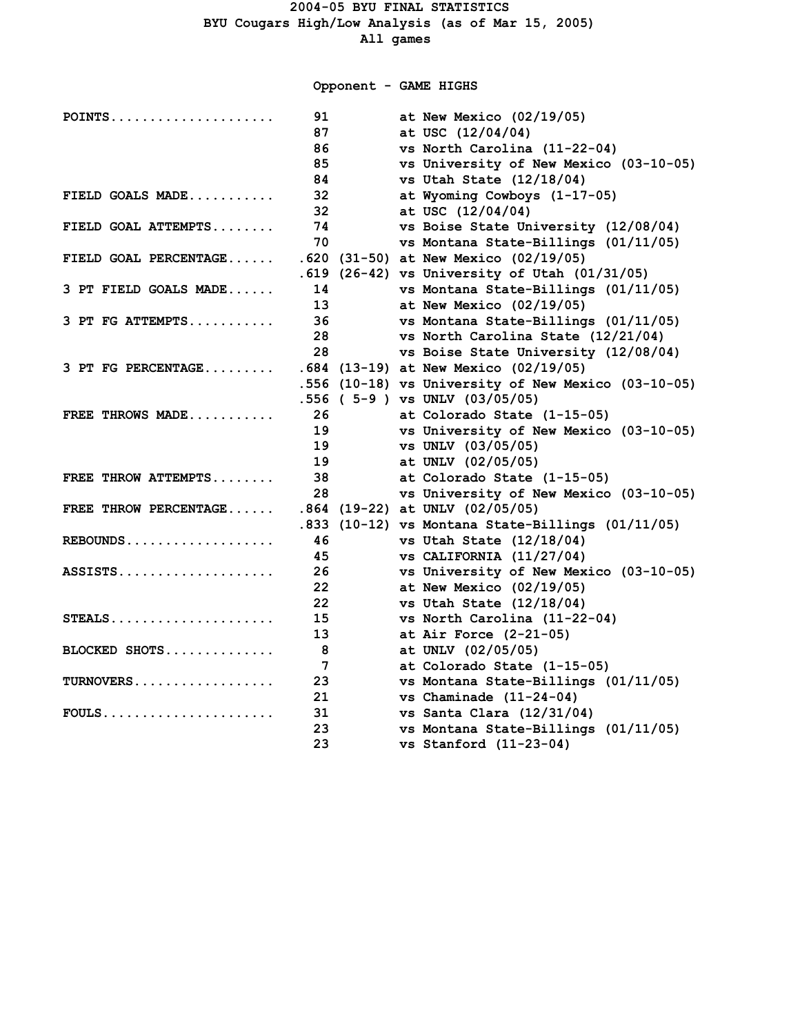**Opponent - GAME HIGHS**

| $POINTS$              | 91 | at New Mexico (02/19/05)                            |
|-----------------------|----|-----------------------------------------------------|
|                       | 87 | at USC (12/04/04)                                   |
|                       | 86 | vs North Carolina (11-22-04)                        |
|                       | 85 | vs University of New Mexico (03-10-05)              |
|                       | 84 | vs Utah State (12/18/04)                            |
| FIELD GOALS MADE      | 32 | at Wyoming Cowboys (1-17-05)                        |
|                       | 32 | at USC (12/04/04)                                   |
| FIELD GOAL ATTEMPTS   | 74 | vs Boise State University (12/08/04)                |
|                       | 70 | vs Montana State-Billings (01/11/05)                |
| FIELD GOAL PERCENTAGE |    | $.620$ (31-50) at New Mexico (02/19/05)             |
|                       |    | .619 (26-42) vs University of Utah (01/31/05)       |
| 3 PT FIELD GOALS MADE | 14 | vs Montana State-Billings (01/11/05)                |
|                       | 13 | at New Mexico (02/19/05)                            |
| $3$ PT FG ATTEMPTS    | 36 | vs Montana State-Billings (01/11/05)                |
|                       | 28 | vs North Carolina State (12/21/04)                  |
|                       | 28 | vs Boise State University (12/08/04)                |
| 3 PT FG PERCENTAGE    |    | .684 (13-19) at New Mexico (02/19/05)               |
|                       |    | .556 (10-18) vs University of New Mexico (03-10-05) |
|                       |    | $.556$ ( $5-9$ ) vs UNLV (03/05/05)                 |
| FREE THROWS MADE      | 26 | at Colorado State (1-15-05)                         |
|                       | 19 | vs University of New Mexico (03-10-05)              |
|                       | 19 | vs UNLV (03/05/05)                                  |
|                       | 19 | at UNLV (02/05/05)                                  |
| FREE THROW ATTEMPTS   | 38 | at Colorado State (1-15-05)                         |
|                       | 28 | vs University of New Mexico (03-10-05)              |
| FREE THROW PERCENTAGE |    | $.864$ (19-22) at UNLV (02/05/05)                   |
|                       |    | .833 (10-12) vs Montana State-Billings (01/11/05)   |
| REBOUNDS              | 46 | vs Utah State (12/18/04)                            |
|                       | 45 | $vs$ CALIFORNIA (11/27/04)                          |
| $ASSISTS.$            | 26 | vs University of New Mexico (03-10-05)              |
|                       | 22 | at New Mexico $(02/19/05)$                          |
|                       | 22 | vs Utah State (12/18/04)                            |
| $STEALS$              | 15 | vs North Carolina (11-22-04)                        |
|                       | 13 | at Air Force $(2-21-05)$                            |
| BLOCKED SHOTS         | 8  | at UNLV (02/05/05)                                  |
|                       | 7  | at Colorado State (1-15-05)                         |
| TURNOVERS             | 23 | vs Montana State-Billings (01/11/05)                |
|                       | 21 | vs Chaminade $(11-24-04)$                           |
| $FOULS$               | 31 | vs Santa Clara $(12/31/04)$                         |
|                       | 23 | vs Montana State-Billings (01/11/05)                |
|                       | 23 | vs Stanford $(11-23-04)$                            |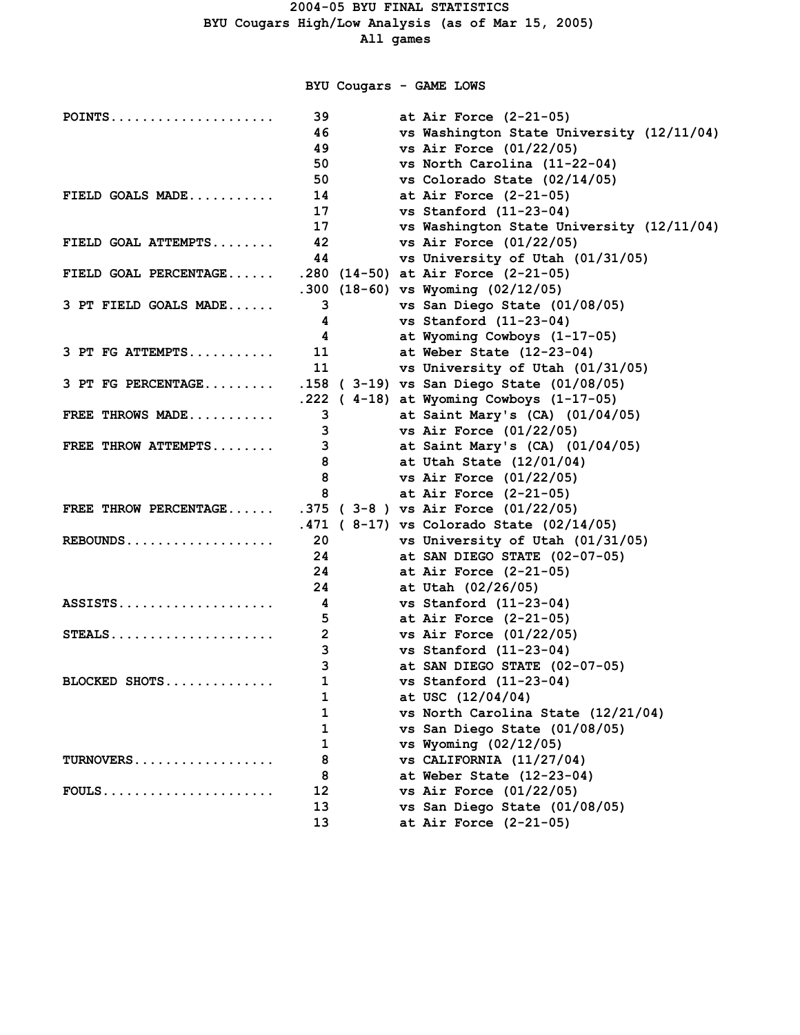# **BYU Cougars - GAME LOWS**

| POINTS                | 39             | at Air Force $(2-21-05)$                  |
|-----------------------|----------------|-------------------------------------------|
|                       | 46             | vs Washington State University (12/11/04) |
|                       | 49             | vs Air Force $(01/22/05)$                 |
|                       | 50             | vs North Carolina (11-22-04)              |
|                       | 50             | vs Colorado State (02/14/05)              |
| FIELD GOALS MADE      | 14             | at Air Force $(2-21-05)$                  |
|                       | 17             | vs Stanford $(11-23-04)$                  |
|                       | 17             | vs Washington State University (12/11/04) |
| FIELD GOAL ATTEMPTS   | 42             | vs Air Force $(01/22/05)$                 |
|                       | 44             | vs University of Utah (01/31/05)          |
| FIELD GOAL PERCENTAGE |                | .280 (14-50) at Air Force (2-21-05)       |
|                       |                | .300 (18-60) vs Wyoming $(02/12/05)$      |
| 3 PT FIELD GOALS MADE | 3              | vs San Diego State (01/08/05)             |
|                       | 4              | vs Stanford $(11-23-04)$                  |
|                       | 4              | at Wyoming Cowboys (1-17-05)              |
| $3$ PT FG ATTEMPTS    | 11             | at Weber State $(12-23-04)$               |
|                       | 11             | vs University of Utah (01/31/05)          |
| 3 PT FG PERCENTAGE    |                | .158 (3-19) vs San Diego State (01/08/05) |
|                       |                | .222 ( 4-18) at Wyoming Cowboys (1-17-05) |
| FREE THROWS MADE      | 3              | at Saint Mary's (CA) (01/04/05)           |
|                       | 3              | vs Air Force (01/22/05)                   |
| FREE THROW ATTEMPTS   | 3              | at Saint Mary's (CA) (01/04/05)           |
|                       | 8              | at Utah State (12/01/04)                  |
|                       | 8              | vs Air Force $(01/22/05)$                 |
|                       | 8              | at Air Force $(2-21-05)$                  |
| FREE THROW PERCENTAGE |                | .375 ( $3-8$ ) vs Air Force $(01/22/05)$  |
|                       |                | .471 (8-17) vs Colorado State (02/14/05)  |
| REBOUNDS              | 20             | vs University of Utah (01/31/05)          |
|                       | 24             | at SAN DIEGO STATE (02-07-05)             |
|                       | 24             | at Air Force $(2-21-05)$                  |
|                       | 24             | at Utah (02/26/05)                        |
| ASSISTS               | 4              | vs Stanford $(11-23-04)$                  |
|                       | 5              | at Air Force $(2-21-05)$                  |
| $STEALS$              | $\overline{2}$ | vs Air Force $(01/22/05)$                 |
|                       | 3              | vs Stanford $(11-23-04)$                  |
|                       | 3              | at SAN DIEGO STATE (02-07-05)             |
| BLOCKED SHOTS         | 1              | vs Stanford $(11-23-04)$                  |
|                       | $\mathbf 1$    | at USC (12/04/04)                         |
|                       | 1              | vs North Carolina State (12/21/04)        |
|                       | 1              | vs San Diego State (01/08/05)             |
|                       | 1              | vs Wyoming (02/12/05)                     |
| TURNOVERS             | 8              | vs CALIFORNIA $(11/27/04)$                |
|                       | 8              | at Weber State (12-23-04)                 |
| $FOULS$               | 12             | vs Air Force (01/22/05)                   |
|                       | 13             | vs San Diego State (01/08/05)             |
|                       | 13             | at Air Force (2-21-05)                    |
|                       |                |                                           |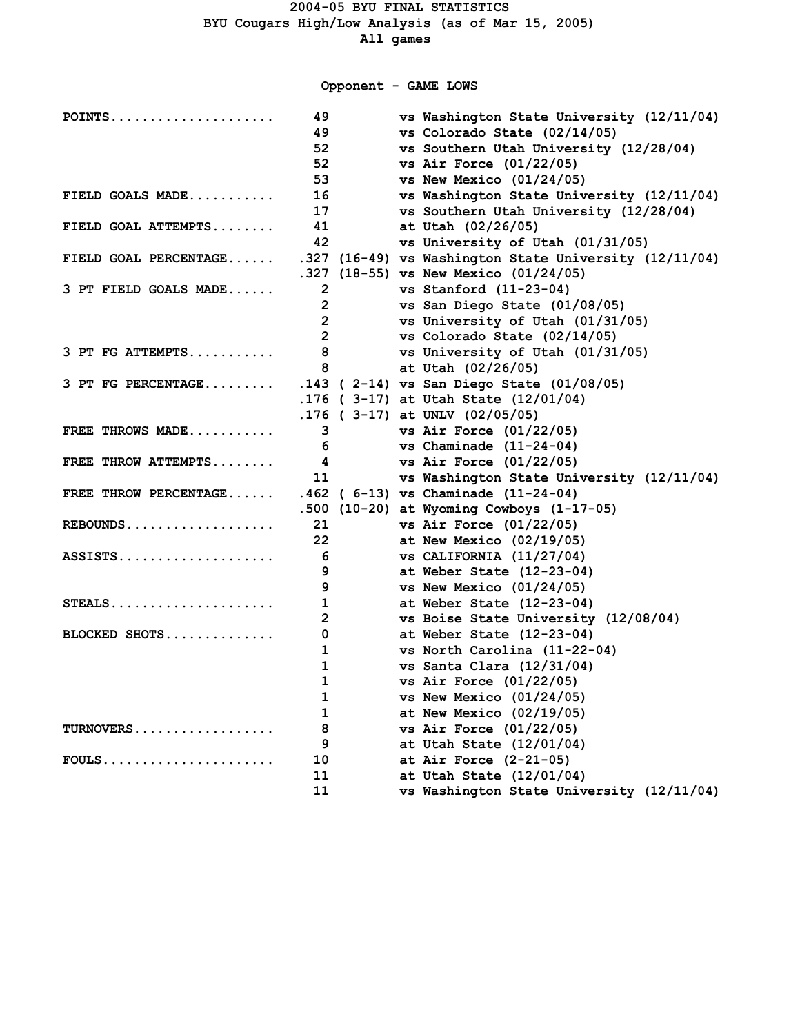**Opponent - GAME LOWS**

| $POINTS$              | 49             | vs Washington State University (12/11/04)              |
|-----------------------|----------------|--------------------------------------------------------|
|                       | 49             | vs Colorado State (02/14/05)                           |
|                       | 52             | vs Southern Utah University (12/28/04)                 |
|                       | 52             | vs Air Force $(01/22/05)$                              |
|                       | 53             | vs New Mexico $(01/24/05)$                             |
| FIELD GOALS MADE      | 16             | vs Washington State University (12/11/04)              |
|                       | 17             | vs Southern Utah University (12/28/04)                 |
| FIELD GOAL ATTEMPTS   | 41             | at Utah (02/26/05)                                     |
|                       | 42             | vs University of Utah (01/31/05)                       |
| FIELD GOAL PERCENTAGE |                | .327 (16-49) vs Washington State University (12/11/04) |
|                       |                | .327 (18-55) vs New Mexico (01/24/05)                  |
| 3 PT FIELD GOALS MADE | $\overline{2}$ | vs Stanford $(11-23-04)$                               |
|                       | $\overline{2}$ | vs San Diego State (01/08/05)                          |
|                       | $\overline{2}$ | vs University of Utah (01/31/05)                       |
|                       | $\overline{2}$ | vs Colorado State (02/14/05)                           |
| 3 PT FG ATTEMPTS      | 8              | vs University of Utah (01/31/05)                       |
|                       | 8              | at Utah (02/26/05)                                     |
| 3 PT FG PERCENTAGE    |                | .143 ( 2-14) vs San Diego State (01/08/05)             |
|                       |                | .176 (3-17) at Utah State (12/01/04)                   |
|                       |                | .176 ( $3-17$ ) at UNLV (02/05/05)                     |
| FREE THROWS MADE      | 3              | vs Air Force $(01/22/05)$                              |
|                       | 6              | vs Chaminade $(11-24-04)$                              |
| FREE THROW ATTEMPTS   | 4              | vs Air Force $(01/22/05)$                              |
|                       | 11             | vs Washington State University (12/11/04)              |
| FREE THROW PERCENTAGE |                | $.462$ (6-13) vs Chaminade (11-24-04)                  |
|                       |                | .500 (10-20) at Wyoming Cowboys (1-17-05)              |
| $REBOUNDS$            | 21             | vs Air Force (01/22/05)                                |
|                       | 22             | at New Mexico $(02/19/05)$                             |
| $ASSISTS.$            | 6              | vs CALIFORNIA $(11/27/04)$                             |
|                       | 9              | at Weber State $(12-23-04)$                            |
|                       | 9              | vs New Mexico $(01/24/05)$                             |
| STEALS                | 1              | at Weber State $(12-23-04)$                            |
|                       | $\mathbf{2}$   | vs Boise State University (12/08/04)                   |
| BLOCKED SHOTS         | 0              | at Weber State (12-23-04)                              |
|                       | 1              | vs North Carolina (11-22-04)                           |
|                       | 1              | vs Santa Clara $(12/31/04)$                            |
|                       | 1              | vs Air Force (01/22/05)                                |
|                       | 1              | vs New Mexico $(01/24/05)$                             |
|                       | 1              | at New Mexico (02/19/05)                               |
| TURNOVERS             | 8              | vs Air Force $(01/22/05)$                              |
|                       | 9              | at Utah State (12/01/04)                               |
| $FOULS$               | 10             | at Air Force $(2-21-05)$                               |
|                       | 11             | at Utah State (12/01/04)                               |
|                       | 11             | vs Washington State University (12/11/04)              |
|                       |                |                                                        |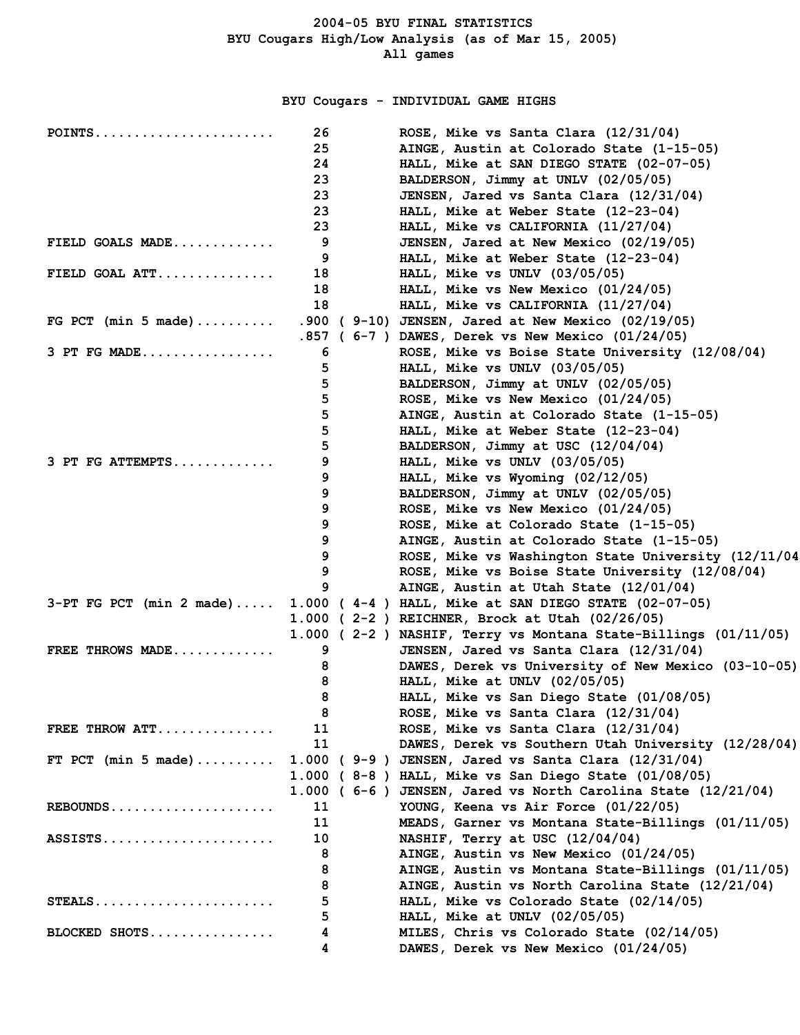**BYU Cougars - INDIVIDUAL GAME HIGHS**

| $POINTS$                   | 26   | ROSE, Mike vs Santa Clara (12/31/04)                           |
|----------------------------|------|----------------------------------------------------------------|
|                            | 25   | AINGE, Austin at Colorado State (1-15-05)                      |
|                            | 24   | HALL, Mike at SAN DIEGO STATE (02-07-05)                       |
|                            | 23   | BALDERSON, Jimmy at UNLV (02/05/05)                            |
|                            | 23   | JENSEN, Jared vs Santa Clara (12/31/04)                        |
|                            | 23   | HALL, Mike at Weber State (12-23-04)                           |
|                            | 23   | HALL, Mike $vs$ CALIFORNIA $(11/27/04)$                        |
| FIELD GOALS $MADE$         | 9    | JENSEN, Jared at New Mexico (02/19/05)                         |
|                            | 9    | HALL, Mike at Weber State (12-23-04)                           |
| FIELD GOAL ATT             | 18   | HALL, Mike $vs$ UNLV $(03/05/05)$                              |
|                            | 18   | HALL, Mike vs New Mexico (01/24/05)                            |
|                            | 18   | HALL, Mike $vs$ CALIFORNIA $(11/27/04)$                        |
| FG PCT (min 5 made)        |      | .900 (9-10) JENSEN, Jared at New Mexico (02/19/05)             |
|                            | .857 | $(6-7)$ DAWES, Derek vs New Mexico $(01/24/05)$                |
| $3$ PT FG MADE             | 6    | ROSE, Mike vs Boise State University (12/08/04)                |
|                            | 5    | HALL, Mike vs UNLV (03/05/05)                                  |
|                            | 5    | BALDERSON, Jimmy at UNLV (02/05/05)                            |
|                            |      |                                                                |
|                            | 5    | ROSE, Mike vs New Mexico (01/24/05)                            |
|                            | 5    | AINGE, Austin at Colorado State (1-15-05)                      |
|                            | 5    | HALL, Mike at Weber State (12-23-04)                           |
|                            | 5    | BALDERSON, Jimmy at USC (12/04/04)                             |
| 3 PT FG ATTEMPTS           | 9    | HALL, Mike $vs$ UNLV $(03/05/05)$                              |
|                            | 9    | HALL, Mike vs Wyoming (02/12/05)                               |
|                            | 9    | BALDERSON, Jimmy at UNLV (02/05/05)                            |
|                            | 9    | ROSE, Mike vs New Mexico (01/24/05)                            |
|                            | 9    | ROSE, Mike at Colorado State (1-15-05)                         |
|                            | 9    | AINGE, Austin at Colorado State (1-15-05)                      |
|                            | 9    | ROSE, Mike vs Washington State University (12/11/04            |
|                            | 9    | ROSE, Mike vs Boise State University (12/08/04)                |
|                            | 9    | AINGE, Austin at Utah State (12/01/04)                         |
| $3-PT$ FG PCT (min 2 made) |      | $1.000$ (4-4) HALL, Mike at SAN DIEGO STATE (02-07-05)         |
|                            |      | 1.000 (2-2) REICHNER, Brock at Utah (02/26/05)                 |
|                            |      | 1.000 (2-2) NASHIF, Terry vs Montana State-Billings (01/11/05) |
| FREE THROWS MADE           | 9    | JENSEN, Jared vs Santa Clara (12/31/04)                        |
|                            | 8    | DAWES, Derek vs University of New Mexico (03-10-05)            |
|                            | 8    | HALL, Mike at UNLV (02/05/05)                                  |
|                            | 8    | HALL, Mike vs San Diego State (01/08/05)                       |
|                            | 8    | ROSE, Mike vs Santa Clara (12/31/04)                           |
| FREE THROW $ATT$           | 11   | ROSE, Mike vs Santa Clara (12/31/04)                           |
|                            | 11   | DAWES, Derek vs Southern Utah University (12/28/04)            |
| FT PCT (min 5 made)        |      | 1.000 ( 9-9 ) JENSEN, Jared vs Santa Clara (12/31/04)          |
|                            |      | $1.000$ (8-8) HALL, Mike vs San Diego State (01/08/05)         |
|                            |      | 1.000 (6-6) JENSEN, Jared vs North Carolina State (12/21/04)   |
| REBOUNDS                   | 11   | YOUNG, Keena vs Air Force (01/22/05)                           |
|                            | 11   | MEADS, Garner vs Montana State-Billings (01/11/05)             |
| $ASSISTS.$                 | 10   | NASHIF, Terry at USC (12/04/04)                                |
|                            | 8    | AINGE, Austin vs New Mexico (01/24/05)                         |
|                            | 8    | AINGE, Austin vs Montana State-Billings (01/11/05)             |
|                            | 8    | AINGE, Austin vs North Carolina State (12/21/04)               |
| STEALS                     | 5    | HALL, Mike vs Colorado State (02/14/05)                        |
|                            | 5    | HALL, Mike at UNLV $(02/05/05)$                                |
| BLOCKED SHOTS              | 4    | MILES, Chris vs Colorado State (02/14/05)                      |
|                            | 4    | DAWES, Derek vs New Mexico (01/24/05)                          |
|                            |      |                                                                |